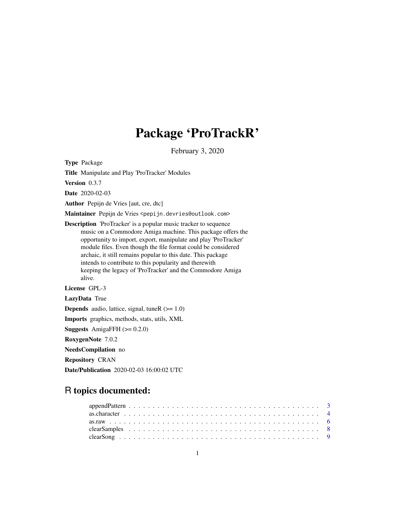# Package 'ProTrackR'

February 3, 2020

<span id="page-0-0"></span>Type Package

Title Manipulate and Play 'ProTracker' Modules

Version 0.3.7

Date 2020-02-03

Author Pepijn de Vries [aut, cre, dtc]

Maintainer Pepijn de Vries <pepijn.devries@outlook.com>

Description 'ProTracker' is a popular music tracker to sequence music on a Commodore Amiga machine. This package offers the opportunity to import, export, manipulate and play 'ProTracker' module files. Even though the file format could be considered archaic, it still remains popular to this date. This package intends to contribute to this popularity and therewith keeping the legacy of 'ProTracker' and the Commodore Amiga alive.

License GPL-3

LazyData True

**Depends** audio, lattice, signal, tuneR  $(>= 1.0)$ 

Imports graphics, methods, stats, utils, XML

**Suggests** AmigaFFH  $(>= 0.2.0)$ 

RoxygenNote 7.0.2

NeedsCompilation no

Repository CRAN

Date/Publication 2020-02-03 16:00:02 UTC

# R topics documented: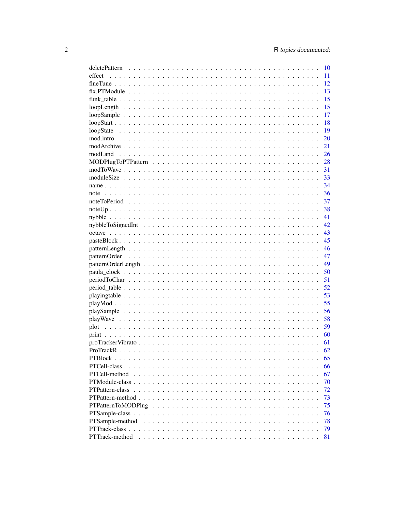|                                                                                                          |  |  |  |  |  |  |  |  |  |  |  |  | 10 |
|----------------------------------------------------------------------------------------------------------|--|--|--|--|--|--|--|--|--|--|--|--|----|
| effect                                                                                                   |  |  |  |  |  |  |  |  |  |  |  |  | 11 |
|                                                                                                          |  |  |  |  |  |  |  |  |  |  |  |  | 12 |
| $fix.PTModule \dots \dots \dots \dots \dots \dots \dots \dots \dots \dots \dots \dots \dots \dots \dots$ |  |  |  |  |  |  |  |  |  |  |  |  | 13 |
|                                                                                                          |  |  |  |  |  |  |  |  |  |  |  |  | 15 |
|                                                                                                          |  |  |  |  |  |  |  |  |  |  |  |  | 15 |
|                                                                                                          |  |  |  |  |  |  |  |  |  |  |  |  | 17 |
|                                                                                                          |  |  |  |  |  |  |  |  |  |  |  |  | 18 |
|                                                                                                          |  |  |  |  |  |  |  |  |  |  |  |  | 19 |
|                                                                                                          |  |  |  |  |  |  |  |  |  |  |  |  | 20 |
|                                                                                                          |  |  |  |  |  |  |  |  |  |  |  |  | 21 |
|                                                                                                          |  |  |  |  |  |  |  |  |  |  |  |  | 26 |
|                                                                                                          |  |  |  |  |  |  |  |  |  |  |  |  | 28 |
|                                                                                                          |  |  |  |  |  |  |  |  |  |  |  |  | 31 |
|                                                                                                          |  |  |  |  |  |  |  |  |  |  |  |  | 33 |
|                                                                                                          |  |  |  |  |  |  |  |  |  |  |  |  | 34 |
|                                                                                                          |  |  |  |  |  |  |  |  |  |  |  |  | 36 |
|                                                                                                          |  |  |  |  |  |  |  |  |  |  |  |  | 37 |
|                                                                                                          |  |  |  |  |  |  |  |  |  |  |  |  | 38 |
|                                                                                                          |  |  |  |  |  |  |  |  |  |  |  |  | 41 |
|                                                                                                          |  |  |  |  |  |  |  |  |  |  |  |  | 42 |
|                                                                                                          |  |  |  |  |  |  |  |  |  |  |  |  | 43 |
|                                                                                                          |  |  |  |  |  |  |  |  |  |  |  |  | 45 |
|                                                                                                          |  |  |  |  |  |  |  |  |  |  |  |  | 46 |
|                                                                                                          |  |  |  |  |  |  |  |  |  |  |  |  |    |
|                                                                                                          |  |  |  |  |  |  |  |  |  |  |  |  | 47 |
|                                                                                                          |  |  |  |  |  |  |  |  |  |  |  |  | 49 |
|                                                                                                          |  |  |  |  |  |  |  |  |  |  |  |  | 50 |
|                                                                                                          |  |  |  |  |  |  |  |  |  |  |  |  | 51 |
|                                                                                                          |  |  |  |  |  |  |  |  |  |  |  |  | 52 |
|                                                                                                          |  |  |  |  |  |  |  |  |  |  |  |  | 53 |
|                                                                                                          |  |  |  |  |  |  |  |  |  |  |  |  | 55 |
|                                                                                                          |  |  |  |  |  |  |  |  |  |  |  |  | 56 |
|                                                                                                          |  |  |  |  |  |  |  |  |  |  |  |  | 58 |
|                                                                                                          |  |  |  |  |  |  |  |  |  |  |  |  | 59 |
|                                                                                                          |  |  |  |  |  |  |  |  |  |  |  |  | 60 |
|                                                                                                          |  |  |  |  |  |  |  |  |  |  |  |  | 61 |
|                                                                                                          |  |  |  |  |  |  |  |  |  |  |  |  | 62 |
|                                                                                                          |  |  |  |  |  |  |  |  |  |  |  |  | 65 |
| PTCell-class.                                                                                            |  |  |  |  |  |  |  |  |  |  |  |  | 66 |
| PTCell-method                                                                                            |  |  |  |  |  |  |  |  |  |  |  |  | 67 |
|                                                                                                          |  |  |  |  |  |  |  |  |  |  |  |  | 70 |
| PTPattern-class                                                                                          |  |  |  |  |  |  |  |  |  |  |  |  | 72 |
|                                                                                                          |  |  |  |  |  |  |  |  |  |  |  |  | 73 |
| PTPatternToMODPlug                                                                                       |  |  |  |  |  |  |  |  |  |  |  |  | 75 |
|                                                                                                          |  |  |  |  |  |  |  |  |  |  |  |  | 76 |
| PTSample-method                                                                                          |  |  |  |  |  |  |  |  |  |  |  |  | 78 |
|                                                                                                          |  |  |  |  |  |  |  |  |  |  |  |  | 79 |
| PTTrack-method                                                                                           |  |  |  |  |  |  |  |  |  |  |  |  | 81 |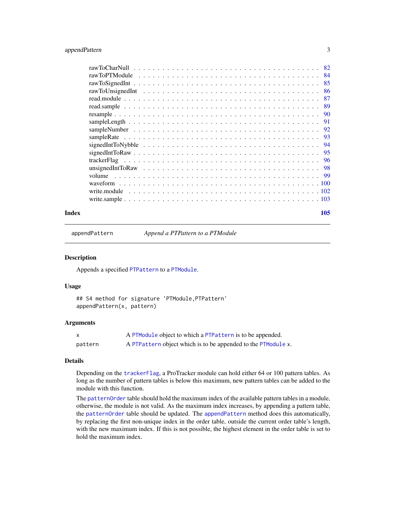# <span id="page-2-0"></span>appendPattern 3

|                                                                                                                   | 82  |
|-------------------------------------------------------------------------------------------------------------------|-----|
|                                                                                                                   | 84  |
|                                                                                                                   | 85  |
|                                                                                                                   | 86  |
|                                                                                                                   | 87  |
|                                                                                                                   | 89  |
|                                                                                                                   | -90 |
|                                                                                                                   | -91 |
|                                                                                                                   | -92 |
|                                                                                                                   | -93 |
|                                                                                                                   | -94 |
| $signedIntTo Raw \dots \dots \dots \dots \dots \dots \dots \dots \dots \dots \dots \dots \dots \dots \dots \dots$ | -95 |
|                                                                                                                   |     |
|                                                                                                                   |     |
|                                                                                                                   |     |
|                                                                                                                   |     |
|                                                                                                                   |     |
|                                                                                                                   |     |
|                                                                                                                   |     |

# **Index** the contract of the contract of the contract of the contract of the contract of the contract of the contract of the contract of the contract of the contract of the contract of the contract of the contract of the co

<span id="page-2-1"></span>appendPattern *Append a PTPattern to a PTModule*

# Description

Appends a specified [PTPattern](#page-71-1) to a [PTModule](#page-69-1).

# Usage

## S4 method for signature 'PTModule, PTPattern' appendPattern(x, pattern)

# Arguments

| X       | A PTModule object to which a PTPattern is to be appended.     |
|---------|---------------------------------------------------------------|
| pattern | A PTPattern object which is to be appended to the PTModule x. |

# Details

Depending on the [trackerFlag](#page-95-1), a ProTracker module can hold either 64 or 100 pattern tables. As long as the number of pattern tables is below this maximum, new pattern tables can be added to the module with this function.

The [patternOrder](#page-46-1) table should hold the maximum index of the available pattern tables in a module, otherwise, the module is not valid. As the maximum index increases, by appending a pattern table, the [patternOrder](#page-46-1) table should be updated. The [appendPattern](#page-2-1) method does this automatically, by replacing the first non-unique index in the order table, outside the current order table's length, with the new maximum index. If this is not possible, the highest element in the order table is set to hold the maximum index.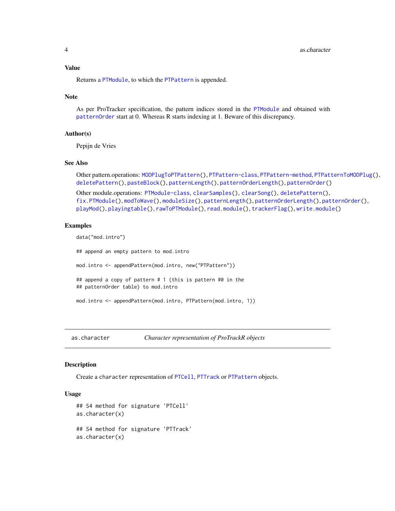# <span id="page-3-0"></span>Value

Returns a [PTModule](#page-69-1), to which the [PTPattern](#page-71-1) is appended.

#### Note

As per ProTracker specification, the pattern indices stored in the [PTModule](#page-69-1) and obtained with [patternOrder](#page-46-1) start at 0. Whereas R starts indexing at 1. Beware of this discrepancy.

# Author(s)

Pepijn de Vries

# See Also

Other pattern.operations: [MODPlugToPTPattern\(](#page-27-1)), [PTPattern-class](#page-71-2), [PTPattern-method](#page-72-1), [PTPatternToMODPlug\(](#page-74-1)), [deletePattern\(](#page-9-1)), [pasteBlock\(](#page-44-1)), [patternLength\(](#page-45-1)), [patternOrderLength\(](#page-48-1)), [patternOrder\(](#page-46-1))

```
Other module.operations: PTModule-class, clearSamples(), clearSong(), deletePattern(),
fix.PTModule(), modToWave(), moduleSize(), patternLength(), patternOrderLength(), patternOrder(),
playMod(), playingtable(), rawToPTModule(), read.module(), trackerFlag(), write.module()
```
# Examples

data("mod.intro") ## append an empty pattern to mod.intro mod.intro <- appendPattern(mod.intro, new("PTPattern")) ## append a copy of pattern # 1 (this is pattern #0 in the ## patternOrder table) to mod.intro mod.intro <- appendPattern(mod.intro, PTPattern(mod.intro, 1))

<span id="page-3-1"></span>as.character *Character representation of ProTrackR objects*

# Description

Create a character representation of [PTCell](#page-65-1), [PTTrack](#page-78-1) or [PTPattern](#page-71-1) objects.

#### Usage

```
## S4 method for signature 'PTCell'
as.character(x)
## S4 method for signature 'PTTrack'
as.character(x)
```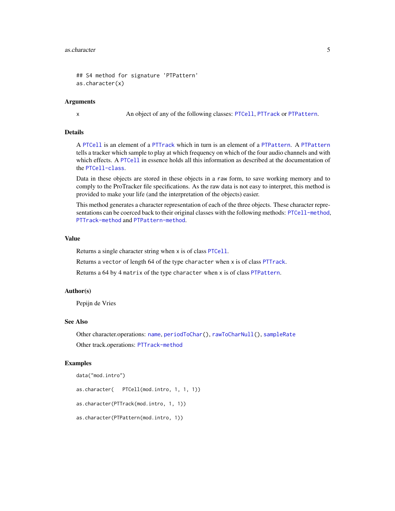#### as.character 5

```
## S4 method for signature 'PTPattern'
as.character(x)
```
# Arguments

x An object of any of the following classes: [PTCell](#page-65-1), [PTTrack](#page-78-1) or [PTPattern](#page-71-1).

### Details

A [PTCell](#page-65-1) is an element of a [PTTrack](#page-78-1) which in turn is an element of a [PTPattern](#page-71-1). A [PTPattern](#page-71-1) tells a tracker which sample to play at which frequency on which of the four audio channels and with which effects. A [PTCell](#page-65-1) in essence holds all this information as described at the documentation of the [PTCell-class](#page-65-2).

Data in these objects are stored in these objects in a raw form, to save working memory and to comply to the ProTracker file specifications. As the raw data is not easy to interpret, this method is provided to make your life (and the interpretation of the objects) easier.

This method generates a character representation of each of the three objects. These character representations can be coerced back to their original classes with the following methods: [PTCell-method](#page-66-1), [PTTrack-method](#page-80-1) and [PTPattern-method](#page-72-1).

# Value

Returns a single character string when x is of class [PTCell](#page-65-1).

Returns a vector of length 64 of the type character when x is of class [PTTrack](#page-78-1).

Returns a 64 by 4 matrix of the type character when x is of class [PTPattern](#page-71-1).

# Author(s)

Pepijn de Vries

#### See Also

Other character.operations: [name](#page-33-1), [periodToChar\(](#page-50-1)), [rawToCharNull\(](#page-81-1)), [sampleRate](#page-92-1) Other track.operations: [PTTrack-method](#page-80-1)

#### Examples

```
data("mod.intro")
```
as.character( PTCell(mod.intro, 1, 1, 1))

```
as.character(PTTrack(mod.intro, 1, 1))
```

```
as.character(PTPattern(mod.intro, 1))
```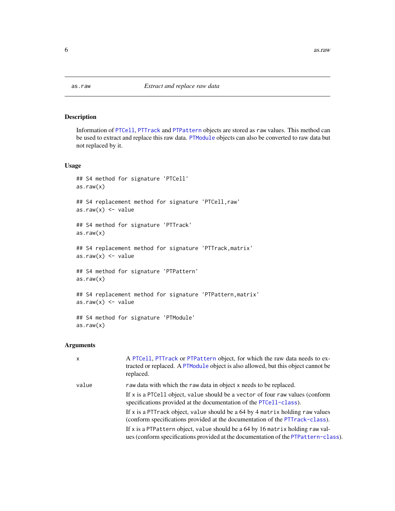<span id="page-5-0"></span>

Information of [PTCell](#page-65-1), [PTTrack](#page-78-1) and [PTPattern](#page-71-1) objects are stored as raw values. This method can be used to extract and replace this raw data. [PTModule](#page-69-1) objects can also be converted to raw data but not replaced by it.

#### Usage

```
## S4 method for signature 'PTCell'
as.raw(x)
## S4 replacement method for signature 'PTCell,raw'
as.raw(x) <- value
## S4 method for signature 'PTTrack'
as.raw(x)## S4 replacement method for signature 'PTTrack,matrix'
as.raw(x) < - value## S4 method for signature 'PTPattern'
as.raw(x)## S4 replacement method for signature 'PTPattern,matrix'
as.raw(x) < - value## S4 method for signature 'PTModule'
as.raw(x)
```
# Arguments

| $\mathsf{x}$ | A PTCell, PTTrack or PTPattern object, for which the raw data needs to ex-<br>tracted or replaced. A PTModule object is also allowed, but this object cannot be<br>replaced. |
|--------------|------------------------------------------------------------------------------------------------------------------------------------------------------------------------------|
| value        | raw data with which the raw data in object x needs to be replaced.                                                                                                           |
|              | If x is a PTCell object, value should be a vector of four raw values (conform<br>specifications provided at the documentation of the PTCe11-class).                          |
|              | If x is a PTT rack object, value should be a $64$ by 4 matrix holding raw values<br>(conform specifications provided at the documentation of the PTTrack-class).             |
|              | If x is a PTPattern object, value should be a 64 by 16 matrix holding raw val-<br>ues (conform specifications provided at the documentation of the PTPattern-class).         |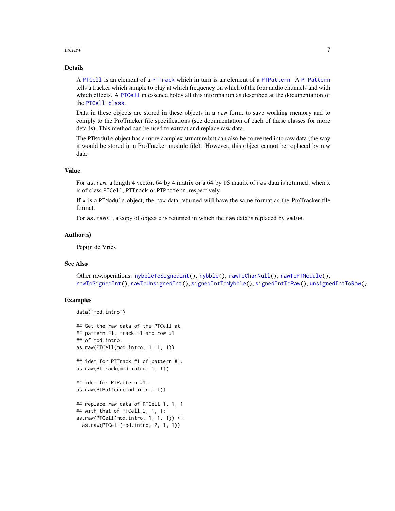#### $\alpha$ s.raw  $\alpha$

#### Details

A [PTCell](#page-65-1) is an element of a [PTTrack](#page-78-1) which in turn is an element of a [PTPattern](#page-71-1). A [PTPattern](#page-71-1) tells a tracker which sample to play at which frequency on which of the four audio channels and with which effects. A [PTCell](#page-65-1) in essence holds all this information as described at the documentation of the [PTCell-class](#page-65-2).

Data in these objects are stored in these objects in a raw form, to save working memory and to comply to the ProTracker file specifications (see documentation of each of these classes for more details). This method can be used to extract and replace raw data.

The PTModule object has a more complex structure but can also be converted into raw data (the way it would be stored in a ProTracker module file). However, this object cannot be replaced by raw data.

# Value

For as.raw, a length 4 vector, 64 by 4 matrix or a 64 by 16 matrix of raw data is returned, when x is of class PTCell, PTTrack or PTPattern, respectively.

If x is a PTModule object, the raw data returned will have the same format as the ProTracker file format.

For as.raw  $\leq$ , a copy of object x is returned in which the raw data is replaced by value.

#### Author(s)

Pepijn de Vries

# See Also

Other raw.operations: [nybbleToSignedInt\(](#page-41-1)), [nybble\(](#page-40-1)), [rawToCharNull\(](#page-81-1)), [rawToPTModule\(](#page-83-1)), [rawToSignedInt\(](#page-84-1)), [rawToUnsignedInt\(](#page-85-1)), [signedIntToNybble\(](#page-93-1)), [signedIntToRaw\(](#page-94-1)), [unsignedIntToRaw\(](#page-97-1))

# Examples

```
data("mod.intro")
## Get the raw data of the PTCell at
## pattern #1, track #1 and row #1
## of mod.intro:
as.raw(PTCell(mod.intro, 1, 1, 1))
## idem for PTTrack #1 of pattern #1:
as.raw(PTTrack(mod.intro, 1, 1))
## idem for PTPattern #1:
as.raw(PTPattern(mod.intro, 1))
## replace raw data of PTCell 1, 1, 1
## with that of PTCell 2, 1, 1:
as.raw(PTCell(mod.intro, 1, 1, 1)) <-
 as.raw(PTCell(mod.intro, 2, 1, 1))
```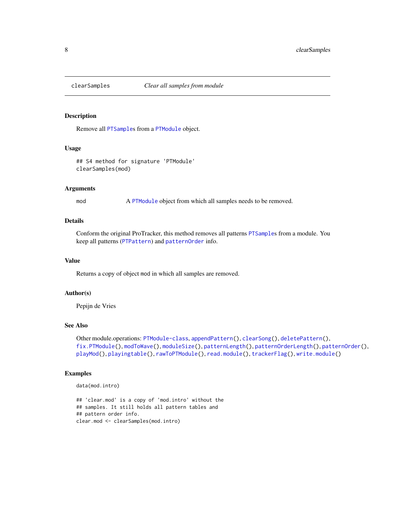<span id="page-7-1"></span><span id="page-7-0"></span>

Remove all [PTSample](#page-75-1)s from a [PTModule](#page-69-1) object.

# Usage

## S4 method for signature 'PTModule' clearSamples(mod)

## Arguments

mod A [PTModule](#page-69-1) object from which all samples needs to be removed.

# Details

Conform the original ProTracker, this method removes all patterns [PTSample](#page-75-1)s from a module. You keep all patterns ([PTPattern](#page-71-1)) and [patternOrder](#page-46-1) info.

#### Value

Returns a copy of object mod in which all samples are removed.

# Author(s)

Pepijn de Vries

#### See Also

```
Other module.operations: PTModule-class, appendPattern(), clearSong(), deletePattern(),
fix.PTModule(), modToWave(), moduleSize(), patternLength(), patternOrderLength(), patternOrder(),
playMod(), playingtable(), rawToPTModule(), read.module(), trackerFlag(), write.module()
```
# Examples

```
data(mod.intro)
```
## 'clear.mod' is a copy of 'mod.intro' without the ## samples. It still holds all pattern tables and ## pattern order info. clear.mod <- clearSamples(mod.intro)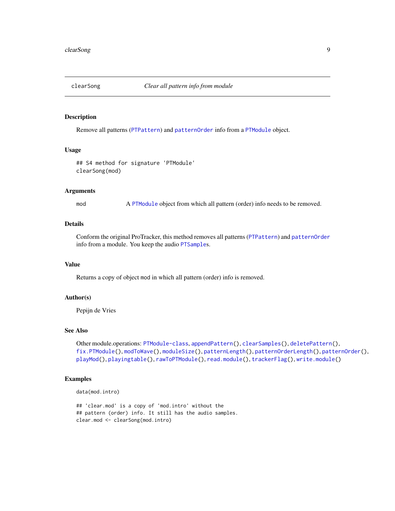<span id="page-8-1"></span><span id="page-8-0"></span>

Remove all patterns ([PTPattern](#page-71-1)) and [patternOrder](#page-46-1) info from a [PTModule](#page-69-1) object.

#### Usage

## S4 method for signature 'PTModule' clearSong(mod)

# Arguments

mod A [PTModule](#page-69-1) object from which all pattern (order) info needs to be removed.

# Details

Conform the original ProTracker, this method removes all patterns ([PTPattern](#page-71-1)) and [patternOrder](#page-46-1) info from a module. You keep the audio [PTSample](#page-75-1)s.

# Value

Returns a copy of object mod in which all pattern (order) info is removed.

# Author(s)

Pepijn de Vries

# See Also

```
Other module.operations: PTModule-class, appendPattern(), clearSamples(), deletePattern(),
fix.PTModule(), modToWave(), moduleSize(), patternLength(), patternOrderLength(), patternOrder(),
playMod(), playingtable(), rawToPTModule(), read.module(), trackerFlag(), write.module()
```
# Examples

```
data(mod.intro)
```

```
## 'clear.mod' is a copy of 'mod.intro' without the
## pattern (order) info. It still has the audio samples.
clear.mod <- clearSong(mod.intro)
```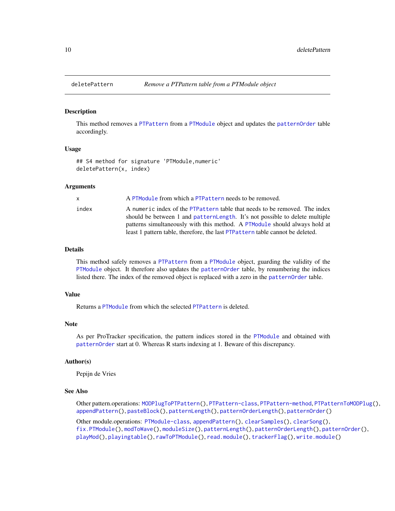<span id="page-9-1"></span><span id="page-9-0"></span>

This method removes a [PTPattern](#page-71-1) from a [PTModule](#page-69-1) object and updates the [patternOrder](#page-46-1) table accordingly.

#### Usage

```
## S4 method for signature 'PTModule,numeric'
deletePattern(x, index)
```
# Arguments

| X     | A PTModule from which a PTPattern needs to be removed.                                                                                                                                                                                    |
|-------|-------------------------------------------------------------------------------------------------------------------------------------------------------------------------------------------------------------------------------------------|
| index | A numeric index of the PTPattern table that needs to be removed. The index<br>should be between 1 and pattern Length. It's not possible to delete multiple<br>patterns simultaneously with this method. A PTM odule should always hold at |
|       | least 1 pattern table, therefore, the last PTPattern table cannot be deleted.                                                                                                                                                             |

# Details

This method safely removes a [PTPattern](#page-71-1) from a [PTModule](#page-69-1) object, guarding the validity of the [PTModule](#page-69-1) object. It therefore also updates the [patternOrder](#page-46-1) table, by renumbering the indices listed there. The index of the removed object is replaced with a zero in the [patternOrder](#page-46-1) table.

#### Value

Returns a [PTModule](#page-69-1) from which the selected [PTPattern](#page-71-1) is deleted.

# Note

As per ProTracker specification, the pattern indices stored in the [PTModule](#page-69-1) and obtained with [patternOrder](#page-46-1) start at 0. Whereas R starts indexing at 1. Beware of this discrepancy.

# Author(s)

Pepijn de Vries

#### See Also

Other pattern.operations: [MODPlugToPTPattern\(](#page-27-1)), [PTPattern-class](#page-71-2), [PTPattern-method](#page-72-1), [PTPatternToMODPlug\(](#page-74-1)), [appendPattern\(](#page-2-1)), [pasteBlock\(](#page-44-1)), [patternLength\(](#page-45-1)), [patternOrderLength\(](#page-48-1)), [patternOrder\(](#page-46-1))

Other module.operations: [PTModule-class](#page-69-2), [appendPattern\(](#page-2-1)), [clearSamples\(](#page-7-1)), [clearSong\(](#page-8-1)), [fix.PTModule\(](#page-12-1)), [modToWave\(](#page-30-1)), [moduleSize\(](#page-32-1)), [patternLength\(](#page-45-1)), [patternOrderLength\(](#page-48-1)), [patternOrder\(](#page-46-1)), [playMod\(](#page-54-1)), [playingtable\(](#page-52-1)), [rawToPTModule\(](#page-83-1)), [read.module\(](#page-86-1)), [trackerFlag\(](#page-95-1)), [write.module\(](#page-101-1))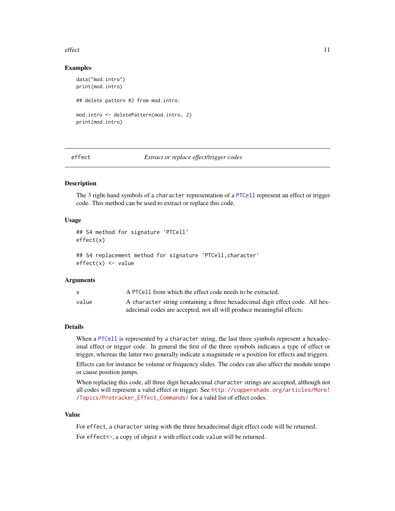#### <span id="page-10-0"></span>effect and the state of the state of the state of the state of the state of the state of the state of the state of the state of the state of the state of the state of the state of the state of the state of the state of the

# Examples

```
data("mod.intro")
print(mod.intro)
## delete pattern #2 from mod.intro:
mod.intro <- deletePattern(mod.intro, 2)
print(mod.intro)
```
effect *Extract or replace effect/trigger codes*

# Description

The 3 right-hand symbols of a character representation of a [PTCell](#page-65-1) represent an effect or trigger code. This method can be used to extract or replace this code.

# Usage

```
## S4 method for signature 'PTCell'
effect(x)
```
## S4 replacement method for signature 'PTCell,character' effect(x) <- value

# Arguments

|       | A PTCell from which the effect code needs to be extracted.                    |
|-------|-------------------------------------------------------------------------------|
| value | A character string containing a three hexadecimal digit effect code. All hex- |
|       | adecimal codes are accepted, not all will produce meaningful effects.         |

#### Details

When a [PTCell](#page-65-1) is represented by a character string, the last three symbols represent a hexadecimal effect or trigger code. In general the first of the three symbols indicates a type of effect or trigger, whereas the latter two generally indicate a magnitude or a position for effects and triggers.

Effects can for instance be volume or frequency slides. The codes can also affect the module tempo or cause position jumps.

When replacing this code, all three digit hexadecimal character strings are accepted, although not all codes will represent a valid effect or trigger. See [http://coppershade.org/articles/More!](http://coppershade.org/articles/More!/Topics/Protracker_Effect_Commands/) [/Topics/Protracker\\_Effect\\_Commands/](http://coppershade.org/articles/More!/Topics/Protracker_Effect_Commands/) for a valid list of effect codes.

# Value

For effect, a character string with the three hexadecimal digit effect code will be returned. For effect<-, a copy of object x with effect code value will be returned.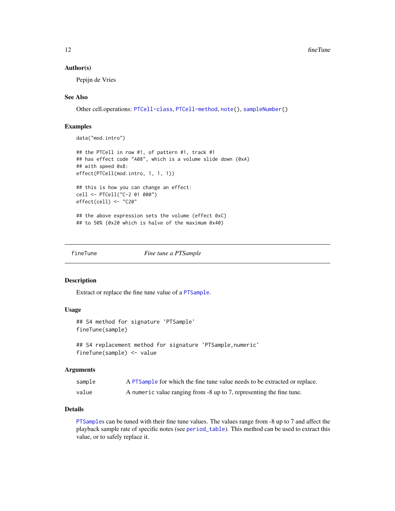#### <span id="page-11-0"></span>Author(s)

Pepijn de Vries

# See Also

Other cell.operations: [PTCell-class](#page-65-2), [PTCell-method](#page-66-1), [note\(](#page-35-1)), [sampleNumber\(](#page-91-1))

# Examples

data("mod.intro")

```
## the PTCell in row #1, of pattern #1, track #1
## has effect code "A08", which is a volume slide down (0xA)
## with speed 0x8:
effect(PTCell(mod.intro, 1, 1, 1))
```

```
## this is how you can change an effect:
cell <- PTCell("C-2 01 000")
effect(cell) <- "C20"
```
## the above expression sets the volume (effect 0xC) ## to 50% (0x20 which is halve of the maximum 0x40)

<span id="page-11-1"></span>

fineTune *Fine tune a PTSample*

# Description

Extract or replace the fine tune value of a [PTSample](#page-75-1).

#### Usage

```
## S4 method for signature 'PTSample'
fineTune(sample)
```

```
## S4 replacement method for signature 'PTSample,numeric'
fineTune(sample) <- value
```
#### Arguments

| sample | A PTS ample for which the fine tune value needs to be extracted or replace. |
|--------|-----------------------------------------------------------------------------|
| value  | A numeric value ranging from -8 up to 7, representing the fine tune.        |

# Details

[PTSample](#page-75-1)s can be tuned with their fine tune values. The values range from -8 up to 7 and affect the playback sample rate of specific notes (see [period\\_table](#page-51-1)). This method can be used to extract this value, or to safely replace it.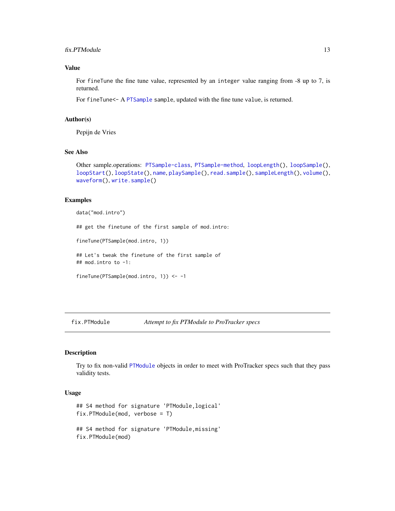# <span id="page-12-0"></span> $fix.PTModule$  13

# Value

For fineTune the fine tune value, represented by an integer value ranging from -8 up to 7, is returned.

For fineTune<- A [PTSample](#page-75-1) sample, updated with the fine tune value, is returned.

# Author(s)

Pepijn de Vries

# See Also

```
Other sample.operations: PTSample-class, PTSample-method, loopLength(), loopSample(),
loopStart(), loopState(), name, playSample(), read.sample(), sampleLength(), volume(),
waveform(), write.sample()
```
#### Examples

data("mod.intro")

## get the finetune of the first sample of mod.intro:

fineTune(PTSample(mod.intro, 1))

## Let's tweak the finetune of the first sample of ## mod.intro to -1:

```
fineTune(PTSample(mod.intro, 1)) <- -1
```
<span id="page-12-1"></span>fix.PTModule *Attempt to fix PTModule to ProTracker specs*

#### Description

Try to fix non-valid [PTModule](#page-69-1) objects in order to meet with ProTracker specs such that they pass validity tests.

#### Usage

```
## S4 method for signature 'PTModule,logical'
fix.PTModule(mod, verbose = T)
## S4 method for signature 'PTModule,missing'
fix.PTModule(mod)
```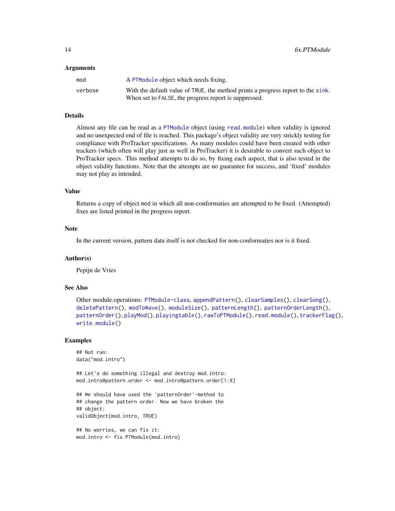#### Arguments

| mod     | A PTModule object which needs fixing.                                            |
|---------|----------------------------------------------------------------------------------|
| verbose | With the default value of TRUE, the method prints a progress report to the sink. |
|         | When set to FALSE, the progress report is suppressed.                            |

# Details

Almost any file can be read as a [PTModule](#page-69-1) object (using [read.module](#page-86-1)) when validity is ignored and no unexpected end of file is reached. This package's object validity are very strickly testing for compliance with ProTracker specifications. As many modules could have been created with other trackers (which often will play just as well in ProTracker) it is desirable to convert such object to ProTracker specs. This method attempts to do so, by fixing each aspect, that is also tested in the object validity functions. Note that the attempts are no guarantee for success, and 'fixed' modules may not play as intended.

# Value

Returns a copy of object mod in which all non-conformaties are attempted to be fixed. (Attempted) fixes are listed printed in the progress report.

# Note

In the current version, pattern data itself is not checked for non-conformaties nor is it fixed.

# Author(s)

Pepijn de Vries

# See Also

```
Other module.operations: PTModule-class, appendPattern(), clearSamples(), clearSong(),
deletePattern(), modToWave(), moduleSize(), patternLength(), patternOrderLength(),
patternOrder(), playMod(), playingtable(), rawToPTModule(), read.module(), trackerFlag(),
write.module()
```
#### Examples

```
## Not run:
data("mod.intro")
```

```
## Let's do something illegal and destroy mod.intro:
mod.intro@pattern.order <- mod.intro@pattern.order[1:9]
```

```
## We should have used the 'patternOrder'-method to
## change the pattern order. Now we have broken the
## object:
validObject(mod.intro, TRUE)
```

```
## No worries, we can fix it:
mod.intro <- fix.PTModule(mod.intro)
```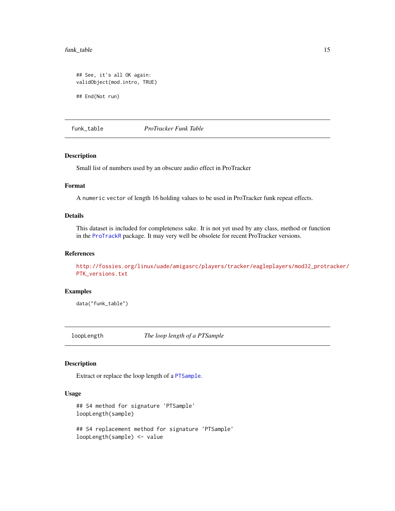```
## See, it's all OK again:
validObject(mod.intro, TRUE)
## End(Not run)
```
funk\_table *ProTracker Funk Table*

# Description

Small list of numbers used by an obscure audio effect in ProTracker

#### Format

A numeric vector of length 16 holding values to be used in ProTracker funk repeat effects.

# Details

This dataset is included for completeness sake. It is not yet used by any class, method or function in the [ProTrackR](#page-61-1) package. It may very well be obsolete for recent ProTracker versions.

#### References

[http://fossies.org/linux/uade/amigasrc/players/tracker/eagleplayers/mod32\\_protra](http://fossies.org/linux/uade/amigasrc/players/tracker/eagleplayers/mod32_protracker/PTK_versions.txt)cker/ [PTK\\_versions.txt](http://fossies.org/linux/uade/amigasrc/players/tracker/eagleplayers/mod32_protracker/PTK_versions.txt)

# Examples

data("funk\_table")

<span id="page-14-1"></span>loopLength *The loop length of a PTSample*

#### Description

Extract or replace the loop length of a [PTSample](#page-75-1).

# Usage

```
## S4 method for signature 'PTSample'
loopLength(sample)
```
## S4 replacement method for signature 'PTSample' loopLength(sample) <- value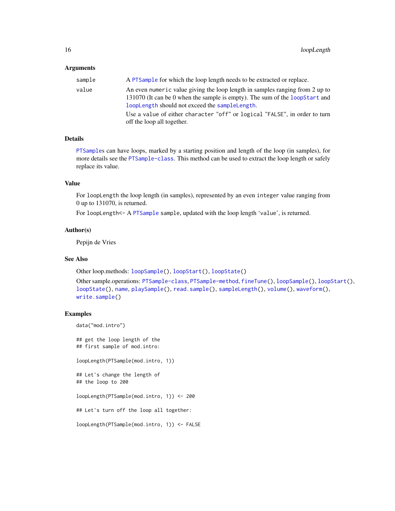# Arguments

| sample | A PTSample for which the loop length needs to be extracted or replace.                                                                                                                                        |
|--------|---------------------------------------------------------------------------------------------------------------------------------------------------------------------------------------------------------------|
| value  | An even numeric value giving the loop length in samples ranging from 2 up to<br>131070 (It can be 0 when the sample is empty). The sum of the loopStart and<br>loopLength should not exceed the sampleLength. |
|        | Use a value of either character "off" or logical "FALSE", in order to turn<br>off the loop all together.                                                                                                      |

# Details

[PTSample](#page-75-1)s can have loops, marked by a starting position and length of the loop (in samples), for more details see the [PTSample-class](#page-75-2). This method can be used to extract the loop length or safely replace its value.

# Value

For loopLength the loop length (in samples), represented by an even integer value ranging from 0 up to 131070, is returned.

For loopLength<- A [PTSample](#page-75-1) sample, updated with the loop length 'value', is returned.

# Author(s)

Pepijn de Vries

# See Also

Other loop.methods: [loopSample\(](#page-16-1)), [loopStart\(](#page-17-1)), [loopState\(](#page-18-1))

```
Other sample.operations: PTSample-class, PTSample-method, fineTune(), loopSample(), loopStart(),
loopState(), name, playSample(), read.sample(), sampleLength(), volume(), waveform(),
write.sample()
```
#### Examples

```
data("mod.intro")
## get the loop length of the
## first sample of mod.intro:
```
loopLength(PTSample(mod.intro, 1))

```
## Let's change the length of
## the loop to 200
```
loopLength(PTSample(mod.intro, 1)) <- 200

## Let's turn off the loop all together:

```
loopLength(PTSample(mod.intro, 1)) <- FALSE
```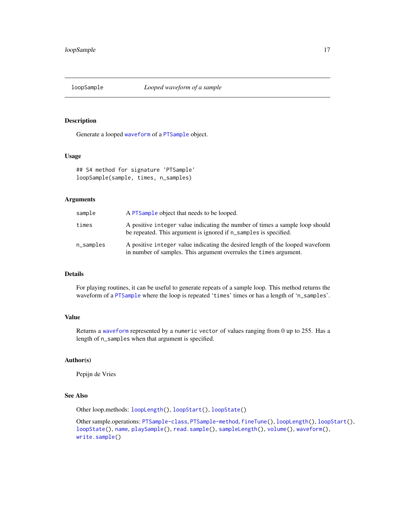<span id="page-16-1"></span><span id="page-16-0"></span>

Generate a looped [waveform](#page-99-1) of a [PTSample](#page-75-1) object.

# Usage

## S4 method for signature 'PTSample' loopSample(sample, times, n\_samples)

# Arguments

| sample    | A PTSample object that needs to be looped.                                                                                                         |
|-----------|----------------------------------------------------------------------------------------------------------------------------------------------------|
| times     | A positive integer value indicating the number of times a sample loop should<br>be repeated. This argument is ignored if n_samples is specified.   |
| n_samples | A positive integer value indicating the desired length of the looped waveform<br>in number of samples. This argument overrules the times argument. |

# Details

For playing routines, it can be useful to generate repeats of a sample loop. This method returns the waveform of a [PTSample](#page-75-1) where the loop is repeated 'times' times or has a length of 'n\_samples'.

# Value

Returns a [waveform](#page-99-1) represented by a numeric vector of values ranging from 0 up to 255. Has a length of n\_samples when that argument is specified.

# Author(s)

Pepijn de Vries

# See Also

Other loop.methods: [loopLength\(](#page-14-1)), [loopStart\(](#page-17-1)), [loopState\(](#page-18-1))

Other sample.operations: [PTSample-class](#page-75-2), [PTSample-method](#page-77-1), [fineTune\(](#page-11-1)), [loopLength\(](#page-14-1)), [loopStart\(](#page-17-1)), [loopState\(](#page-18-1)), [name](#page-33-1), [playSample\(](#page-55-1)), [read.sample\(](#page-88-1)), [sampleLength\(](#page-90-1)), [volume\(](#page-98-1)), [waveform\(](#page-99-1)), [write.sample\(](#page-102-1))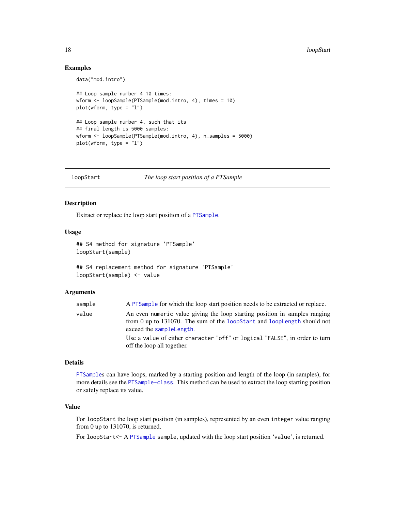# Examples

```
data("mod.intro")
## Loop sample number 4 10 times:
wform <- loopSample(PTSample(mod.intro, 4), times = 10)
plot(wform, type = "l")
## Loop sample number 4, such that its
## final length is 5000 samples:
wform <- loopSample(PTSample(mod.intro, 4), n_samples = 5000)
plot(wform, type = "l")
```
<span id="page-17-1"></span>loopStart *The loop start position of a PTSample*

#### Description

Extract or replace the loop start position of a [PTSample](#page-75-1).

#### Usage

```
## S4 method for signature 'PTSample'
loopStart(sample)
```

```
## S4 replacement method for signature 'PTSample'
loopStart(sample) <- value
```
#### Arguments

| sample | A PTS ample for which the loop start position needs to be extracted or replace.                                                                                                   |
|--------|-----------------------------------------------------------------------------------------------------------------------------------------------------------------------------------|
| value  | An even numeric value giving the loop starting position in samples ranging<br>from 0 up to 131070. The sum of the loopStart and loopLength should not<br>exceed the sampleLength. |
|        | Use a value of either character "off" or logical "FALSE", in order to turn<br>off the loop all together.                                                                          |

#### Details

[PTSample](#page-75-1)s can have loops, marked by a starting position and length of the loop (in samples), for more details see the [PTSample-class](#page-75-2). This method can be used to extract the loop starting position or safely replace its value.

#### Value

For loopStart the loop start position (in samples), represented by an even integer value ranging from 0 up to 131070, is returned.

For loopStart<- A [PTSample](#page-75-1) sample, updated with the loop start position 'value', is returned.

<span id="page-17-0"></span>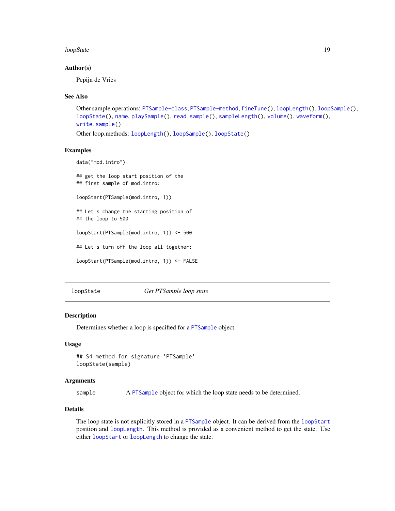#### <span id="page-18-0"></span>loopState to the control of the control of the control of the control of the control of the control of the control of the control of the control of the control of the control of the control of the control of the control of

# Author(s)

Pepijn de Vries

#### See Also

```
Other sample.operations: PTSample-class, PTSample-method, fineTune(), loopLength(), loopSample(),
loopState(), name, playSample(), read.sample(), sampleLength(), volume(), waveform(),
write.sample()
```
Other loop.methods: [loopLength\(](#page-14-1)), [loopSample\(](#page-16-1)), [loopState\(](#page-18-1))

#### Examples

```
data("mod.intro")
## get the loop start position of the
## first sample of mod.intro:
loopStart(PTSample(mod.intro, 1))
## Let's change the starting position of
## the loop to 500
loopStart(PTSample(mod.intro, 1)) <- 500
## Let's turn off the loop all together:
loopStart(PTSample(mod.intro, 1)) <- FALSE
```
<span id="page-18-1"></span>loopState *Get PTSample loop state*

# Description

Determines whether a loop is specified for a [PTSample](#page-75-1) object.

# Usage

```
## S4 method for signature 'PTSample'
loopState(sample)
```
#### Arguments

sample A [PTSample](#page-75-1) object for which the loop state needs to be determined.

# Details

The loop state is not explicitly stored in a [PTSample](#page-75-1) object. It can be derived from the [loopStart](#page-17-1) position and [loopLength](#page-14-1). This method is provided as a convenient method to get the state. Use either [loopStart](#page-17-1) or [loopLength](#page-14-1) to change the state.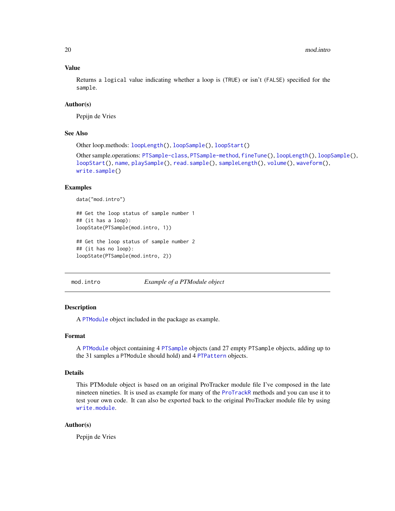# Value

Returns a logical value indicating whether a loop is (TRUE) or isn't (FALSE) specified for the sample.

# Author(s)

Pepijn de Vries

# See Also

Other loop.methods: [loopLength\(](#page-14-1)), [loopSample\(](#page-16-1)), [loopStart\(](#page-17-1))

```
Other sample.operations: PTSample-class, PTSample-method, fineTune(), loopLength(), loopSample(),
loopStart(), name, playSample(), read.sample(), sampleLength(), volume(), waveform(),
write.sample()
```
# Examples

```
data("mod.intro")
```

```
## Get the loop status of sample number 1
## (it has a loop):
loopState(PTSample(mod.intro, 1))
## Get the loop status of sample number 2
## (it has no loop):
```
loopState(PTSample(mod.intro, 2))

#### mod.intro *Example of a PTModule object*

# Description

A [PTModule](#page-69-1) object included in the package as example.

### Format

A [PTModule](#page-69-1) object containing 4 [PTSample](#page-75-1) objects (and 27 empty PTSample objects, adding up to the 31 samples a PTModule should hold) and 4 [PTPattern](#page-71-1) objects.

# Details

This PTModule object is based on an original ProTracker module file I've composed in the late nineteen nineties. It is used as example for many of the [ProTrackR](#page-61-1) methods and you can use it to test your own code. It can also be exported back to the original ProTracker module file by using [write.module](#page-101-1).

# Author(s)

Pepijn de Vries

<span id="page-19-0"></span>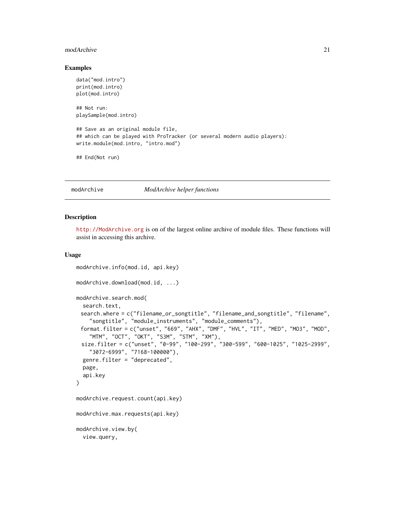#### <span id="page-20-0"></span>modArchive 21

#### Examples

```
data("mod.intro")
print(mod.intro)
plot(mod.intro)
## Not run:
playSample(mod.intro)
## Save as an original module file,
## which can be played with ProTracker (or several modern audio players):
write.module(mod.intro, "intro.mod")
## End(Not run)
```
# <span id="page-20-1"></span>modArchive *ModArchive helper functions*

#### Description

<http://ModArchive.org> is on of the largest online archive of module files. These functions will assist in accessing this archive.

#### Usage

```
modArchive.info(mod.id, api.key)
modArchive.download(mod.id, ...)
modArchive.search.mod(
  search.text,
 search.where = c("filename_or_songtitle", "filename_and_songtitle", "filename",
    "songtitle", "module_instruments", "module_comments"),
 format.filter = c("unset", "669", "AHX", "DMF", "HVL", "IT", "MED", "MO3", "MOD",
    "MTM", "OCT", "OKT", "S3M", "STM", "XM"),
 size.filter = c("unset", "0-99", "100-299", "300-599", "600-1025", "1025-2999",
    "3072-6999", "7168-100000"),
 genre.filter = "deprecated",
 page,
  api.key
)
modArchive.request.count(api.key)
modArchive.max.requests(api.key)
modArchive.view.by(
  view.query,
```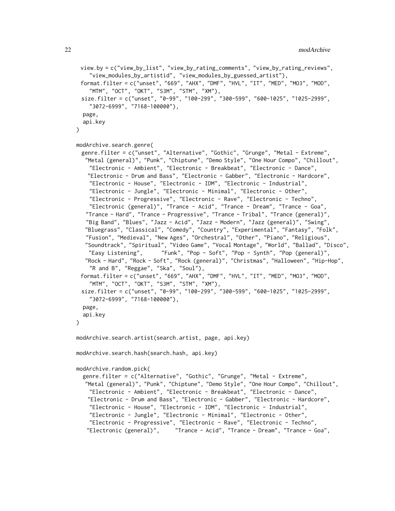```
22 modArchive modArchive modArchive
```

```
view.by = c("view_by_list", "view_by_rating_comments", "view_by_rating_reviews",
    "view_modules_by_artistid", "view_modules_by_guessed_artist"),
 format.filter = c("unset", "669", "AHX", "DMF", "HVL", "IT", "MED", "MO3", "MOD",
    "MTM", "OCT", "OKT", "S3M", "STM", "XM"),
 size.filter = c("unset", "0-99", "100-299", "300-599", "600-1025", "1025-2999",
    "3072-6999", "7168-100000"),
 page,
 api.key
)
modArchive.search.genre(
 genre.filter = c("unset", "Alternative", "Gothic", "Grunge", "Metal - Extreme",
  "Metal (general)", "Punk", "Chiptune", "Demo Style", "One Hour Compo", "Chillout",
    "Electronic - Ambient", "Electronic - Breakbeat", "Electronic - Dance",
   "Electronic - Drum and Bass", "Electronic - Gabber", "Electronic - Hardcore",
    "Electronic - House", "Electronic - IDM", "Electronic - Industrial",
    "Electronic - Jungle", "Electronic - Minimal", "Electronic - Other",
    "Electronic - Progressive", "Electronic - Rave", "Electronic - Techno",
    "Electronic (general)", "Trance - Acid", "Trance - Dream", "Trance - Goa",
   "Trance - Hard", "Trance - Progressive", "Trance - Tribal", "Trance (general)",
   "Big Band", "Blues", "Jazz - Acid", "Jazz - Modern", "Jazz (general)", "Swing",
  "Bluegrass", "Classical", "Comedy", "Country", "Experimental", "Fantasy", "Folk",
   "Fusion", "Medieval", "New Ages", "Orchestral", "Other", "Piano", "Religious",
  "Soundtrack", "Spiritual", "Video Game", "Vocal Montage", "World", "Ballad", "Disco",
   "Easy Listening", "Funk", "Pop - Soft", "Pop - Synth", "Pop (general)",
   "Rock - Hard", "Rock - Soft", "Rock (general)", "Christmas", "Halloween", "Hip-Hop",
    "R and B", "Reggae", "Ska", "Soul"),
 format.filter = c("unset", "669", "AHX", "DMF", "HVL", "IT", "MED", "MO3", "MOD",
    "MTM", "OCT", "OKT", "S3M", "STM", "XM"),
 size.filter = c("unset", "0-99", "100-299", "300-599", "600-1025", "1025-2999",
    "3072-6999", "7168-100000"),
 page,
  api.key
\lambdamodArchive.search.artist(search.artist, page, api.key)
modArchive.search.hash(search.hash, api.key)
modArchive.random.pick(
  genre.filter = c("Alternative", "Gothic", "Grunge", "Metal - Extreme",
   "Metal (general)", "Punk", "Chiptune", "Demo Style", "One Hour Compo", "Chillout",
    "Electronic - Ambient", "Electronic - Breakbeat", "Electronic - Dance",
   "Electronic - Drum and Bass", "Electronic - Gabber", "Electronic - Hardcore",
    "Electronic - House", "Electronic - IDM", "Electronic - Industrial",
    "Electronic - Jungle", "Electronic - Minimal", "Electronic - Other",
    "Electronic - Progressive", "Electronic - Rave", "Electronic - Techno",
   "Electronic (general)", "Trance - Acid", "Trance - Dream", "Trance - Goa",
```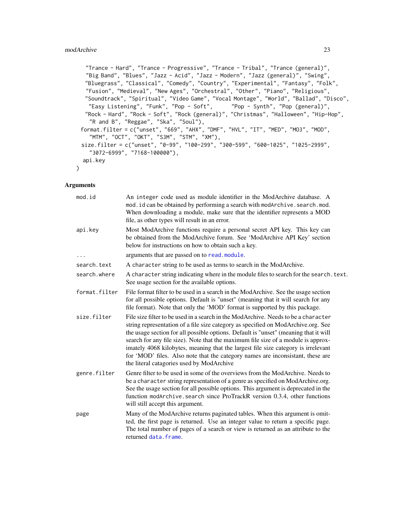```
"Trance - Hard", "Trance - Progressive", "Trance - Tribal", "Trance (general)",
 "Big Band", "Blues", "Jazz - Acid", "Jazz - Modern", "Jazz (general)", "Swing",
 "Bluegrass", "Classical", "Comedy", "Country", "Experimental", "Fantasy", "Folk",
 "Fusion", "Medieval", "New Ages", "Orchestral", "Other", "Piano", "Religious",
 "Soundtrack", "Spiritual", "Video Game", "Vocal Montage", "World", "Ballad", "Disco",
  "Easy Listening", "Funk", "Pop - Soft", "Pop - Synth", "Pop (general)",
 "Rock - Hard", "Rock - Soft", "Rock (general)", "Christmas", "Halloween", "Hip-Hop",
  "R and B", "Reggae", "Ska", "Soul"),
format.filter = c("unset", "669", "AHX", "DMF", "HVL", "IT", "MED", "MO3", "MOD",
  "MTM", "OCT", "OKT", "S3M", "STM", "XM"),
size.filter = c("unset", "0-99", "100-299", "300-599", "600-1025", "1025-2999",
  "3072-6999", "7168-100000"),
api.key
```
#### Arguments

 $\mathcal{L}$ 

| mod.id        | An integer code used as module identifier in the ModArchive database. A<br>mod. id can be obtained by performing a search with modArchive. search. mod.<br>When downloading a module, make sure that the identifier represents a MOD<br>file, as other types will result in an error.                                                                                                                                                                                                                                                                                    |
|---------------|--------------------------------------------------------------------------------------------------------------------------------------------------------------------------------------------------------------------------------------------------------------------------------------------------------------------------------------------------------------------------------------------------------------------------------------------------------------------------------------------------------------------------------------------------------------------------|
| api.key       | Most ModArchive functions require a personal secret API key. This key can<br>be obtained from the ModArchive forum. See 'ModArchive API Key' section<br>below for instructions on how to obtain such a key.                                                                                                                                                                                                                                                                                                                                                              |
|               | arguments that are passed on to read. module.                                                                                                                                                                                                                                                                                                                                                                                                                                                                                                                            |
| search.text   | A character string to be used as terms to search in the ModArchive.                                                                                                                                                                                                                                                                                                                                                                                                                                                                                                      |
| search.where  | A character string indicating where in the module files to search for the search. text.<br>See usage section for the available options.                                                                                                                                                                                                                                                                                                                                                                                                                                  |
| format.filter | File format filter to be used in a search in the ModArchive. See the usage section<br>for all possible options. Default is "unset" (meaning that it will search for any<br>file format). Note that only the 'MOD' format is supported by this package.                                                                                                                                                                                                                                                                                                                   |
| size.filter   | File size filter to be used in a search in the ModArchive. Needs to be a character<br>string representation of a file size category as specified on ModArchive.org. See<br>the usage section for all possible options. Default is "unset" (meaning that it will<br>search for any file size). Note that the maximum file size of a module is approx-<br>imately 4068 kilobytes, meaning that the largest file size category is irrelevant<br>for 'MOD' files. Also note that the category names are inconsistant, these are<br>the literal catagories used by ModArchive |
| genre.filter  | Genre filter to be used in some of the overviews from the ModArchive. Needs to<br>be a character string representation of a genre as specified on ModArchive.org.<br>See the usage section for all possible options. This argument is deprecated in the<br>function modArchive.search since ProTrackR version 0.3.4, other functions<br>will still accept this argument.                                                                                                                                                                                                 |
| page          | Many of the ModArchive returns paginated tables. When this argument is omit-<br>ted, the first page is returned. Use an integer value to return a specific page.<br>The total number of pages of a search or view is returned as an attribute to the<br>returned data.frame.                                                                                                                                                                                                                                                                                             |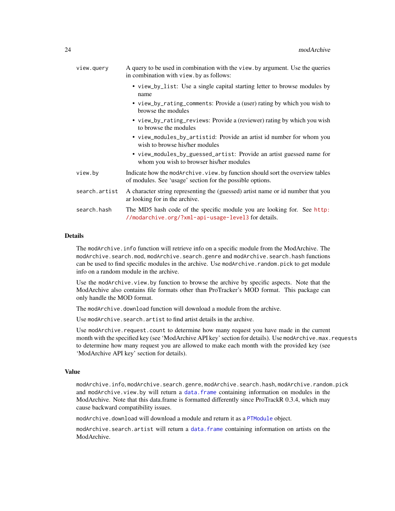| view.query    | A query to be used in combination with the view by argument. Use the queries<br>in combination with view. by as follows:                    |
|---------------|---------------------------------------------------------------------------------------------------------------------------------------------|
|               | • view_by_list: Use a single capital starting letter to browse modules by<br>name                                                           |
|               | • view_by_rating_comments: Provide a (user) rating by which you wish to<br>browse the modules                                               |
|               | • view_by_rating_reviews: Provide a (reviewer) rating by which you wish<br>to browse the modules                                            |
|               | • view_modules_by_artistid: Provide an artistid number for whom you<br>wish to browse his/her modules                                       |
|               | • view_modules_by_guessed_artist: Provide an artist guessed name for<br>whom you wish to browser his/her modules                            |
| view.by       | Indicate how the modarchive. view. by function should sort the overview tables<br>of modules. See 'usage' section for the possible options. |
| search.artist | A character string representing the (guessed) artist name or id number that you<br>ar looking for in the archive.                           |
| search.hash   | The MD5 hash code of the specific module you are looking for. See http:<br>//modarchive.org/?xml-api-usage-level3 for details.              |
|               |                                                                                                                                             |

# **Details**

The modArchive.info function will retrieve info on a specific module from the ModArchive. The modArchive.search.mod, modArchive.search.genre and modArchive.search.hash functions can be used to find specific modules in the archive. Use modArchive. random. pick to get module info on a random module in the archive.

Use the modArchive.view.by function to browse the archive by specific aspects. Note that the ModArchive also contains file formats other than ProTracker's MOD format. This package can only handle the MOD format.

The modArchive.download function will download a module from the archive.

Use modArchive. search. artist to find artist details in the archive.

Use modArchive.request.count to determine how many request you have made in the current month with the specified key (see 'ModArchive API key' section for details). Use modArchive.max.requests to determine how many request you are allowed to make each month with the provided key (see 'ModArchive API key' section for details).

# Value

modArchive.info, modArchive.search.genre, modArchive.search.hash, modArchive.random.pick and modArchive.view.by will return a [data.frame](#page-0-0) containing information on modules in the ModArchive. Note that this data.frame is formatted differently since ProTrackR 0.3.4, which may cause backward compatibility issues.

modArchive.download will download a module and return it as a [PTModule](#page-69-1) object.

modArchive.search.artist will return a [data.frame](#page-0-0) containing information on artists on the ModArchive.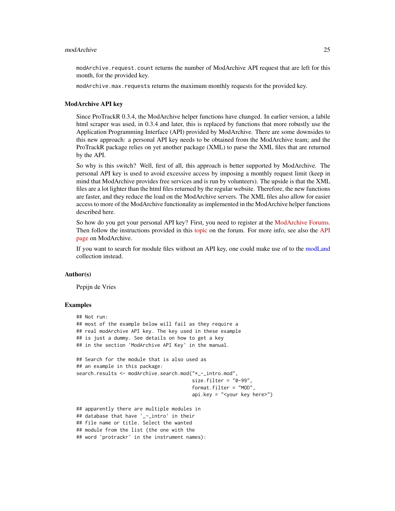#### modArchive 25

modArchive.request.count returns the number of ModArchive API request that are left for this month, for the provided key.

modArchive.max.requests returns the maximum monthly requests for the provided key.

#### ModArchive API key

Since ProTrackR 0.3.4, the ModArchive helper functions have changed. In earlier version, a labile html scraper was used, in 0.3.4 and later, this is replaced by functions that more robustly use the Application Programming Interface (API) provided by ModArchive. There are some downsides to this new approach: a personal API key needs to be obtained from the ModArchive team; and the ProTrackR package relies on yet another package (XML) to parse the XML files that are returned by the API.

So why is this switch? Well, first of all, this approach is better supported by ModArchive. The personal API key is used to avoid excessive access by imposing a monthly request limit (keep in mind that ModArchive provides free services and is run by volunteers). The upside is that the XML files are a lot lighter than the html files returned by the regular website. Therefore, the new functions are faster, and they reduce the load on the ModArchive servers. The XML files also allow for easier access to more of the ModArchive functionality as implemented in the ModArchive helper functions described here.

So how do you get your personal API key? First, you need to register at the [ModArchive Forums.](https://modarchive.org/forums/) Then follow the instructions provided in this [topic](https://modarchive.org/forums/index.php?topic=1950.0) on the forum. For more info, see also the [API](http://modarchive.org/?xml-api) [page](http://modarchive.org/?xml-api) on ModArchive.

If you want to search for module files without an API key, one could make use of to the [modLand](#page-25-1) collection instead.

# Author(s)

Pepijn de Vries

# Examples

```
## Not run:
## most of the example below will fail as they require a
## real modArchive API key. The key used in these example
## is just a dummy. See details on how to get a key
## in the section 'ModArchive API Key' in the manual.
## Search for the module that is also used as
## an example in this package:
search.results <- modArchive.search.mod("*_-_intro.mod",
                                        size.filter = "0-99",
                                        format.filter = "MOD",
                                        api.key = "<your key here>")
## apparently there are multiple modules in
## database that have '_-_intro' in their
## file name or title. Select the wanted
## module from the list (the one with the
```
## word 'protrackr' in the instrument names):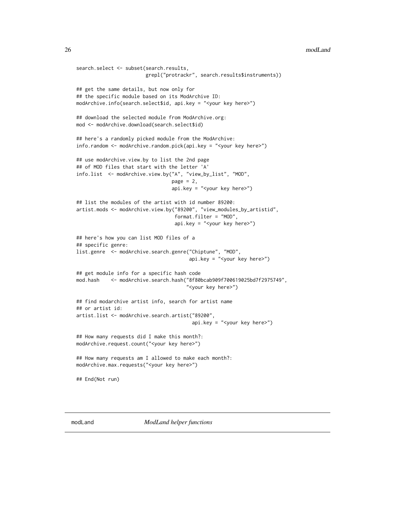```
search.select <- subset(search.results,
                        grepl("protrackr", search.results$instruments))
## get the same details, but now only for
## the specific module based on its ModArchive ID:
modArchive.info(search.select$id, api.key = "<your key here>")
## download the selected module from ModArchive.org:
mod <- modArchive.download(search.select$id)
## here's a randomly picked module from the ModArchive:
info.random <- modArchive.random.pick(api.key = "<your key here>")
## use modArchive.view.by to list the 2nd page
## of MOD files that start with the letter 'A'
info.list <- modArchive.view.by("A", "view_by_list", "MOD",
                                 page = 2,
                                 api.key = "<your key here>")
## list the modules of the artist with id number 89200:
artist.mods <- modArchive.view.by("89200", "view_modules_by_artistid",
                                  format.filter = "MOD",
                                  api.key = "<your key here>")
## here's how you can list MOD files of a
## specific genre:
list.genre <- modArchive.search.genre("Chiptune", "MOD",
                                       api.key = "<your key here>")
## get module info for a specific hash code
mod.hash <- modArchive.search.hash("8f80bcab909f700619025bd7f2975749",
                                      "<your key here>")
## find modarchive artist info, search for artist name
## or artist id:
artist.list <- modArchive.search.artist("89200",
                                        api.key = "<your key here>")
## How many requests did I make this month?:
modArchive.request.count("<your key here>")
## How many requests am I allowed to make each month?:
modArchive.max.requests("<your key here>")
## End(Not run)
```
<span id="page-25-1"></span>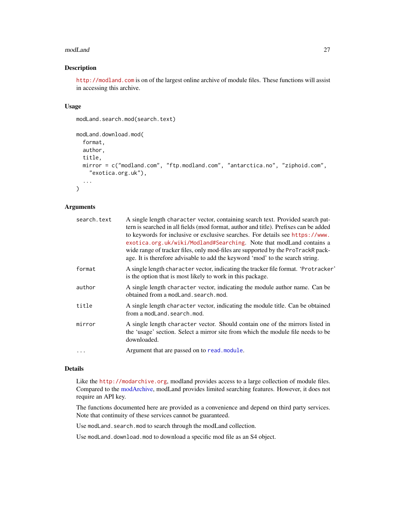#### modLand 27

# Description

<http://modland.com> is on of the largest online archive of module files. These functions will assist in accessing this archive.

# Usage

```
modLand.search.mod(search.text)
```

```
modLand.download.mod(
  format,
 author,
 title,
 mirror = c("modland.com", "ftp.modland.com", "antarctica.no", "ziphoid.com",
    "exotica.org.uk"),
  ...
)
```
# Arguments

| search.text | A single length character vector, containing search text. Provided search pat-<br>tern is searched in all fields (mod format, author and title). Prefixes can be added<br>to keywords for inclusive or exclusive searches. For details see https://www.<br>exotica.org.uk/wiki/Modland#Searching. Note that modLand contains a<br>wide range of tracker files, only mod-files are supported by the ProTrackR pack-<br>age. It is therefore advisable to add the keyword 'mod' to the search string. |
|-------------|-----------------------------------------------------------------------------------------------------------------------------------------------------------------------------------------------------------------------------------------------------------------------------------------------------------------------------------------------------------------------------------------------------------------------------------------------------------------------------------------------------|
| format      | A single length character vector, indicating the tracker file format. 'Protracker'<br>is the option that is most likely to work in this package.                                                                                                                                                                                                                                                                                                                                                    |
| author      | A single length character vector, indicating the module author name. Can be<br>obtained from a modLand, search, mod.                                                                                                                                                                                                                                                                                                                                                                                |
| title       | A single length character vector, indicating the module title. Can be obtained<br>from a modLand. search. mod.                                                                                                                                                                                                                                                                                                                                                                                      |
| mirror      | A single length character vector. Should contain one of the mirrors listed in<br>the 'usage' section. Select a mirror site from which the module file needs to be<br>downloaded.                                                                                                                                                                                                                                                                                                                    |
| $\ddots$    | Argument that are passed on to read.module.                                                                                                                                                                                                                                                                                                                                                                                                                                                         |

# Details

Like the <http://modarchive.org>, modland provides access to a large collection of module files. Compared to the [modArchive,](#page-20-1) modLand provides limited searching features. However, it does not require an API key.

The functions documented here are provided as a convenience and depend on third party services. Note that continuity of these services cannot be guaranteed.

Use modLand.search.mod to search through the modLand collection.

Use modLand.download.mod to download a specific mod file as an S4 object.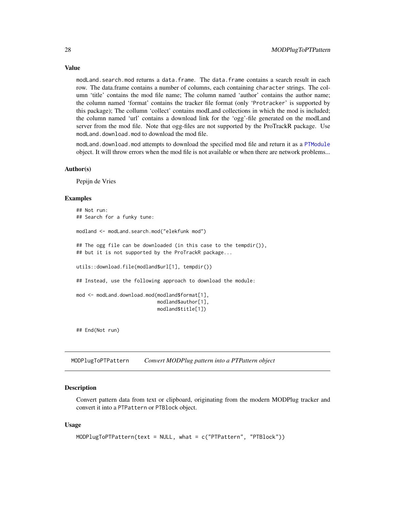modLand.search.mod returns a data.frame. The data.frame contains a search result in each row. The data.frame contains a number of columns, each containing character strings. The column 'title' contains the mod file name; The column named 'author' contains the author name; the column named 'format' contains the tracker file format (only 'Protracker' is supported by this package); The collumn 'collect' contains modLand collections in which the mod is included; the column named 'url' contains a download link for the 'ogg'-file generated on the modLand server from the mod file. Note that ogg-files are not supported by the ProTrackR package. Use modLand.download.mod to download the mod file.

modLand.download.mod attempts to download the specified mod file and return it as a [PTModule](#page-69-1) object. It will throw errors when the mod file is not available or when there are network problems...

#### Author(s)

Pepijn de Vries

#### Examples

```
## Not run:
## Search for a funky tune:
modland <- modLand.search.mod("elekfunk mod")
## The ogg file can be downloaded (in this case to the tempdir()),
## but it is not supported by the ProTrackR package...
utils::download.file(modland$url[1], tempdir())
## Instead, use the following approach to download the module:
mod <- modLand.download.mod(modland$format[1],
                            modland$author[1],
                            modland$title[1])
```
## End(Not run)

<span id="page-27-1"></span>MODPlugToPTPattern *Convert MODPlug pattern into a PTPattern object*

# Description

Convert pattern data from text or clipboard, originating from the modern MODPlug tracker and convert it into a PTPattern or PTBlock object.

# Usage

```
MODPlugToPTPattern(text = NULL, what = c("PTPattern", "PTBlock"))
```
<span id="page-27-0"></span>

# Value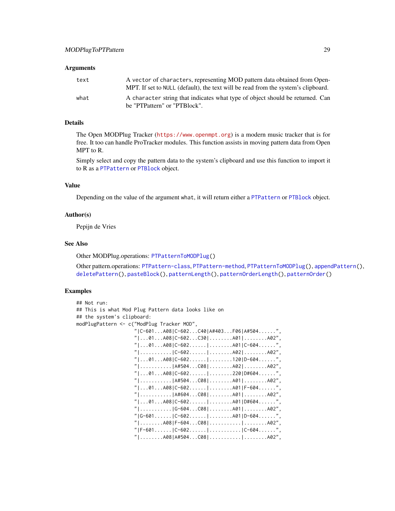# Arguments

| text | A vector of characters, representing MOD pattern data obtained from Open-<br>MPT. If set to NULL (default), the text will be read from the system's clipboard. |
|------|----------------------------------------------------------------------------------------------------------------------------------------------------------------|
| what | A character string that indicates what type of object should be returned. Can                                                                                  |
|      | be "PTPattern" or "PTBlock".                                                                                                                                   |

# Details

The Open MODPlug Tracker (<https://www.openmpt.org>) is a modern music tracker that is for free. It too can handle ProTracker modules. This function assists in moving pattern data from Open MPT to R.

Simply select and copy the pattern data to the system's clipboard and use this function to import it to R as a [PTPattern](#page-71-1) or [PTBlock](#page-64-1) object.

# Value

Depending on the value of the argument what, it will return either a [PTPattern](#page-71-1) or [PTBlock](#page-64-1) object.

# Author(s)

Pepijn de Vries

# See Also

Other MODPlug.operations: [PTPatternToMODPlug\(](#page-74-1))

Other pattern.operations: [PTPattern-class](#page-71-2), [PTPattern-method](#page-72-1), [PTPatternToMODPlug\(](#page-74-1)), [appendPattern\(](#page-2-1)), [deletePattern\(](#page-9-1)), [pasteBlock\(](#page-44-1)), [patternLength\(](#page-45-1)), [patternOrderLength\(](#page-48-1)), [patternOrder\(](#page-46-1))

# Examples

```
## Not run:
## This is what Mod Plug Pattern data looks like on
## the system's clipboard:
modPlugPattern <- c("ModPlug Tracker MOD",
                     "|C-601...A08|C-602...C40|A#403...F06|A#504......",
                     "|...01...A08|C-602...C30|......A01|......A02""|...01...A08|C-602......|......A01|C-604......""|...........|C-602......|........A02|........A02",
                     "|...01...A08|C-602......|......120|D-604......""|\ldots\dots\dots|\text{A#504}\ldots\text{C08}|\ldots\dots\text{A02}|\ldots\dots\text{A02}""|...01...A08|C-602......|......1220|D#604......""|\ldots\dots\dots.|A#504...C08|\ldots\dots..A01|\ldots\dots..A02",
                     "|...01...A08|C-602......|......A01|F-604......""|...............|A#604...C08|........A01|........A02"
                     "|...01...A08|C-602......|......A01|D#604......""|................|G-604...C08|.........A01|.........A02"
                     "| G-601......| C-602......|..........A01| D-604......"
                     "|........A08|F-604...C08|...........|..........A02"
                     "|F-601......|C-602......|............|C-604......"
                     "|........A08|A#504...C08|...........|.........A02",
```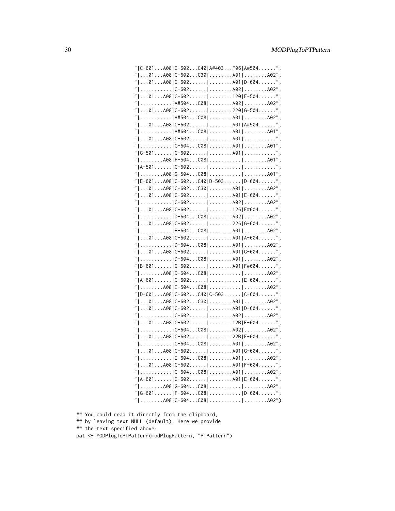| $"$ $ C-601$ A08 $ C-602$ C40 $ A#403$ F06 $ A#504"$ ,                                                                                                                           |  |  |  |  |
|----------------------------------------------------------------------------------------------------------------------------------------------------------------------------------|--|--|--|--|
| $"   \ldots 01 \ldots A08   C-602 \ldots C30   \ldots \ldots A01   \ldots \ldots A02",$                                                                                          |  |  |  |  |
| $"   \ldots 01 \ldots A08   C-602 \ldots   \ldots   \ldots A01   D-604 \ldots "$                                                                                                 |  |  |  |  |
|                                                                                                                                                                                  |  |  |  |  |
| $"   \ldots \ldots \ldots   C - 602 \ldots \ldots   \ldots \ldots A02   \ldots \ldots A02"$<br>$"   \ldots 01 \ldots A08   C-602 \ldots 1 \ldots 1 \ldots 120   F-504 \ldots 1"$ |  |  |  |  |
|                                                                                                                                                                                  |  |  |  |  |
| $" \ldots\ldots\ldots\ldots$   A#504C08   A02   A02",                                                                                                                            |  |  |  |  |
| $"   \ldots 01 \ldots A08   C-602 \ldots   \ldots \ldots 220   G-504 \ldots "$                                                                                                   |  |  |  |  |
| $"   \ldots \ldots \ldots  $ A#504C08 A01 A02",                                                                                                                                  |  |  |  |  |
| $"   \ldots 01 \ldots A08   C - 602 \ldots   \ldots \ldots A01   A#504 \ldots \ldots$                                                                                            |  |  |  |  |
| $"   \dots \dots \dots  $ A#604C08 $   \dots \dots \dots$ A01 $   \dots \dots \dots$ A01"                                                                                        |  |  |  |  |
| $"   \ldots 01 \ldots A08   C-602 \ldots   \ldots   \ldots A01   \ldots   \ldots  "$                                                                                             |  |  |  |  |
| $"   \ldots \ldots \ldots  $ G-604C08 $   \ldots \ldots \ldots$ A01 $   \ldots \ldots \ldots$ A01",                                                                              |  |  |  |  |
|                                                                                                                                                                                  |  |  |  |  |
|                                                                                                                                                                                  |  |  |  |  |
| $"   A-501   C-602          $                                                                                                                                                    |  |  |  |  |
|                                                                                                                                                                                  |  |  |  |  |
| $"$  E-601A08 C-602C40 D-503 D-604",                                                                                                                                             |  |  |  |  |
| $"   \ldots 01 \ldots A08   C-602 \ldots C30   \ldots \ldots A01   \ldots \ldots A02",$                                                                                          |  |  |  |  |
| $"   \ldots 01 \ldots A08   C-602 \ldots   \ldots   \ldots A01   E-604 \ldots "$                                                                                                 |  |  |  |  |
| $"   \ldots \ldots \ldots   C-602 \ldots \ldots   \ldots \ldots A02   \ldots \ldots A02"$                                                                                        |  |  |  |  |
| $"   \ldots 01 \ldots A08   C-602 \ldots   \ldots   \ldots 126   F#604 \ldots "$                                                                                                 |  |  |  |  |
| $" \ldots\ldots\ldots\ldots $ D-604C08 A02 A02",                                                                                                                                 |  |  |  |  |
| $"   \ldots 01 \ldots A08   C-602 \ldots   \ldots   \ldots 226   G-604 \ldots "$                                                                                                 |  |  |  |  |
| $"   \ldots \ldots \ldots   E-604 \ldots C08   \ldots \ldots A01   \ldots \ldots A02",$                                                                                          |  |  |  |  |
| $"   \ldots 01 \ldots A08   C-602 \ldots   \ldots   \ldots A01   A-604 \ldots "$                                                                                                 |  |  |  |  |
| $"   \ldots \ldots \ldots   D-604 \ldots C08   \ldots \ldots A01   \ldots \ldots A02",$                                                                                          |  |  |  |  |
|                                                                                                                                                                                  |  |  |  |  |
| $"   \ldots 01 \ldots A08   C - 602 \ldots   \ldots \ldots A01   G - 604 \ldots \ldots$                                                                                          |  |  |  |  |
| $" $  D-604C08 A01 A02"                                                                                                                                                          |  |  |  |  |
| $"$  B-601 C-602 A01 F#604",                                                                                                                                                     |  |  |  |  |
| $" A08 D-604C08  A02",$                                                                                                                                                          |  |  |  |  |
| $"$  A-601 C-602  E-604",                                                                                                                                                        |  |  |  |  |
|                                                                                                                                                                                  |  |  |  |  |
| $"$  D-601A08 C-602C40 C-503 C-604"                                                                                                                                              |  |  |  |  |
| " $ 01008 $ C-602C30 $ 001 002$ ",                                                                                                                                               |  |  |  |  |
| $"   \ldots 01 \ldots A08   C-602 \ldots   \ldots   \ldots A01   D-604 \ldots "$                                                                                                 |  |  |  |  |
| $"   \ldots \ldots \ldots   C - 602 \ldots   \ldots \ldots A02   \ldots \ldots A02",$                                                                                            |  |  |  |  |
| $"   \ldots 01 \ldots A08   C-602 \ldots   \ldots \ldots 12B   E-604 \ldots \ldots "$                                                                                            |  |  |  |  |
| $"   \ldots \ldots \ldots  $ G-604C08 $   \ldots \ldots \ldots$ A02 $   \ldots \ldots \ldots$ A02"                                                                               |  |  |  |  |
| $"   \ldots 01 \ldots 08   C - 602 \ldots   \ldots \ldots 22B   F - 604 \ldots$                                                                                                  |  |  |  |  |
| $"   \ldots \ldots \ldots  $ G-604C08 $   \ldots \ldots \ldots$ A01 $   \ldots \ldots \ldots$ A02",                                                                              |  |  |  |  |
| $" 01008 C-602 001 G-604$                                                                                                                                                        |  |  |  |  |
| $"   \ldots \ldots \ldots   E-604 \ldots C08   \ldots \ldots A01   \ldots \ldots A02",$                                                                                          |  |  |  |  |
| $"   \ldots 01 \ldots A08   C-602 \ldots   \ldots \ldots A01   F-604 \ldots "$                                                                                                   |  |  |  |  |
| $"   \ldots \ldots \ldots   C-604 \ldots C08   \ldots \ldots A01   \ldots \ldots A02"$                                                                                           |  |  |  |  |
| $"$  A-601 C-602 A01 E-604'                                                                                                                                                      |  |  |  |  |
| $"  \ldots A08 G-604C08  \ldots   A02",$                                                                                                                                         |  |  |  |  |
| $"$   G-601   F-604C08      D-604",                                                                                                                                              |  |  |  |  |
|                                                                                                                                                                                  |  |  |  |  |
| $" A08 C-604C08  A02")$                                                                                                                                                          |  |  |  |  |

## You could read it directly from the clipboard, ## by leaving text NULL (default). Here we provide

## the text specified above:

pat <- MODPlugToPTPattern(modPlugPattern, "PTPattern")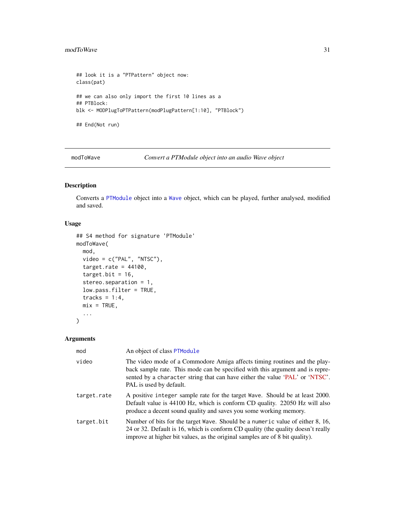```
## look it is a "PTPattern" object now:
class(pat)
## we can also only import the first 10 lines as a
## PTBlock:
blk <- MODPlugToPTPattern(modPlugPattern[1:10], "PTBlock")
## End(Not run)
```
<span id="page-30-1"></span>modToWave *Convert a PTModule object into an audio Wave object*

# Description

Converts a [PTModule](#page-69-1) object into a [Wave](#page-0-0) object, which can be played, further analysed, modified and saved.

# Usage

```
## S4 method for signature 'PTModule'
modToWave(
 mod,
  video = c("PAL", "NTSC"),
  target.rate = 44100,
 target.bit = 16,
  stereo.separation = 1,
  low.pass.filter = TRUE,
  tracks = 1:4,
 mix = TRUE,...
)
```
#### Arguments

| mod         | An object of class PTModule                                                                                                                                                                                                                                           |
|-------------|-----------------------------------------------------------------------------------------------------------------------------------------------------------------------------------------------------------------------------------------------------------------------|
| video       | The video mode of a Commodore Amiga affects timing routines and the play-<br>back sample rate. This mode can be specified with this argument and is repre-<br>sented by a character string that can have either the value 'PAL' or 'NTSC'.<br>PAL is used by default. |
| target.rate | A positive integer sample rate for the target Wave. Should be at least 2000.<br>Default value is 44100 Hz, which is conform CD quality. 22050 Hz will also<br>produce a decent sound quality and saves you some working memory.                                       |
| target.bit  | Number of bits for the target Wave. Should be a numeric value of either 8, 16,<br>24 or 32. Default is 16, which is conform CD quality (the quality doesn't really<br>improve at higher bit values, as the original samples are of 8 bit quality).                    |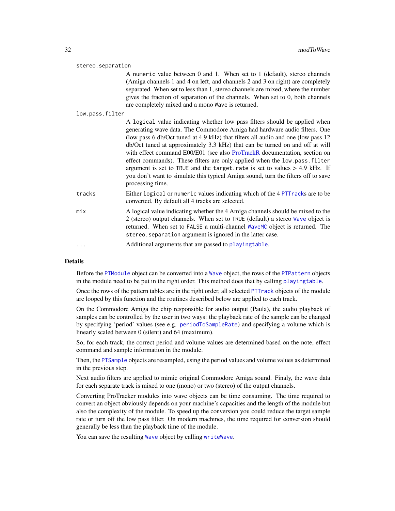| stereo.separation |
|-------------------|
|-------------------|

A numeric value between 0 and 1. When set to 1 (default), stereo channels (Amiga channels 1 and 4 on left, and channels 2 and 3 on right) are completely separated. When set to less than 1, stereo channels are mixed, where the number gives the fraction of separation of the channels. When set to 0, both channels are completely mixed and a mono Wave is returned.

#### low.pass.filter

|          | A logical value indicating whether low pass filters should be applied when<br>generating wave data. The Commodore Amiga had hardware audio filters. One                                                                                                                                                      |
|----------|--------------------------------------------------------------------------------------------------------------------------------------------------------------------------------------------------------------------------------------------------------------------------------------------------------------|
|          | (low pass 6 db/Oct tuned at 4.9 kHz) that filters all audio and one (low pass 12                                                                                                                                                                                                                             |
|          | db/Oct tuned at approximately 3.3 kHz) that can be turned on and off at will                                                                                                                                                                                                                                 |
|          | with effect command E00/E01 (see also ProTrackR documentation, section on                                                                                                                                                                                                                                    |
|          | effect commands). These filters are only applied when the low pass filter<br>argument is set to TRUE and the target. rate is set to values $> 4.9$ kHz. If<br>you don't want to simulate this typical Amiga sound, turn the filters off to save<br>processing time.                                          |
| tracks   | Either logical or numeric values indicating which of the 4 PTT racks are to be<br>converted. By default all 4 tracks are selected.                                                                                                                                                                           |
| mix      | A logical value indicating whether the 4 Amiga channels should be mixed to the<br>2 (stereo) output channels. When set to TRUE (default) a stereo Wave object is<br>returned. When set to FALSE a multi-channel WaveMC object is returned. The<br>stereo. separation argument is ignored in the latter case. |
| $\cdots$ | Additional arguments that are passed to playing table.                                                                                                                                                                                                                                                       |

#### **Details**

Before the [PTModule](#page-69-1) object can be converted into a [Wave](#page-0-0) object, the rows of the [PTPattern](#page-71-1) objects in the module need to be put in the right order. This method does that by calling [playingtable](#page-52-1).

Once the rows of the pattern tables are in the right order, all selected [PTTrack](#page-78-1) objects of the module are looped by this function and the routines described below are applied to each track.

On the Commodore Amiga the chip responsible for audio output (Paula), the audio playback of samples can be controlled by the user in two ways: the playback rate of the sample can be changed by specifying 'period' values (see e.g. [periodToSampleRate](#page-92-2)) and specifying a volume which is linearly scaled between 0 (silent) and 64 (maximum).

So, for each track, the correct period and volume values are determined based on the note, effect command and sample information in the module.

Then, the [PTSample](#page-75-1) objects are resampled, using the period values and volume values as determined in the previous step.

Next audio filters are applied to mimic original Commodore Amiga sound. Finaly, the wave data for each separate track is mixed to one (mono) or two (stereo) of the output channels.

Converting ProTracker modules into wave objects can be time consuming. The time required to convert an object obviously depends on your machine's capacities and the length of the module but also the complexity of the module. To speed up the conversion you could reduce the target sample rate or turn off the low pass filter. On modern machines, the time required for conversion should generally be less than the playback time of the module.

You can save the resulting [Wave](#page-0-0) object by calling [writeWave](#page-0-0).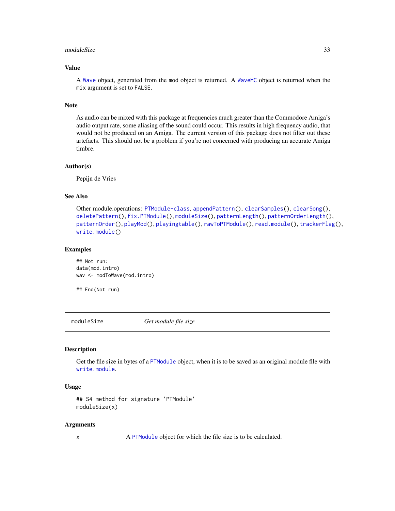#### <span id="page-32-0"></span>moduleSize 33

# Value

A [Wave](#page-0-0) object, generated from the mod object is returned. A [WaveMC](#page-0-0) object is returned when the mix argument is set to FALSE.

#### Note

As audio can be mixed with this package at frequencies much greater than the Commodore Amiga's audio output rate, some aliasing of the sound could occur. This results in high frequency audio, that would not be produced on an Amiga. The current version of this package does not filter out these artefacts. This should not be a problem if you're not concerned with producing an accurate Amiga timbre.

#### Author(s)

Pepijn de Vries

# See Also

```
Other module.operations: PTModule-class, appendPattern(), clearSamples(), clearSong(),
deletePattern(), fix.PTModule(), moduleSize(), patternLength(), patternOrderLength(),
patternOrder(), playMod(), playingtable(), rawToPTModule(), read.module(), trackerFlag(),
write.module()
```
# Examples

```
## Not run:
data(mod.intro)
wav <- modToWave(mod.intro)
```
## End(Not run)

<span id="page-32-1"></span>moduleSize *Get module file size*

#### Description

Get the file size in bytes of a [PTModule](#page-69-1) object, when it is to be saved as an original module file with [write.module](#page-101-1).

# Usage

```
## S4 method for signature 'PTModule'
moduleSize(x)
```
#### Arguments

x A [PTModule](#page-69-1) object for which the file size is to be calculated.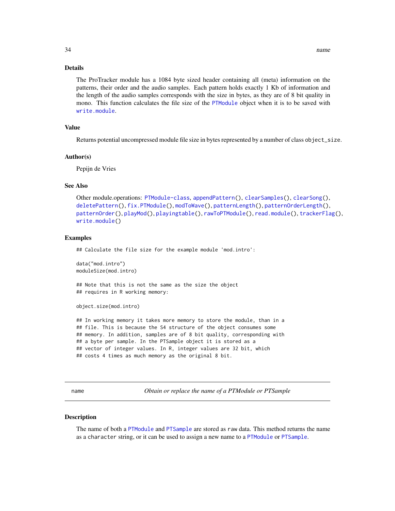#### <span id="page-33-0"></span>Details

The ProTracker module has a 1084 byte sized header containing all (meta) information on the patterns, their order and the audio samples. Each pattern holds exactly 1 Kb of information and the length of the audio samples corresponds with the size in bytes, as they are of 8 bit quality in mono. This function calculates the file size of the [PTModule](#page-69-1) object when it is to be saved with [write.module](#page-101-1).

# Value

Returns potential uncompressed module file size in bytes represented by a number of class object\_size.

## Author(s)

Pepijn de Vries

# See Also

```
Other module.operations: PTModule-class, appendPattern(), clearSamples(), clearSong(),
deletePattern(), fix.PTModule(), modToWave(), patternLength(), patternOrderLength(),
patternOrder(), playMod(), playingtable(), rawToPTModule(), read.module(), trackerFlag(),
write.module()
```
#### Examples

## Calculate the file size for the example module 'mod.intro':

data("mod.intro") moduleSize(mod.intro)

## Note that this is not the same as the size the object ## requires in R working memory:

object.size(mod.intro)

## In working memory it takes more memory to store the module, than in a ## file. This is because the S4 structure of the object consumes some ## memory. In addition, samples are of 8 bit quality, corresponding with ## a byte per sample. In the PTSample object it is stored as a ## vector of integer values. In R, integer values are 32 bit, which ## costs 4 times as much memory as the original 8 bit.

<span id="page-33-1"></span>name *Obtain or replace the name of a PTModule or PTSample*

#### Description

The name of both a [PTModule](#page-69-1) and [PTSample](#page-75-1) are stored as raw data. This method returns the name as a character string, or it can be used to assign a new name to a [PTModule](#page-69-1) or [PTSample](#page-75-1).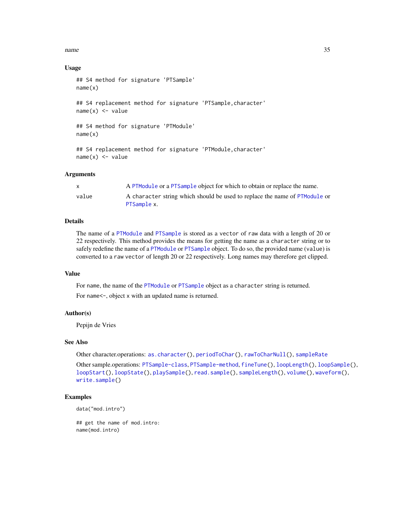#### name 35

# Usage

```
## S4 method for signature 'PTSample'
name(x)
## S4 replacement method for signature 'PTSample,character'
name(x) < - value## S4 method for signature 'PTModule'
name(x)
## S4 replacement method for signature 'PTModule,character'
name(x) < - value
```
# Arguments

|       | A PTModule or a PTSample object for which to obtain or replace the name.                  |
|-------|-------------------------------------------------------------------------------------------|
| value | A character string which should be used to replace the name of PTModule or<br>PTSample x. |

# Details

The name of a [PTModule](#page-69-1) and [PTSample](#page-75-1) is stored as a vector of raw data with a length of 20 or 22 respectively. This method provides the means for getting the name as a character string or to safely redefine the name of a [PTModule](#page-69-1) or [PTSample](#page-75-1) object. To do so, the provided name (value) is converted to a raw vector of length 20 or 22 respectively. Long names may therefore get clipped.

# Value

For name, the name of the [PTModule](#page-69-1) or [PTSample](#page-75-1) object as a character string is returned.

For name <-, object x with an updated name is returned.

# Author(s)

Pepijn de Vries

#### See Also

Other character.operations: [as.character\(](#page-3-1)), [periodToChar\(](#page-50-1)), [rawToCharNull\(](#page-81-1)), [sampleRate](#page-92-1)

Other sample.operations: [PTSample-class](#page-75-2), [PTSample-method](#page-77-1), [fineTune\(](#page-11-1)), [loopLength\(](#page-14-1)), [loopSample\(](#page-16-1)), [loopStart\(](#page-17-1)), [loopState\(](#page-18-1)), [playSample\(](#page-55-1)), [read.sample\(](#page-88-1)), [sampleLength\(](#page-90-1)), [volume\(](#page-98-1)), [waveform\(](#page-99-1)), [write.sample\(](#page-102-1))

# Examples

```
data("mod.intro")
```
## get the name of mod.intro: name(mod.intro)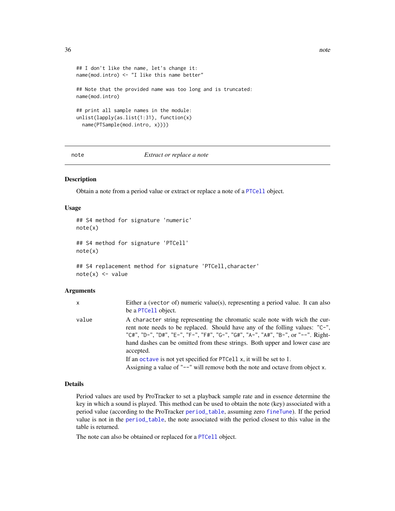```
## I don't like the name, let's change it:
name(mod.intro) <- "I like this name better"
## Note that the provided name was too long and is truncated:
name(mod.intro)
## print all sample names in the module:
unlist(lapply(as.list(1:31), function(x)
  name(PTSample(mod.intro, x))))
```
<span id="page-35-1"></span>

note *Extract or replace a note*

#### Description

Obtain a note from a period value or extract or replace a note of a [PTCell](#page-65-1) object.

#### Usage

```
## S4 method for signature 'numeric'
note(x)
## S4 method for signature 'PTCell'
```
note(x)

```
## S4 replacement method for signature 'PTCell, character'
note(x) < -value
```
# Arguments

| x     | Either a (vector of) numeric value(s), representing a period value. It can also<br>be a PTCell object.                                                                                                                                                                                                                                        |
|-------|-----------------------------------------------------------------------------------------------------------------------------------------------------------------------------------------------------------------------------------------------------------------------------------------------------------------------------------------------|
| value | A character string representing the chromatic scale note with wich the cur-<br>rent note needs to be replaced. Should have any of the folling values: "C-",<br>"C#", "D-", "D#", "E-", "F-", "F#", "G-", "G#", "A-", "A#", "B-", or "--". Right-<br>hand dashes can be omitted from these strings. Both upper and lower case are<br>accepted. |
|       | If an octave is not yet specified for PTCell x, it will be set to 1.<br>Assigning a value of " $-$ " will remove both the note and octave from object x.                                                                                                                                                                                      |
|       |                                                                                                                                                                                                                                                                                                                                               |

# Details

Period values are used by ProTracker to set a playback sample rate and in essence determine the key in which a sound is played. This method can be used to obtain the note (key) associated with a period value (according to the ProTracker [period\\_table](#page-51-1), assuming zero [fineTune](#page-11-1)). If the period value is not in the [period\\_table](#page-51-1), the note associated with the period closest to this value in the table is returned.

The note can also be obtained or replaced for a [PTCell](#page-65-1) object.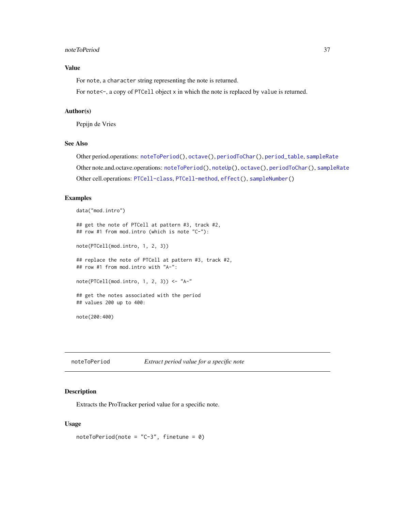#### noteToPeriod 37

### Value

For note, a character string representing the note is returned.

For note<-, a copy of PTCell object x in which the note is replaced by value is returned.

### Author(s)

Pepijn de Vries

# See Also

Other period.operations: [noteToPeriod\(](#page-36-0)), [octave\(](#page-42-0)), [periodToChar\(](#page-50-0)), [period\\_table](#page-51-0), [sampleRate](#page-92-0) Other note.and.octave.operations: [noteToPeriod\(](#page-36-0)), [noteUp\(](#page-37-0)), [octave\(](#page-42-0)), [periodToChar\(](#page-50-0)), [sampleRate](#page-92-0) Other cell.operations: [PTCell-class](#page-65-0), [PTCell-method](#page-66-0), [effect\(](#page-10-0)), [sampleNumber\(](#page-91-0))

# Examples

```
data("mod.intro")
## get the note of PTCell at pattern #3, track #2,
## row #1 from mod.intro (which is note "C-"):
note(PTCell(mod.intro, 1, 2, 3))
## replace the note of PTCell at pattern #3, track #2,
## row #1 from mod.intro with "A-":
note(PTCell(mod.intro, 1, 2, 3)) <- "A-"
## get the notes associated with the period
## values 200 up to 400:
note(200:400)
```
<span id="page-36-0"></span>noteToPeriod *Extract period value for a specific note*

#### Description

Extracts the ProTracker period value for a specific note.

### Usage

```
noteToPeriod(note = "C-3", finetune = 0)
```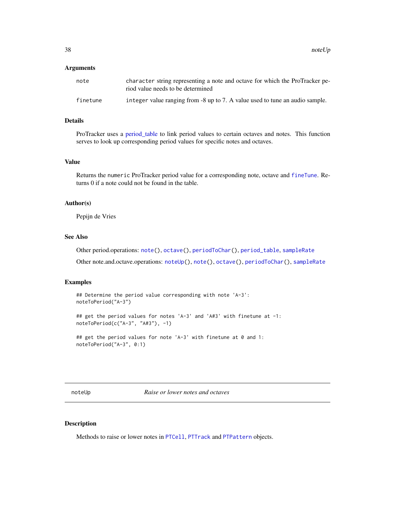$38$  note  $Up$ 

#### **Arguments**

| note     | character string representing a note and octave for which the ProTracker pe-<br>riod value needs to be determined |
|----------|-------------------------------------------------------------------------------------------------------------------|
| finetune | integer value ranging from -8 up to 7. A value used to tune an audio sample.                                      |

# Details

ProTracker uses a [period\\_table](#page-51-0) to link period values to certain octaves and notes. This function serves to look up corresponding period values for specific notes and octaves.

### Value

Returns the numeric ProTracker period value for a corresponding note, octave and [fineTune](#page-11-0). Returns 0 if a note could not be found in the table.

# Author(s)

Pepijn de Vries

### See Also

Other period.operations: [note\(](#page-35-0)), [octave\(](#page-42-0)), [periodToChar\(](#page-50-0)), [period\\_table](#page-51-0), [sampleRate](#page-92-0)

Other note.and.octave.operations: [noteUp\(](#page-37-0)), [note\(](#page-35-0)), [octave\(](#page-42-0)), [periodToChar\(](#page-50-0)), [sampleRate](#page-92-0)

### Examples

```
## Determine the period value corresponding with note 'A-3':
noteToPeriod("A-3")
## get the period values for notes 'A-3' and 'A#3' with finetune at -1:
noteToPeriod(c("A-3", "A#3"), -1)
```

```
## get the period values for note 'A-3' with finetune at 0 and 1:
noteToPeriod("A-3", 0:1)
```
<span id="page-37-0"></span>noteUp *Raise or lower notes and octaves*

#### Description

Methods to raise or lower notes in [PTCell](#page-65-1), [PTTrack](#page-78-0) and [PTPattern](#page-71-0) objects.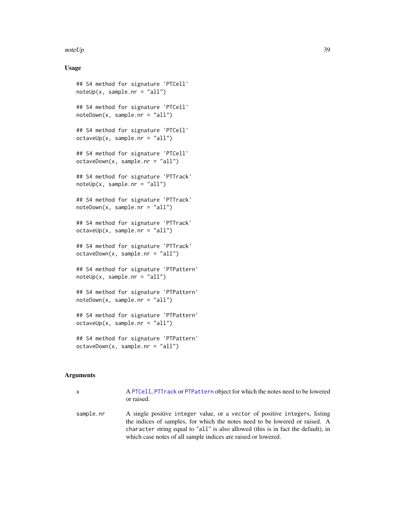### $\Box$ note $Up$  39

### Usage

```
## S4 method for signature 'PTCell'
noteUp(x, sample.nr = "all")## S4 method for signature 'PTCell'
noteDown(x, sample.nr = "all")
## S4 method for signature 'PTCell'
octaveUp(x, sample.nr = "all")
## S4 method for signature 'PTCell'
octaveDown(x, sample.nr = "all")
## S4 method for signature 'PTTrack'
noteUp(x, sample.nr = "all")## S4 method for signature 'PTTrack'
noteDown(x, sample.nr = "all")## S4 method for signature 'PTTrack'
octaveUp(x, sample.nr = "all")
## S4 method for signature 'PTTrack'
octaveDown(x, sample.nr = "all")
## S4 method for signature 'PTPattern'
noteUp(x, sample.nr = "all")## S4 method for signature 'PTPattern'
noteDown(x, sample.nr = "all")
## S4 method for signature 'PTPattern'
octaveUp(x, sample.nr = "all")
## S4 method for signature 'PTPattern'
octaveDown(x, sample.nr = "all")
```
#### Arguments

- x A [PTCell](#page-65-1), [PTTrack](#page-78-0) or [PTPattern](#page-71-0) object for which the notes need to be lowered or raised.
- sample.nr A single positive integer value, or a vector of positive integers, listing the indices of samples, for which the notes need to be lowered or raised. A character string equal to "all" is also allowed (this is in fact the default), in which case notes of all sample indices are raised or lowered.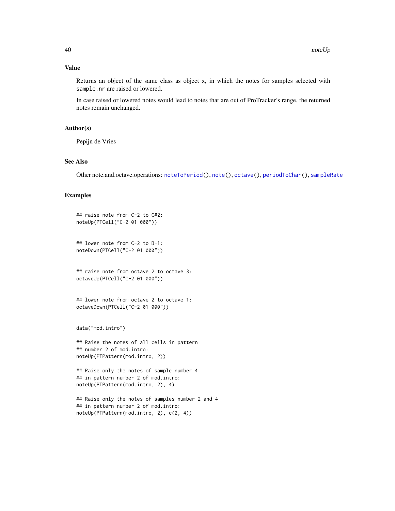# Value

Returns an object of the same class as object x, in which the notes for samples selected with sample.nr are raised or lowered.

In case raised or lowered notes would lead to notes that are out of ProTracker's range, the returned notes remain unchanged.

# Author(s)

Pepijn de Vries

### See Also

Other note.and.octave.operations: [noteToPeriod\(](#page-36-0)), [note\(](#page-35-0)), [octave\(](#page-42-0)), [periodToChar\(](#page-50-0)), [sampleRate](#page-92-0)

# Examples

```
## raise note from C-2 to C#2:
noteUp(PTCell("C-2 01 000"))
```
## lower note from C-2 to B-1: noteDown(PTCell("C-2 01 000"))

## raise note from octave 2 to octave 3: octaveUp(PTCell("C-2 01 000"))

## lower note from octave 2 to octave 1: octaveDown(PTCell("C-2 01 000"))

data("mod.intro")

## Raise the notes of all cells in pattern ## number 2 of mod.intro: noteUp(PTPattern(mod.intro, 2))

## Raise only the notes of sample number 4 ## in pattern number 2 of mod.intro: noteUp(PTPattern(mod.intro, 2), 4)

## Raise only the notes of samples number 2 and 4 ## in pattern number 2 of mod.intro: noteUp(PTPattern(mod.intro, 2), c(2, 4))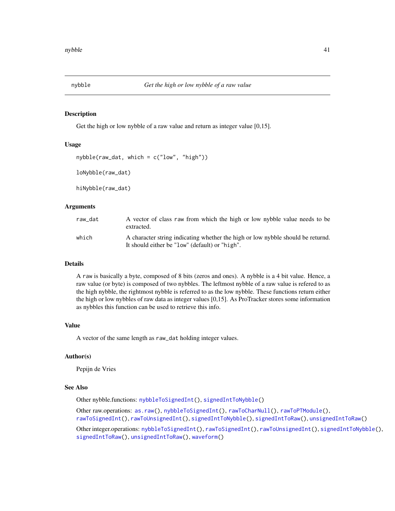<span id="page-40-0"></span>

# Description

Get the high or low nybble of a raw value and return as integer value [0,15].

### Usage

```
nybble(raw_dat, which = c("low", "high"))
```
loNybble(raw\_dat)

hiNybble(raw\_dat)

### Arguments

| raw dat | A vector of class raw from which the high or low nybble value needs to be<br>extracted.                                           |
|---------|-----------------------------------------------------------------------------------------------------------------------------------|
| which   | A character string indicating whether the high or low nybble should be returnd.<br>It should either be "low" (default) or "high". |

# Details

A raw is basically a byte, composed of 8 bits (zeros and ones). A nybble is a 4 bit value. Hence, a raw value (or byte) is composed of two nybbles. The leftmost nybble of a raw value is refered to as the high nybble, the rightmost nybble is referred to as the low nybble. These functions return either the high or low nybbles of raw data as integer values [0,15]. As ProTracker stores some information as nybbles this function can be used to retrieve this info.

### Value

A vector of the same length as raw\_dat holding integer values.

### Author(s)

Pepijn de Vries

# See Also

Other nybble.functions: [nybbleToSignedInt\(](#page-41-0)), [signedIntToNybble\(](#page-93-0))

Other raw.operations: [as.raw\(](#page-5-0)), [nybbleToSignedInt\(](#page-41-0)), [rawToCharNull\(](#page-81-0)), [rawToPTModule\(](#page-83-0)), [rawToSignedInt\(](#page-84-0)), [rawToUnsignedInt\(](#page-85-0)), [signedIntToNybble\(](#page-93-0)), [signedIntToRaw\(](#page-94-0)), [unsignedIntToRaw\(](#page-97-0))

Other integer.operations: [nybbleToSignedInt\(](#page-41-0)), [rawToSignedInt\(](#page-84-0)), [rawToUnsignedInt\(](#page-85-0)), [signedIntToNybble\(](#page-93-0)), [signedIntToRaw\(](#page-94-0)), [unsignedIntToRaw\(](#page-97-0)), [waveform\(](#page-99-0))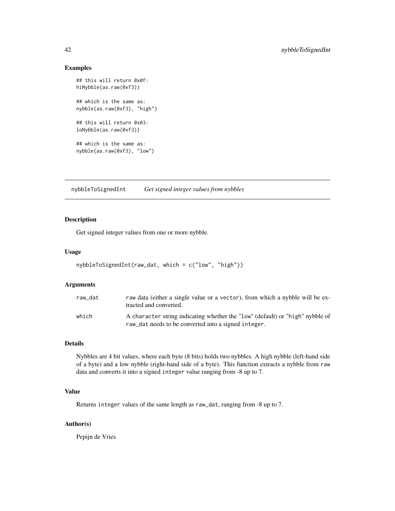### Examples

```
## this will return 0x0f:
hiNybble(as.raw(0xf3))
## which is the same as:
nybble(as.raw(0xf3), "high")
## this will return 0x03:
loNybble(as.raw(0xf3))
## which is the same as:
nybble(as.raw(0xf3), "low")
```
<span id="page-41-0"></span>nybbleToSignedInt *Get signed integer values from nybbles*

# Description

Get signed integer values from one or more nybble.

# Usage

```
nybbleToSignedInt(raw_dat, which = c("low", "high"))
```
# Arguments

| raw dat | raw data (either a single value or a vector), from which a nybble will be ex-<br>tracted and converted. |
|---------|---------------------------------------------------------------------------------------------------------|
| which   | A character string indicating whether the "low" (default) or "high" nybble of                           |
|         | raw_dat needs to be converted into a signed integer.                                                    |

# Details

Nybbles are 4 bit values, where each byte (8 bits) holds two nybbles. A high nybble (left-hand side of a byte) and a low nybble (right-hand side of a byte). This function extracts a nybble from raw data and converts it into a signed integer value ranging from -8 up to 7.

# Value

Returns integer values of the same length as raw\_dat, ranging from -8 up to 7.

### Author(s)

Pepijn de Vries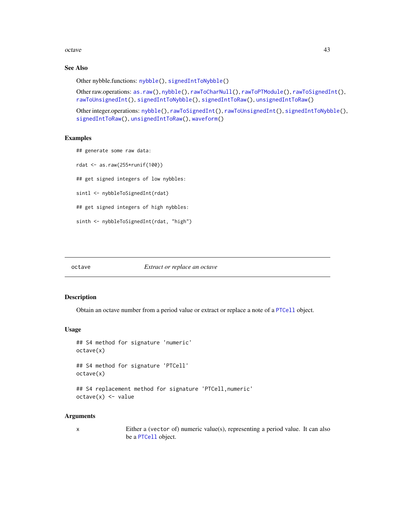#### octave and the set of the set of the set of the set of the set of the set of the set of the set of the set of the set of the set of the set of the set of the set of the set of the set of the set of the set of the set of th

# See Also

Other nybble.functions: [nybble\(](#page-40-0)), [signedIntToNybble\(](#page-93-0))

Other raw.operations: [as.raw\(](#page-5-0)), [nybble\(](#page-40-0)), [rawToCharNull\(](#page-81-0)), [rawToPTModule\(](#page-83-0)), [rawToSignedInt\(](#page-84-0)), [rawToUnsignedInt\(](#page-85-0)), [signedIntToNybble\(](#page-93-0)), [signedIntToRaw\(](#page-94-0)), [unsignedIntToRaw\(](#page-97-0))

Other integer.operations: [nybble\(](#page-40-0)), [rawToSignedInt\(](#page-84-0)), [rawToUnsignedInt\(](#page-85-0)), [signedIntToNybble\(](#page-93-0)), [signedIntToRaw\(](#page-94-0)), [unsignedIntToRaw\(](#page-97-0)), [waveform\(](#page-99-0))

# Examples

```
## generate some raw data:
rdat <- as.raw(255*runif(100))
## get signed integers of low nybbles:
sintl <- nybbleToSignedInt(rdat)
## get signed integers of high nybbles:
sinth <- nybbleToSignedInt(rdat, "high")
```
# <span id="page-42-0"></span>octave *Extract or replace an octave*

# Description

Obtain an octave number from a period value or extract or replace a note of a [PTCell](#page-65-1) object.

# Usage

```
## S4 method for signature 'numeric'
octave(x)
```
## S4 method for signature 'PTCell' octave(x)

## S4 replacement method for signature 'PTCell,numeric'  $octave(x) < -$  value

# **Arguments**

x Either a (vector of) numeric value(s), representing a period value. It can also be a [PTCell](#page-65-1) object.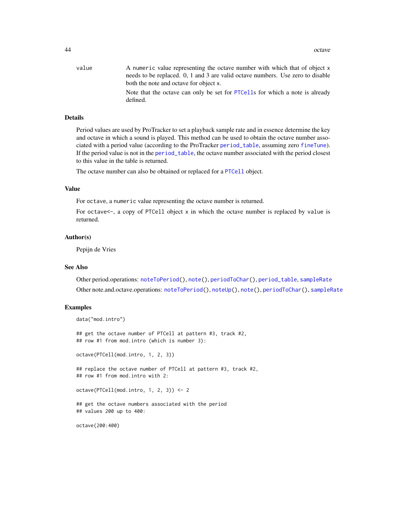| A numeric value representing the octave number with which that of object x     |
|--------------------------------------------------------------------------------|
| needs to be replaced. 0, 1 and 3 are valid octave numbers. Use zero to disable |
| both the note and octave for object x.                                         |
| Note that the octave can only be set for PTCells for which a note is already   |
| defined.                                                                       |
|                                                                                |

# Details

Period values are used by ProTracker to set a playback sample rate and in essence determine the key and octave in which a sound is played. This method can be used to obtain the octave number associated with a period value (according to the ProTracker [period\\_table](#page-51-0), assuming zero [fineTune](#page-11-0)). If the period value is not in the [period\\_table](#page-51-0), the octave number associated with the period closest to this value in the table is returned.

The octave number can also be obtained or replaced for a [PTCell](#page-65-1) object.

### Value

For octave, a numeric value representing the octave number is returned.

For octave $\leq$ -, a copy of PTCell object x in which the octave number is replaced by value is returned.

# Author(s)

Pepijn de Vries

### See Also

Other period.operations: [noteToPeriod\(](#page-36-0)), [note\(](#page-35-0)), [periodToChar\(](#page-50-0)), [period\\_table](#page-51-0), [sampleRate](#page-92-0) Other note.and.octave.operations: [noteToPeriod\(](#page-36-0)), [noteUp\(](#page-37-0)), [note\(](#page-35-0)), [periodToChar\(](#page-50-0)), [sampleRate](#page-92-0)

### Examples

```
data("mod.intro")
## get the octave number of PTCell at pattern #3, track #2,
## row #1 from mod.intro (which is number 3):
octave(PTCell(mod.intro, 1, 2, 3))
## replace the octave number of PTCell at pattern #3, track #2,
## row #1 from mod.intro with 2:
octave(PTCell(mod.intro, 1, 2, 3)) <- 2
## get the octave numbers associated with the period
## values 200 up to 400:
octave(200:400)
```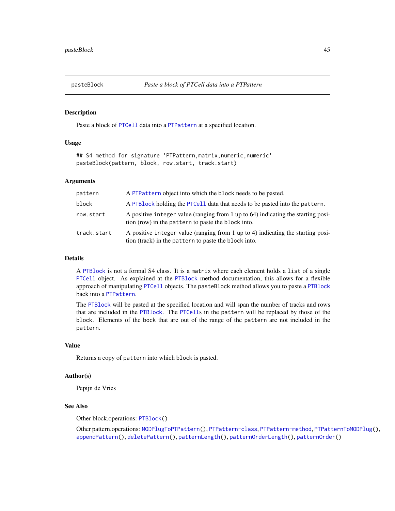<span id="page-44-0"></span>

### Description

Paste a block of [PTCell](#page-65-1) data into a [PTPattern](#page-71-0) at a specified location.

### Usage

```
## S4 method for signature 'PTPattern, matrix, numeric, numeric'
pasteBlock(pattern, block, row.start, track.start)
```
# Arguments

| pattern     | A PTPattern object into which the block needs to be pasted.                                                                             |
|-------------|-----------------------------------------------------------------------------------------------------------------------------------------|
| block       | A PTB lock holding the PTCell data that needs to be pasted into the pattern.                                                            |
| row.start   | A positive integer value (ranging from 1 up to 64) indicating the starting posi-<br>tion (row) in the pattern to paste the block into.  |
| track.start | A positive integer value (ranging from 1 up to 4) indicating the starting posi-<br>tion (track) in the pattern to paste the block into. |

### Details

A [PTBlock](#page-64-0) is not a formal S4 class. It is a matrix where each element holds a list of a single [PTCell](#page-65-1) object. As explained at the [PTBlock](#page-64-0) method documentation, this allows for a flexible approach of manipulating [PTCell](#page-65-1) objects. The pasteBlock method allows you to paste a [PTBlock](#page-64-0) back into a [PTPattern](#page-71-0).

The [PTBlock](#page-64-0) will be pasted at the specified location and will span the number of tracks and rows that are included in the [PTBlock](#page-64-0). The [PTCell](#page-65-1)s in the pattern will be replaced by those of the block. Elements of the bock that are out of the range of the pattern are not included in the pattern.

### Value

Returns a copy of pattern into which block is pasted.

#### Author(s)

Pepijn de Vries

#### See Also

Other block.operations: [PTBlock\(](#page-64-0))

Other pattern.operations: [MODPlugToPTPattern\(](#page-27-0)), [PTPattern-class](#page-71-1), [PTPattern-method](#page-72-0), [PTPatternToMODPlug\(](#page-74-0)), [appendPattern\(](#page-2-0)), [deletePattern\(](#page-9-0)), [patternLength\(](#page-45-0)), [patternOrderLength\(](#page-48-0)), [patternOrder\(](#page-46-0))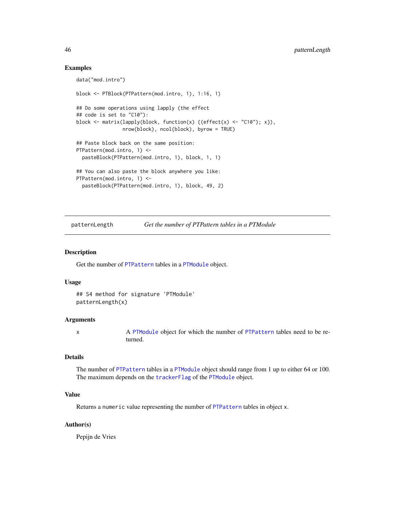### Examples

```
data("mod.intro")
block <- PTBlock(PTPattern(mod.intro, 1), 1:16, 1)
## Do some operations using lapply (the effect
## code is set to "C10"):
block \leq matrix(lapply(block, function(x) {(effect(x) \leq "C10"); x}),
                nrow(block), ncol(block), byrow = TRUE)
## Paste block back on the same position:
PTPattern(mod.intro, 1) <-
  pasteBlock(PTPattern(mod.intro, 1), block, 1, 1)
## You can also paste the block anywhere you like:
PTPattern(mod.intro, 1) <-
  pasteBlock(PTPattern(mod.intro, 1), block, 49, 2)
```
<span id="page-45-0"></span>

patternLength *Get the number of PTPattern tables in a PTModule*

### Description

Get the number of [PTPattern](#page-71-0) tables in a [PTModule](#page-69-0) object.

### Usage

```
## S4 method for signature 'PTModule'
patternLength(x)
```
### Arguments

x A [PTModule](#page-69-0) object for which the number of [PTPattern](#page-71-0) tables need to be returned.

# Details

The number of [PTPattern](#page-71-0) tables in a [PTModule](#page-69-0) object should range from 1 up to either 64 or 100. The maximum depends on the [trackerFlag](#page-95-0) of the [PTModule](#page-69-0) object.

# Value

Returns a numeric value representing the number of [PTPattern](#page-71-0) tables in object x.

### Author(s)

Pepijn de Vries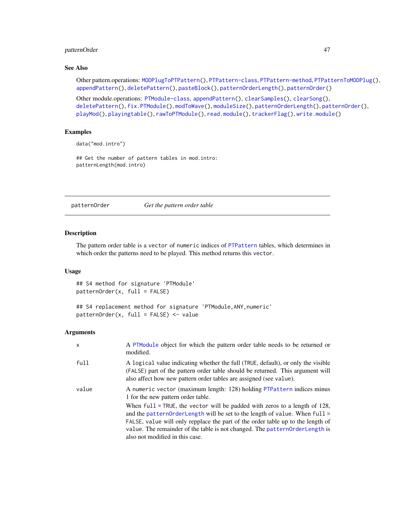# patternOrder 47

# See Also

```
MODPlugToPTPattern(PTPattern-classPTPattern-methodPTPatternToMODPlug(),
appendPattern(), deletePattern(), pasteBlock(), patternOrderLength(), patternOrder()
```
Other module.operations: [PTModule-class](#page-69-1), [appendPattern\(](#page-2-0)), [clearSamples\(](#page-7-0)), [clearSong\(](#page-8-0)), [deletePattern\(](#page-9-0)), [fix.PTModule\(](#page-12-0)), [modToWave\(](#page-30-0)), [moduleSize\(](#page-32-0)), [patternOrderLength\(](#page-48-0)), [patternOrder\(](#page-46-0)), [playMod\(](#page-54-0)), [playingtable\(](#page-52-0)), [rawToPTModule\(](#page-83-0)), [read.module\(](#page-86-0)), [trackerFlag\(](#page-95-0)), [write.module\(](#page-101-0))

# Examples

```
data("mod.intro")
```
## Get the number of pattern tables in mod.intro: patternLength(mod.intro)

<span id="page-46-0"></span>patternOrder *Get the pattern order table*

### Description

The pattern order table is a vector of numeric indices of [PTPattern](#page-71-0) tables, which determines in which order the patterns need to be played. This method returns this vector.

### Usage

## S4 method for signature 'PTModule'  $patternOrder(x, full = FALSE)$ 

## S4 replacement method for signature 'PTModule, ANY, numeric' patternOrder(x, full = FALSE) <- value

### **Arguments**

| $\mathsf{x}$ | A PTModule object for which the pattern order table needs to be returned or<br>modified.                                                                                                                                                                                                                                                                             |
|--------------|----------------------------------------------------------------------------------------------------------------------------------------------------------------------------------------------------------------------------------------------------------------------------------------------------------------------------------------------------------------------|
| full         | A logical value indicating whether the full (TRUE, default), or only the visible<br>(FALSE) part of the pattern order table should be returned. This argument will<br>also affect how new pattern order tables are assigned (see value).                                                                                                                             |
| value        | A numeric vector (maximum length: 128) holding PTPattern indices minus<br>1 for the new pattern order table.                                                                                                                                                                                                                                                         |
|              | When full = TRUE, the vector will be padded with zeros to a length of $128$ ,<br>and the pattern0rderLength will be set to the length of value. When $full =$<br>FALSE, value will only repplace the part of the order table up to the length of<br>value. The remainder of the table is not changed. The pattern Order Length is<br>also not modified in this case. |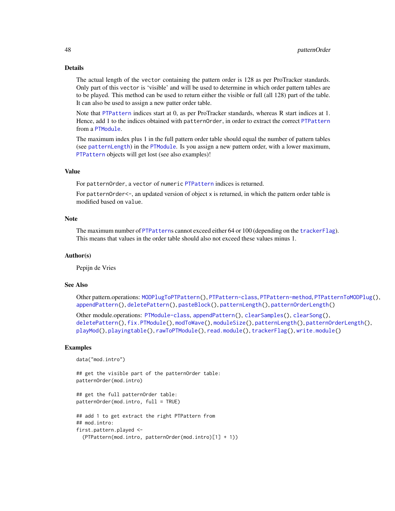### Details

The actual length of the vector containing the pattern order is 128 as per ProTracker standards. Only part of this vector is 'visible' and will be used to determine in which order pattern tables are to be played. This method can be used to return either the visible or full (all 128) part of the table. It can also be used to assign a new patter order table.

Note that [PTPattern](#page-71-0) indices start at 0, as per ProTracker standards, whereas R start indices at 1. Hence, add 1 to the indices obtained with patternOrder, in order to extract the correct [PTPattern](#page-71-0) from a [PTModule](#page-69-0).

The maximum index plus 1 in the full pattern order table should equal the number of pattern tables (see [patternLength](#page-45-0)) in the [PTModule](#page-69-0). Is you assign a new pattern order, with a lower maximum, [PTPattern](#page-71-0) objects will get lost (see also examples)!

### Value

For patternOrder, a vector of numeric [PTPattern](#page-71-0) indices is returned.

For pattern Order  $\leq$ , an updated version of object x is returned, in which the pattern order table is modified based on value.

### Note

The maximum number of [PTPattern](#page-71-0)s cannot exceed either 64 or 100 (depending on the [trackerFlag](#page-95-0)). This means that values in the order table should also not exceed these values minus 1.

### Author(s)

Pepijn de Vries

# See Also

Other pattern.operations: [MODPlugToPTPattern\(](#page-27-0)), [PTPattern-class](#page-71-1), [PTPattern-method](#page-72-0), [PTPatternToMODPlug\(](#page-74-0)), [appendPattern\(](#page-2-0)), [deletePattern\(](#page-9-0)), [pasteBlock\(](#page-44-0)), [patternLength\(](#page-45-0)), [patternOrderLength\(](#page-48-0))

Other module.operations: [PTModule-class](#page-69-1), [appendPattern\(](#page-2-0)), [clearSamples\(](#page-7-0)), [clearSong\(](#page-8-0)), [deletePattern\(](#page-9-0)), [fix.PTModule\(](#page-12-0)), [modToWave\(](#page-30-0)), [moduleSize\(](#page-32-0)), [patternLength\(](#page-45-0)), [patternOrderLength\(](#page-48-0)), [playMod\(](#page-54-0)), [playingtable\(](#page-52-0)), [rawToPTModule\(](#page-83-0)), [read.module\(](#page-86-0)), [trackerFlag\(](#page-95-0)), [write.module\(](#page-101-0))

### Examples

```
data("mod.intro")
```
## get the visible part of the patternOrder table: patternOrder(mod.intro)

## get the full patternOrder table: patternOrder(mod.intro, full = TRUE)

```
## add 1 to get extract the right PTPattern from
## mod.intro:
first.pattern.played <-
  (PTPattern(mod.intro, patternOrder(mod.intro)[1] + 1))
```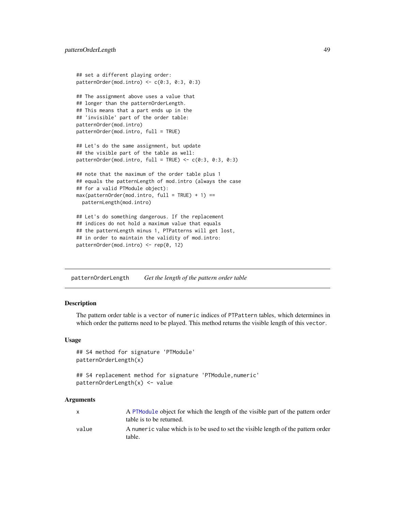```
## set a different playing order:
patternOrder(mod.intro) <- c(0:3, 0:3, 0:3)
## The assignment above uses a value that
## longer than the patternOrderLength.
## This means that a part ends up in the
## 'invisible' part of the order table:
patternOrder(mod.intro)
patternOrder(mod.intro, full = TRUE)
## Let's do the same assignment, but update
## the visible part of the table as well:
patternOrder(mod.intro, full = TRUE) <- c(0:3, 0:3, 0:3)## note that the maximum of the order table plus 1
## equals the patternLength of mod.intro (always the case
## for a valid PTModule object):
max(patternOrder(mod.intro, full = TRUE) + 1) ==patternLength(mod.intro)
## Let's do something dangerous. If the replacement
## indices do not hold a maximum value that equals
## the patternLength minus 1, PTPatterns will get lost,
## in order to maintain the validity of mod.intro:
patternOrder(mod.intro) <- rep(0, 12)
```
<span id="page-48-0"></span>patternOrderLength *Get the length of the pattern order table*

### **Description**

The pattern order table is a vector of numeric indices of PTPattern tables, which determines in which order the patterns need to be played. This method returns the visible length of this vector.

### Usage

```
## S4 method for signature 'PTModule'
patternOrderLength(x)
```

```
## S4 replacement method for signature 'PTModule,numeric'
patternOrderLength(x) <- value
```
# Arguments

|       | A PTModule object for which the length of the visible part of the pattern order<br>table is to be returned. |
|-------|-------------------------------------------------------------------------------------------------------------|
| value | A numeric value which is to be used to set the visible length of the pattern order<br>table.                |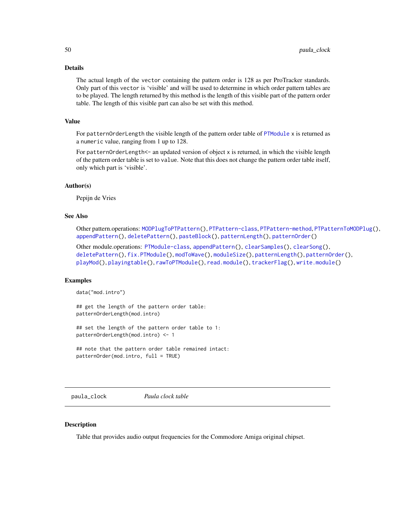### Details

The actual length of the vector containing the pattern order is 128 as per ProTracker standards. Only part of this vector is 'visible' and will be used to determine in which order pattern tables are to be played. The length returned by this method is the length of this visible part of the pattern order table. The length of this visible part can also be set with this method.

# Value

For patternOrderLength the visible length of the pattern order table of [PTModule](#page-69-0) x is returned as a numeric value, ranging from 1 up to 128.

For patternOrderLength <- an updated version of object x is returned, in which the visible length of the pattern order table is set to value. Note that this does not change the pattern order table itself, only which part is 'visible'.

# Author(s)

Pepijn de Vries

### See Also

Other pattern.operations: [MODPlugToPTPattern\(](#page-27-0)), [PTPattern-class](#page-71-1), [PTPattern-method](#page-72-0), [PTPatternToMODPlug\(](#page-74-0)), [appendPattern\(](#page-2-0)), [deletePattern\(](#page-9-0)), [pasteBlock\(](#page-44-0)), [patternLength\(](#page-45-0)), [patternOrder\(](#page-46-0))

Other module.operations: [PTModule-class](#page-69-1), [appendPattern\(](#page-2-0)), [clearSamples\(](#page-7-0)), [clearSong\(](#page-8-0)), [deletePattern\(](#page-9-0)), [fix.PTModule\(](#page-12-0)), [modToWave\(](#page-30-0)), [moduleSize\(](#page-32-0)), [patternLength\(](#page-45-0)), [patternOrder\(](#page-46-0)), [playMod\(](#page-54-0)), [playingtable\(](#page-52-0)), [rawToPTModule\(](#page-83-0)), [read.module\(](#page-86-0)), [trackerFlag\(](#page-95-0)), [write.module\(](#page-101-0))

### Examples

```
data("mod.intro")
```
## get the length of the pattern order table: patternOrderLength(mod.intro)

## set the length of the pattern order table to 1: patternOrderLength(mod.intro) <- 1

## note that the pattern order table remained intact: patternOrder(mod.intro, full = TRUE)

paula\_clock *Paula clock table*

### **Description**

Table that provides audio output frequencies for the Commodore Amiga original chipset.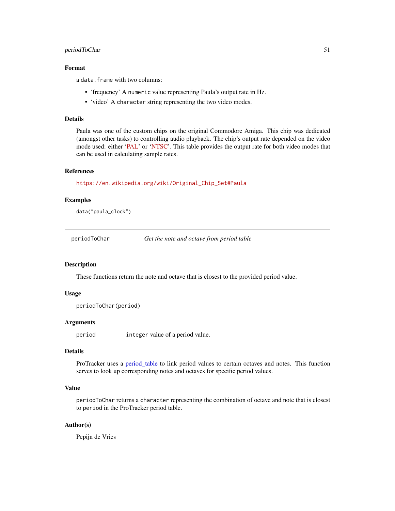# periodToChar 51

# Format

a data.frame with two columns:

- 'frequency' A numeric value representing Paula's output rate in Hz.
- 'video' A character string representing the two video modes.

#### Details

Paula was one of the custom chips on the original Commodore Amiga. This chip was dedicated (amongst other tasks) to controlling audio playback. The chip's output rate depended on the video mode used: either ['PAL'](https://en.wikipedia.org/wiki/PAL) or ['NTSC'](https://en.wikipedia.org/wiki/NTSC). This table provides the output rate for both video modes that can be used in calculating sample rates.

# References

[https://en.wikipedia.org/wiki/Original\\_Chip\\_Set#Paula](https://en.wikipedia.org/wiki/Original_Chip_Set#Paula)

### Examples

data("paula\_clock")

<span id="page-50-0"></span>periodToChar *Get the note and octave from period table*

#### Description

These functions return the note and octave that is closest to the provided period value.

### Usage

```
periodToChar(period)
```
### Arguments

period integer value of a period value.

# Details

ProTracker uses a [period\\_table](#page-51-0) to link period values to certain octaves and notes. This function serves to look up corresponding notes and octaves for specific period values.

# Value

periodToChar returns a character representing the combination of octave and note that is closest to period in the ProTracker period table.

# Author(s)

Pepijn de Vries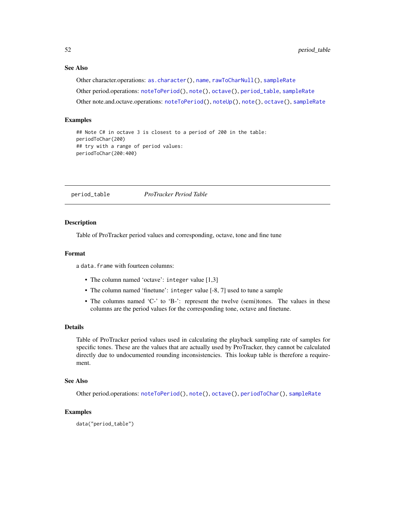### See Also

Other character.operations: [as.character\(](#page-3-0)), [name](#page-33-0), [rawToCharNull\(](#page-81-0)), [sampleRate](#page-92-0) Other period.operations: [noteToPeriod\(](#page-36-0)), [note\(](#page-35-0)), [octave\(](#page-42-0)), [period\\_table](#page-51-0), [sampleRate](#page-92-0) Other note.and.octave.operations: [noteToPeriod\(](#page-36-0)), [noteUp\(](#page-37-0)), [note\(](#page-35-0)), [octave\(](#page-42-0)), [sampleRate](#page-92-0)

### Examples

```
## Note C# in octave 3 is closest to a period of 200 in the table:
periodToChar(200)
## try with a range of period values:
periodToChar(200:400)
```
<span id="page-51-0"></span>period\_table *ProTracker Period Table*

### Description

Table of ProTracker period values and corresponding, octave, tone and fine tune

#### Format

a data.frame with fourteen columns:

- The column named 'octave': integer value [1,3]
- The column named 'finetune': integer value [-8, 7] used to tune a sample
- The columns named 'C-' to 'B-': represent the twelve (semi)tones. The values in these columns are the period values for the corresponding tone, octave and finetune.

#### Details

Table of ProTracker period values used in calculating the playback sampling rate of samples for specific tones. These are the values that are actually used by ProTracker, they cannot be calculated directly due to undocumented rounding inconsistencies. This lookup table is therefore a requirement.

### See Also

Other period.operations: [noteToPeriod\(](#page-36-0)), [note\(](#page-35-0)), [octave\(](#page-42-0)), [periodToChar\(](#page-50-0)), [sampleRate](#page-92-0)

### Examples

data("period\_table")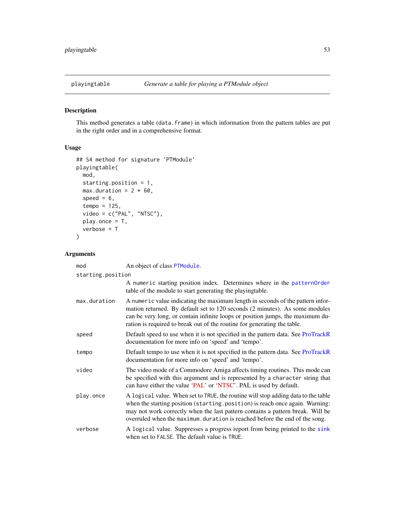<span id="page-52-0"></span>

# Description

This method generates a table (data.frame) in which information from the pattern tables are put in the right order and in a comprehensive format.

# Usage

```
## S4 method for signature 'PTModule'
playingtable(
 mod,
  starting.position = 1,
 max.duration = 2 * 60,
  speed = 6,tempo = 125,
  video = c("PAL", "NTSC"),
 play.once = T,
 verbose = T
)
```
# Arguments

| mod               | An object of class PTModule.                                                                                                                                                                                                                                                                                                       |
|-------------------|------------------------------------------------------------------------------------------------------------------------------------------------------------------------------------------------------------------------------------------------------------------------------------------------------------------------------------|
| starting.position |                                                                                                                                                                                                                                                                                                                                    |
|                   | A numeric starting position index. Determines where in the pattern Order<br>table of the module to start generating the playingtable.                                                                                                                                                                                              |
| max.duration      | A numeric value indicating the maximum length in seconds of the pattern infor-<br>mation returned. By default set to 120 seconds (2 minutes). As some modules<br>can be very long, or contain infinite loops or position jumps, the maximum du-<br>ration is required to break out of the routine for generating the table.        |
| speed             | Default speed to use when it is not specified in the pattern data. See ProTrackR<br>documentation for more info on 'speed' and 'tempo'.                                                                                                                                                                                            |
| tempo             | Default tempo to use when it is not specified in the pattern data. See ProTrackR<br>documentation for more info on 'speed' and 'tempo'.                                                                                                                                                                                            |
| video             | The video mode of a Commodore Amiga affects timing routines. This mode can<br>be specified with this argument and is represented by a character string that<br>can have either the value 'PAL' or 'NTSC'. PAL is used by default.                                                                                                  |
| play.once         | A logical value. When set to TRUE, the routine will stop adding data to the table<br>when the starting position (starting.position) is reach once again. Warning:<br>may not work correctly when the last pattern contains a pattern break. Will be<br>overruled when the maximum. duration is reached before the end of the song. |
| verbose           | A logical value. Suppresses a progress report from being printed to the sink<br>when set to FALSE. The default value is TRUE.                                                                                                                                                                                                      |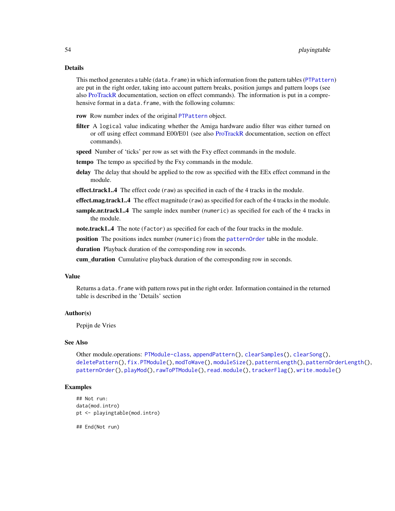### Details

This method generates a table (data. frame) in which information from the pattern tables ([PTPattern](#page-71-0)) are put in the right order, taking into account pattern breaks, position jumps and pattern loops (see also [ProTrackR](#page-61-0) documentation, section on effect commands). The information is put in a comprehensive format in a data.frame, with the following columns:

row Row number index of the original [PTPattern](#page-71-0) object.

- filter A logical value indicating whether the Amiga hardware audio filter was either turned on or off using effect command E00/E01 (see also [ProTrackR](#page-61-0) documentation, section on effect commands).
- speed Number of 'ticks' per row as set with the Fxy effect commands in the module.
- tempo The tempo as specified by the Fxy commands in the module.
- delay The delay that should be applied to the row as specified with the EEx effect command in the module.
- effect.track1..4 The effect code (raw) as specified in each of the 4 tracks in the module.
- effect.mag.track1..4 The effect magnitude (raw) as specified for each of the 4 tracks in the module.
- sample.nr.track1..4 The sample index number (numeric) as specified for each of the 4 tracks in the module.

note.track1..4 The note (factor) as specified for each of the four tracks in the module.

position The positions index number (numeric) from the [patternOrder](#page-46-0) table in the module.

duration Playback duration of the corresponding row in seconds.

cum\_duration Cumulative playback duration of the corresponding row in seconds.

# Value

Returns a data. frame with pattern rows put in the right order. Information contained in the returned table is described in the 'Details' section

#### Author(s)

Pepijn de Vries

#### See Also

```
Other module.operations: PTModule-class, appendPattern(), clearSamples(), clearSong(),
deletePattern(), fix.PTModule(), modToWave(), moduleSize(), patternLength(), patternOrderLength(),
patternOrder(), playMod(), rawToPTModule(), read.module(), trackerFlag(), write.module()
```
# **Examples**

```
## Not run:
data(mod.intro)
pt <- playingtable(mod.intro)
```
## End(Not run)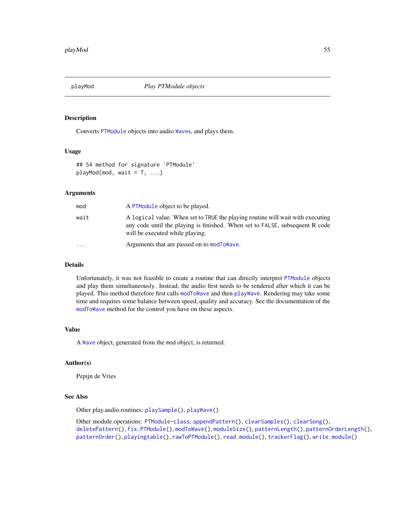<span id="page-54-0"></span>

# Description

Converts [PTModule](#page-69-0) objects into audio [Wave](#page-0-0)s, and plays them.

### Usage

```
## S4 method for signature 'PTModule'
playMod(mod, wait = T, ...)
```
### Arguments

| mod                     | A PTModule object to be played.                                                                                                                                                                   |
|-------------------------|---------------------------------------------------------------------------------------------------------------------------------------------------------------------------------------------------|
| wait                    | A logical value. When set to TRUE the playing routine will wait with executing<br>any code until the playing is finished. When set to FALSE, subsequent R code<br>will be executed while playing. |
| $\cdot$ $\cdot$ $\cdot$ | Arguments that are passed on to modToWave.                                                                                                                                                        |

# Details

Unfortunately, it was not feasible to create a routine that can directly interpret [PTModule](#page-69-0) objects and play them simultaneously. Instead, the audio first needs to be rendered after which it can be played. This method therefore first calls [modToWave](#page-30-0) and then [playWave](#page-57-0). Rendering may take some time and requires some balance between speed, quality and accuracy. See the documentation of the [modToWave](#page-30-0) method for the control you have on these aspects.

# Value

A [Wave](#page-0-0) object, generated from the mod object, is returned.

### Author(s)

Pepijn de Vries

### See Also

Other play.audio.routines: [playSample\(](#page-55-0)), [playWave\(](#page-57-0))

Other module.operations: [PTModule-class](#page-69-1), [appendPattern\(](#page-2-0)), [clearSamples\(](#page-7-0)), [clearSong\(](#page-8-0)), [deletePattern\(](#page-9-0)), [fix.PTModule\(](#page-12-0)), [modToWave\(](#page-30-0)), [moduleSize\(](#page-32-0)), [patternLength\(](#page-45-0)), [patternOrderLength\(](#page-48-0)), [patternOrder\(](#page-46-0)), [playingtable\(](#page-52-0)), [rawToPTModule\(](#page-83-0)), [read.module\(](#page-86-0)), [trackerFlag\(](#page-95-0)), [write.module\(](#page-101-0))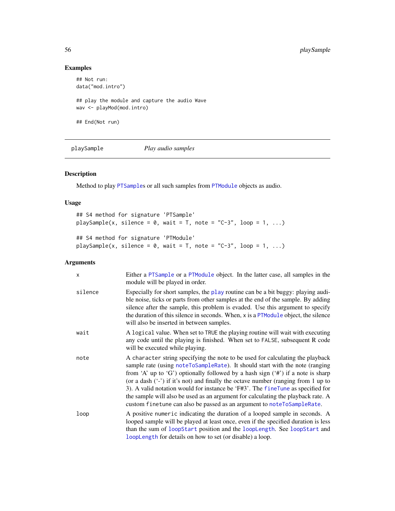# Examples

```
## Not run:
data("mod.intro")
## play the module and capture the audio Wave
wav <- playMod(mod.intro)
## End(Not run)
```
<span id="page-55-0"></span>playSample *Play audio samples*

# Description

Method to play [PTSample](#page-75-0)s or all such samples from [PTModule](#page-69-0) objects as audio.

# Usage

```
## S4 method for signature 'PTSample'
playSample(x, silence = 0, wait = T, note = "C-3", loop = 1, ...)
## S4 method for signature 'PTModule'
playSample(x, silence = 0, wait = T, note = "C-3", loop = 1, ...)
```
# Arguments

| $\mathsf{x}$ | Either a PTSample or a PTModule object. In the latter case, all samples in the<br>module will be played in order.                                                                                                                                                                                                                                                                                                                                                                                                                                                                         |
|--------------|-------------------------------------------------------------------------------------------------------------------------------------------------------------------------------------------------------------------------------------------------------------------------------------------------------------------------------------------------------------------------------------------------------------------------------------------------------------------------------------------------------------------------------------------------------------------------------------------|
| silence      | Especially for short samples, the play routine can be a bit buggy: playing audi-<br>ble noise, ticks or parts from other samples at the end of the sample. By adding<br>silence after the sample, this problem is evaded. Use this argument to specify<br>the duration of this silence in seconds. When, x is a PTModule object, the silence<br>will also be inserted in between samples.                                                                                                                                                                                                 |
| wait         | A logical value. When set to TRUE the playing routine will wait with executing<br>any code until the playing is finished. When set to FALSE, subsequent R code<br>will be executed while playing.                                                                                                                                                                                                                                                                                                                                                                                         |
| note         | A character string specifying the note to be used for calculating the playback<br>sample rate (using noteToSampleRate). It should start with the note (ranging<br>from 'A' up to 'G') optionally followed by a hash sign $(*)$ if a note is sharp<br>(or a dash $(*)$ ) if it's not) and finally the octave number (ranging from 1 up to<br>3). A valid notation would for instance be 'F#3'. The fineTune as specified for<br>the sample will also be used as an argument for calculating the playback rate. A<br>custom finetune can also be passed as an argument to noteToSampleRate. |
| loop         | A positive numeric indicating the duration of a looped sample in seconds. A<br>looped sample will be played at least once, even if the specified duration is less<br>than the sum of loopStart position and the loopLength. See loopStart and<br>looplength for details on how to set (or disable) a loop.                                                                                                                                                                                                                                                                                |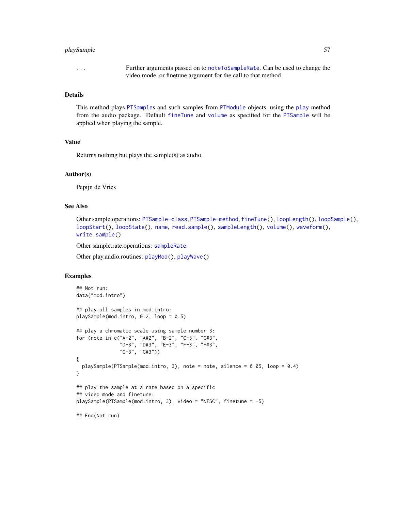# playSample 57

... Further arguments passed on to [noteToSampleRate](#page-92-1). Can be used to change the video mode, or finetune argument for the call to that method.

#### Details

This method plays [PTSample](#page-75-0)s and such samples from [PTModule](#page-69-0) objects, using the [play](#page-0-0) method from the audio package. Default [fineTune](#page-11-0) and [volume](#page-98-0) as specified for the [PTSample](#page-75-0) will be applied when playing the sample.

# Value

Returns nothing but plays the sample(s) as audio.

# Author(s)

Pepijn de Vries

# See Also

```
Other sample.operations: PTSample-class, PTSample-method, fineTune(), loopLength(), loopSample(),
loopStart(), loopState(), name, read.sample(), sampleLength(), volume(), waveform(),
write.sample()
```
Other sample.rate.operations: [sampleRate](#page-92-0)

Other play.audio.routines: [playMod\(](#page-54-0)), [playWave\(](#page-57-0))

# Examples

```
## Not run:
data("mod.intro")
## play all samples in mod.intro:
playSample(mod.intro, 0.2, loop = 0.5)
## play a chromatic scale using sample number 3:
for (note in c("A-2", "A#2", "B-2", "C-3", "C#3",
               "D-3", "D#3", "E-3", "F-3", "F#3",
               "G-3", "G#3"))
{
 playSample(PTSample(mod.intro, 3), note = note, silence = 0.05, loop = 0.4)
}
## play the sample at a rate based on a specific
## video mode and finetune:
playSample(PTSample(mod.intro, 3), video = "NTSC", finetune = -5)
## End(Not run)
```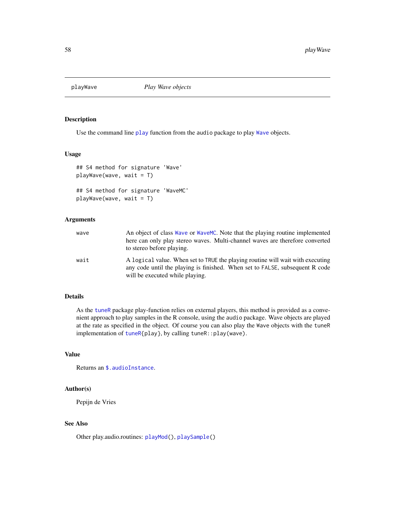<span id="page-57-0"></span>

### Description

Use the command line [play](#page-0-0) function from the audio package to play [Wave](#page-0-0) objects.

# Usage

```
## S4 method for signature 'Wave'
playWave(wave, wait = T)
```

```
## S4 method for signature 'WaveMC'
playWave(wave, wait = T)
```
### Arguments

| wave | An object of class Wave or WaveMC. Note that the playing routine implemented<br>here can only play stereo waves. Multi-channel waves are therefore converted<br>to stereo before playing.         |
|------|---------------------------------------------------------------------------------------------------------------------------------------------------------------------------------------------------|
| wait | A logical value. When set to TRUE the playing routine will wait with executing<br>any code until the playing is finished. When set to FALSE, subsequent R code<br>will be executed while playing. |

### Details

As the [tuneR](#page-0-0) package play-function relies on external players, this method is provided as a convenient approach to play samples in the R console, using the audio package. Wave objects are played at the rate as specified in the object. Of course you can also play the Wave objects with the tuneR implementation of [tuneR{](#page-0-0)play}, by calling tuneR::play(wave).

# Value

Returns an [\\$.audioInstance](#page-0-0).

# Author(s)

Pepijn de Vries

# See Also

Other play.audio.routines: [playMod\(](#page-54-0)), [playSample\(](#page-55-0))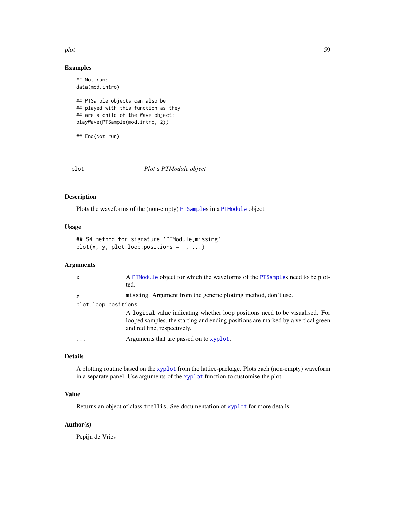#### plot the state of the state of the state of the state of the state of the state of the state of the state of the state of the state of the state of the state of the state of the state of the state of the state of the state

### Examples

```
## Not run:
data(mod.intro)
## PTSample objects can also be
## played with this function as they
## are a child of the Wave object:
playWave(PTSample(mod.intro, 2))
## End(Not run)
```
plot *Plot a PTModule object*

# Description

Plots the waveforms of the (non-empty) [PTSample](#page-75-0)s in a [PTModule](#page-69-0) object.

# Usage

```
## S4 method for signature 'PTModule,missing'
plot(x, y, plot. loop. positions = T, ...)
```
# Arguments

| $\boldsymbol{\mathsf{x}}$ | A PTModule object for which the waveforms of the PTSamples need to be plot-<br>ted.                                                                                                             |  |
|---------------------------|-------------------------------------------------------------------------------------------------------------------------------------------------------------------------------------------------|--|
| y                         | missing. Argument from the generic plotting method, don't use.                                                                                                                                  |  |
| plot.loop.positions       |                                                                                                                                                                                                 |  |
|                           | A logical value indicating whether loop positions need to be visualised. For<br>looped samples, the starting and ending positions are marked by a vertical green<br>and red line, respectively. |  |
| .                         | Arguments that are passed on to xyplot.                                                                                                                                                         |  |

# Details

A plotting routine based on the [xyplot](#page-0-0) from the lattice-package. Plots each (non-empty) waveform in a separate panel. Use arguments of the [xyplot](#page-0-0) function to customise the plot.

# Value

Returns an object of class trellis. See documentation of [xyplot](#page-0-0) for more details.

# Author(s)

Pepijn de Vries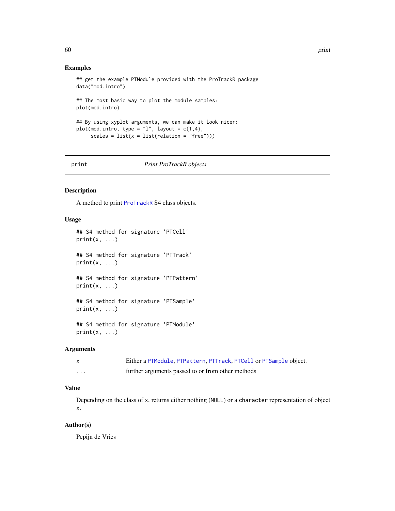### Examples

```
## get the example PTModule provided with the ProTrackR package
data("mod.intro")
## The most basic way to plot the module samples:
plot(mod.intro)
## By using xyplot arguments, we can make it look nicer:
plot(mod.intro, type = "1", layout = c(1,4),
     scales = list(x = list(relation = "free"))
```
### print *Print ProTrackR objects*

### Description

A method to print [ProTrackR](#page-61-0) S4 class objects.

### Usage

```
## S4 method for signature 'PTCell'
print(x, \ldots)## S4 method for signature 'PTTrack'
print(x, \ldots)## S4 method for signature 'PTPattern'
print(x, \ldots)## S4 method for signature 'PTSample'
print(x, \ldots)## S4 method for signature 'PTModule'
print(x, \ldots)
```
### Arguments

|          | Either a PTModule, PTPattern, PTTrack, PTCell or PTSample object. |
|----------|-------------------------------------------------------------------|
| $\cdots$ | further arguments passed to or from other methods                 |

# Value

Depending on the class of x, returns either nothing (NULL) or a character representation of object x.

### Author(s)

Pepijn de Vries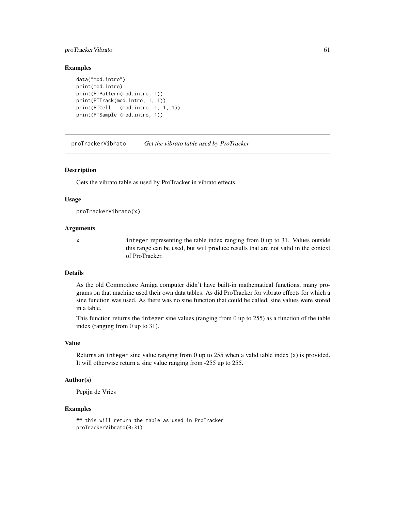# proTrackerVibrato 61

### Examples

```
data("mod.intro")
print(mod.intro)
print(PTPattern(mod.intro, 1))
print(PTTrack(mod.intro, 1, 1))
print(PTCell (mod.intro, 1, 1, 1))
print(PTSample (mod.intro, 1))
```
proTrackerVibrato *Get the vibrato table used by ProTracker*

# **Description**

Gets the vibrato table as used by ProTracker in vibrato effects.

### Usage

```
proTrackerVibrato(x)
```
### Arguments

x integer representing the table index ranging from 0 up to 31. Values outside this range can be used, but will produce results that are not valid in the context of ProTracker.

# Details

As the old Commodore Amiga computer didn't have built-in mathematical functions, many programs on that machine used their own data tables. As did ProTracker for vibrato effects for which a sine function was used. As there was no sine function that could be called, sine values were stored in a table.

This function returns the integer sine values (ranging from 0 up to 255) as a function of the table index (ranging from 0 up to 31).

# Value

Returns an integer sine value ranging from 0 up to 255 when a valid table index (x) is provided. It will otherwise return a sine value ranging from -255 up to 255.

# Author(s)

Pepijn de Vries

### Examples

```
## this will return the table as used in ProTracker
proTrackerVibrato(0:31)
```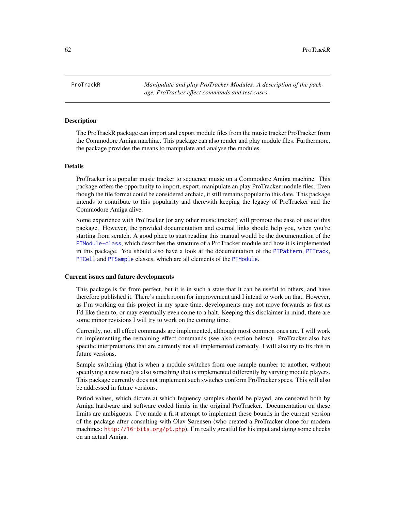<span id="page-61-0"></span>ProTrackR *Manipulate and play ProTracker Modules. A description of the package, ProTracker effect commands and test cases.*

### Description

The ProTrackR package can import and export module files from the music tracker ProTracker from the Commodore Amiga machine. This package can also render and play module files. Furthermore, the package provides the means to manipulate and analyse the modules.

### Details

ProTracker is a popular music tracker to sequence music on a Commodore Amiga machine. This package offers the opportunity to import, export, manipulate an play ProTracker module files. Even though the file format could be considered archaic, it still remains popular to this date. This package intends to contribute to this popularity and therewith keeping the legacy of ProTracker and the Commodore Amiga alive.

Some experience with ProTracker (or any other music tracker) will promote the ease of use of this package. However, the provided documentation and exernal links should help you, when you're starting from scratch. A good place to start reading this manual would be the documentation of the [PTModule-class](#page-69-1), which describes the structure of a ProTracker module and how it is implemented in this package. You should also have a look at the documentation of the [PTPattern](#page-71-0), [PTTrack](#page-78-0), [PTCell](#page-65-1) and [PTSample](#page-75-0) classes, which are all elements of the [PTModule](#page-69-0).

### Current issues and future developments

This package is far from perfect, but it is in such a state that it can be useful to others, and have therefore published it. There's much room for improvement and I intend to work on that. However, as I'm working on this project in my spare time, developments may not move forwards as fast as I'd like them to, or may eventually even come to a halt. Keeping this disclaimer in mind, there are some minor revisions I will try to work on the coming time.

Currently, not all effect commands are implemented, although most common ones are. I will work on implementing the remaining effect commands (see also section below). ProTracker also has specific interpretations that are currently not all implemented correctly. I will also try to fix this in future versions.

Sample switching (that is when a module switches from one sample number to another, without specifying a new note) is also something that is implemented differently by varying module players. This package currently does not implement such switches conform ProTracker specs. This will also be addressed in future versions.

Period values, which dictate at which fequency samples should be played, are censored both by Amiga hardware and software coded limits in the original ProTracker. Documentation on these limits are ambiguous. I've made a first attempt to implement these bounds in the current version of the package after consulting with Olav Sørensen (who created a ProTracker clone for modern machines: <http://16-bits.org/pt.php>). I'm really greatful for his input and doing some checks on an actual Amiga.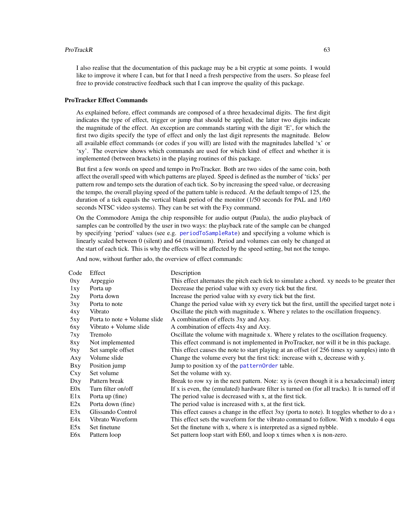### ProTrackR 63

I also realise that the documentation of this package may be a bit cryptic at some points. I would like to improve it where I can, but for that I need a fresh perspective from the users. So please feel free to provide constructive feedback such that I can improve the quality of this package.

### ProTracker Effect Commands

As explained before, effect commands are composed of a three hexadecimal digits. The first digit indicates the type of effect, trigger or jump that should be applied, the latter two digits indicate the magnitude of the effect. An exception are commands starting with the digit 'E', for which the first two digits specify the type of effect and only the last digit represents the magnitude. Below all available effect commands (or codes if you will) are listed with the magnitudes labelled 'x' or 'xy'. The overview shows which commands are used for which kind of effect and whether it is implemented (between brackets) in the playing routines of this package.

But first a few words on speed and tempo in ProTracker. Both are two sides of the same coin, both affect the overall speed with which patterns are played. Speed is defined as the number of 'ticks' per pattern row and tempo sets the duration of each tick. So by increasing the speed value, or decreasing the tempo, the overall playing speed of the pattern table is reduced. At the default tempo of 125, the duration of a tick equals the vertical blank period of the monitor (1/50 seconds for PAL and 1/60 seconds NTSC video systems). They can be set with the Fxy command.

On the Commodore Amiga the chip responsible for audio output (Paula), the audio playback of samples can be controlled by the user in two ways: the playback rate of the sample can be changed by specifying 'period' values (see e.g. [periodToSampleRate](#page-92-1)) and specifying a volume which is linearly scaled between 0 (silent) and 64 (maximum). Period and volumes can only be changed at the start of each tick. This is why the effects will be affected by the speed setting, but not the tempo.

And now, without further ado, the overview of effect commands:

|     | Code Effect                  | Description                                                                                     |
|-----|------------------------------|-------------------------------------------------------------------------------------------------|
| 0xy | Arpeggio                     | This effect alternates the pitch each tick to simulate a chord. xy needs to be greater there    |
| 1xy | Porta up                     | Decrease the period value with xy every tick but the first.                                     |
| 2xy | Porta down                   | Increase the period value with xy every tick but the first.                                     |
| 3xy | Porta to note                | Change the period value with xy every tick but the first, untill the specified target note i    |
| 4xy | Vibrato                      | Oscillate the pitch with magnitude x. Where y relates to the oscillation frequency.             |
|     | Porta to note + Volume slide | A combination of effects 3xy and Axy.                                                           |
| 6xy | Vibrato + Volume slide       | A combination of effects 4xy and Axy.                                                           |
| 7xy | Tremolo                      | Oscillate the volume with magnitude x. Where y relates to the oscillation frequency.            |
| 8xy | Not implemented              | This effect command is not implemented in ProTracker, nor will it be in this package.           |
| 9xy | Set sample offset            | This effect causes the note to start playing at an offset (of 256 times xy samples) into the    |
|     | Axy Volume slide             | Change the volume every but the first tick: increase with x, decrease with y.                   |
|     | Bxy Position jump            | Jump to position xy of the pattern Order table.                                                 |
|     | Cxy Set volume               | Set the volume with xy.                                                                         |
|     | Dxy Pattern break            | Break to row xy in the next pattern. Note: xy is (even though it is a hexadecimal) interp       |
|     | $E0x$ Turn filter on/off     | If x is even, the (emulated) hardware filter is turned on (for all tracks). It is turned off if |
|     | $E1x$ Porta up (fine)        | The period value is decreased with x, at the first tick.                                        |
| E2x | Porta down (fine)            | The period value is increased with x, at the first tick.                                        |
|     | E3x Glissando Control        | This effect causes a change in the effect 3xy (porta to note). It toggles whether to do as      |
| E4x | Vibrato Waveform             | This effect sets the waveform for the vibrato command to follow. With x modulo 4 equal          |
|     | $E5x$ Set finetune           | Set the finetune with x, where x is interpreted as a signed nybble.                             |
|     | E6x Pattern loop             | Set pattern loop start with E60, and loop x times when x is non-zero.                           |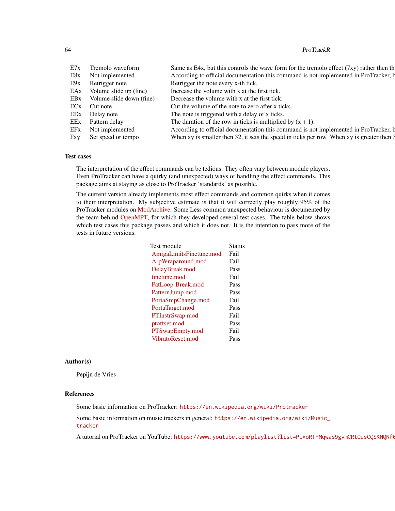64 ProTrackR

| E7x Tremolo waveform         | Same as E4x, but this controls the wave form for the tremolo effect $(7xy)$ rather then the |
|------------------------------|---------------------------------------------------------------------------------------------|
| E8x Not implemented          | According to official documentation this command is not implemented in ProTracker, b        |
| E9x Retrigger note           | Retrigger the note every x-th tick.                                                         |
| EAx Volume slide up (fine)   | Increase the volume with x at the first tick.                                               |
| EBx Volume slide down (fine) | Decrease the volume with x at the first tick.                                               |
| EC <sub>x</sub> Cut note     | Cut the volume of the note to zero after x ticks.                                           |
| ED <sub>x</sub> Delay note   | The note is triggered with a delay of x ticks.                                              |
| EEx Pattern delay            | The duration of the row in ticks is multiplied by $(x + 1)$ .                               |
| EFx Not implemented          | According to official documentation this command is not implemented in ProTracker, b        |
| Fxy Set speed or tempo       | When xy is smaller then 32, it sets the speed in ticks per row. When xy is greater then 3   |
|                              |                                                                                             |

### Test cases

The interpretation of the effect commands can be tedious. They often vary between module players. Even ProTracker can have a quirky (and unexpected) ways of handling the effect commands. This package aims at staying as close to ProTracker 'standards' as possible.

The current version already implements most effect commands and common quirks when it comes to their interpretation. My subjective estimate is that it will correctly play roughly 95% of the ProTracker modules on [ModArchive.](http://www.modarchive.org) Some Less common unexpected behaviour is documented by the team behind [OpenMPT,](http://wiki.openmpt.org/Main_Page) for which they developed several test cases. The table below shows which test cases this package passes and which it does not. It is the intention to pass more of the tests in future versions.

| Test module             | <b>Status</b> |
|-------------------------|---------------|
| AmigaLimitsFinetune.mod | <b>Fail</b>   |
| ArpWraparound.mod       | Fail          |
| DelayBreak.mod          | Pass          |
| finetune.mod            | Fail          |
| PatLoop-Break.mod       | Pass          |
| PatternJump.mod         | Pass          |
| PortaSmpChange.mod      | Fail          |
| PortaTarget.mod         | Pass          |
| PTInstrSwap.mod         | <b>Fail</b>   |
| ptoffset.mod            | Pass          |
| PTSwapEmpty.mod         | Fail          |
| VibratoReset.mod        | Pass          |
|                         |               |

# Author(s)

Pepijn de Vries

# References

Some basic information on ProTracker: <https://en.wikipedia.org/wiki/Protracker>

Some basic information on music trackers in general: [https://en.wikipedia.org/wiki/Music\\_](https://en.wikipedia.org/wiki/Music_tracker) [tracker](https://en.wikipedia.org/wiki/Music_tracker)

A tutorial on ProTracker on YouTube: https://www.youtube.com/playlist?list=PLVoRT-Mqwas9gvmCRtOusCQSKNQNf6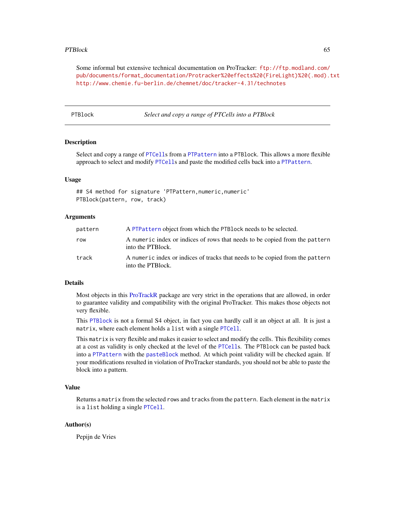#### PTBlock 65

Some informal but extensive technical documentation on ProTracker: [ftp://ftp.modland.com/](ftp://ftp.modland.com/pub/documents/format_documentation/Protracker%20effects%20(FireLight)%20(.mod).txt) [pub/documents/format\\_documentation/Protracker%20effects%20\(FireLight\)%20\(.mod\).txt](ftp://ftp.modland.com/pub/documents/format_documentation/Protracker%20effects%20(FireLight)%20(.mod).txt) <http://www.chemie.fu-berlin.de/chemnet/doc/tracker-4.31/technotes>

<span id="page-64-0"></span>PTBlock *Select and copy a range of PTCells into a PTBlock*

# **Description**

Select and copy a range of [PTCell](#page-65-1)s from a [PTPattern](#page-71-0) into a PTBlock. This allows a more flexible approach to select and modify [PTCell](#page-65-1)s and paste the modified cells back into a [PTPattern](#page-71-0).

### Usage

## S4 method for signature 'PTPattern,numeric,numeric' PTBlock(pattern, row, track)

### Arguments

| pattern | A PTPattern object from which the PTB lock needs to be selected.                                   |
|---------|----------------------------------------------------------------------------------------------------|
| row     | A numeric index or indices of rows that needs to be copied from the pattern<br>into the PTBlock.   |
| track   | A numeric index or indices of tracks that needs to be copied from the pattern<br>into the PTBlock. |

### Details

Most objects in this [ProTrackR](#page-61-0) package are very strict in the operations that are allowed, in order to guarantee validity and compatibility with the original ProTracker. This makes those objects not very flexible.

This [PTBlock](#page-64-0) is not a formal S4 object, in fact you can hardly call it an object at all. It is just a matrix, where each element holds a list with a single [PTCell](#page-65-1).

This matrix is very flexible and makes it easier to select and modify the cells. This flexibility comes at a cost as validity is only checked at the level of the [PTCell](#page-65-1)s. The PTBlock can be pasted back into a [PTPattern](#page-71-0) with the [pasteBlock](#page-44-0) method. At which point validity will be checked again. If your modifications resulted in violation of ProTracker standards, you should not be able to paste the block into a pattern.

# Value

Returns a matrix from the selected rows and tracks from the pattern. Each element in the matrix is a list holding a single [PTCell](#page-65-1).

# Author(s)

Pepijn de Vries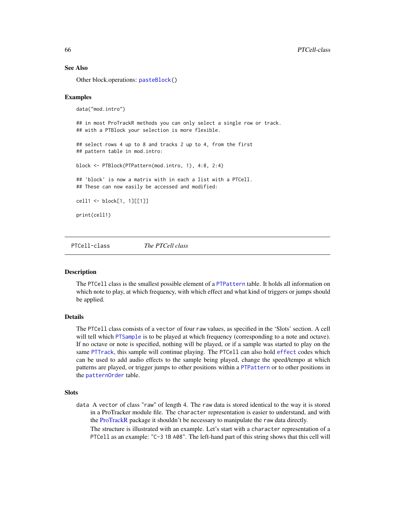#### See Also

Other block.operations: [pasteBlock\(](#page-44-0))

### Examples

data("mod.intro") ## in most ProTrackR methods you can only select a single row or track. ## with a PTBlock your selection is more flexible. ## select rows 4 up to 8 and tracks 2 up to 4, from the first ## pattern table in mod.intro: block <- PTBlock(PTPattern(mod.intro, 1), 4:8, 2:4) ## 'block' is now a matrix with in each a list with a PTCell. ## These can now easily be accessed and modified: cell1 <- block[1, 1][[1]] print(cell1)

<span id="page-65-0"></span>PTCell-class *The PTCell class*

#### <span id="page-65-1"></span>Description

The PTCell class is the smallest possible element of a [PTPattern](#page-71-0) table. It holds all information on which note to play, at which frequency, with which effect and what kind of triggers or jumps should be applied.

### Details

The PTCell class consists of a vector of four raw values, as specified in the 'Slots' section. A cell will tell which [PTSample](#page-75-0) is to be played at which frequency (corresponding to a note and octave). If no octave or note is specified, nothing will be played, or if a sample was started to play on the same [PTTrack](#page-78-0), this sample will continue playing. The PTCell can also hold [effect](#page-10-0) codes which can be used to add audio effects to the sample being played, change the speed/tempo at which patterns are played, or trigger jumps to other positions within a [PTPattern](#page-71-0) or to other positions in the [patternOrder](#page-46-0) table.

### Slots

data A vector of class "raw" of length 4. The raw data is stored identical to the way it is stored in a ProTracker module file. The character representation is easier to understand, and with the [ProTrackR](#page-61-0) package it shouldn't be necessary to manipulate the raw data directly.

The structure is illustrated with an example. Let's start with a character representation of a PTCell as an example: "C-3 1B A08". The left-hand part of this string shows that this cell will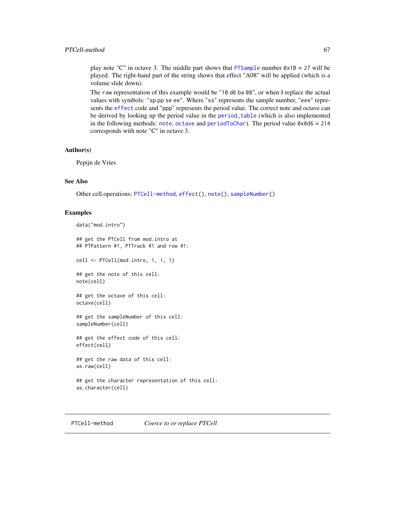play note "C" in octave 3. The middle part shows that [PTSample](#page-75-0) number  $\&\times 1B = 27$  will be played. The right-hand part of the string shows that effect "A08" will be applied (which is a volume slide down).

The raw representation of this example would be "10 d6 ba 08", or when I replace the actual values with symbols: "sp pp se ee". Where "ss" represents the sample number, "eee" represents the [effect](#page-10-0) code and "ppp" represents the period value. The correct note and octave can be derived by looking up the period value in the [period\\_table](#page-51-0) (which is also implemented in the following methods: [note](#page-35-0), [octave](#page-42-0) and [periodToChar](#page-50-0)). The period value  $0 \times 0 \times 6 = 214$ corresponds with note "C" in octave 3.

### Author(s)

Pepijn de Vries

# See Also

Other cell.operations: [PTCell-method](#page-66-0), [effect\(](#page-10-0)), [note\(](#page-35-0)), [sampleNumber\(](#page-91-0))

### Examples

```
data("mod.intro")
## get the PTCell from mod.intro at
## PTPattern #1, PTTrack #1 and row #1:
cell <- PTCell(mod.intro, 1, 1, 1)
## get the note of this cell:
note(cell)
## get the octave of this cell:
octave(cell)
## get the sampleNumber of this cell:
```
sampleNumber(cell)

## get the effect code of this cell: effect(cell)

## get the raw data of this cell: as.raw(cell)

```
## get the character representation of this cell:
as.character(cell)
```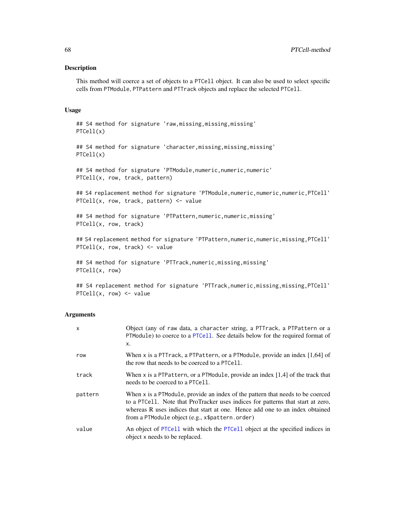### Description

This method will coerce a set of objects to a PTCell object. It can also be used to select specific cells from PTModule, PTPattern and PTTrack objects and replace the selected PTCell.

### Usage

## S4 method for signature 'raw,missing,missing,missing' PTCell(x)

## S4 method for signature 'character, missing, missing, missing' PTCell(x)

## S4 method for signature 'PTModule, numeric, numeric, numeric' PTCell(x, row, track, pattern)

## S4 replacement method for signature 'PTModule,numeric,numeric,numeric,PTCell' PTCell(x, row, track, pattern)  $\leq$  value

## S4 method for signature 'PTPattern, numeric, numeric, missing' PTCell(x, row, track)

## S4 replacement method for signature 'PTPattern,numeric,numeric,missing,PTCell' PTCell(x, row, track) <- value

## S4 method for signature 'PTTrack,numeric,missing,missing' PTCell(x, row)

## S4 replacement method for signature 'PTTrack,numeric,missing,missing,PTCell'  $PTCell(x, row) \leq value$ 

### Arguments

| $\mathsf{x}$ | Object (any of raw data, a character string, a PTTrack, a PTPattern or a<br>PTModule) to coerce to a PTCell. See details below for the required format of<br>x.                                                                                                                                       |
|--------------|-------------------------------------------------------------------------------------------------------------------------------------------------------------------------------------------------------------------------------------------------------------------------------------------------------|
| row          | When x is a PTTrack, a PTPattern, or a PTModule, provide an index $[1,64]$ of<br>the row that needs to be coerced to a PTCe11.                                                                                                                                                                        |
| track        | When x is a PTP attern, or a PTM odule, provide an index $[1,4]$ of the track that<br>needs to be coerced to a PTCe11.                                                                                                                                                                                |
| pattern      | When x is a PTM odule, provide an index of the pattern that needs to be coerced<br>to a PTCe11. Note that ProTracker uses indices for patterns that start at zero,<br>whereas R uses indices that start at one. Hence add one to an index obtained<br>from a PTModule object (e.g., x\$pattern.order) |
| value        | An object of PTCe11 with which the PTCe11 object at the specified indices in<br>object x needs to be replaced.                                                                                                                                                                                        |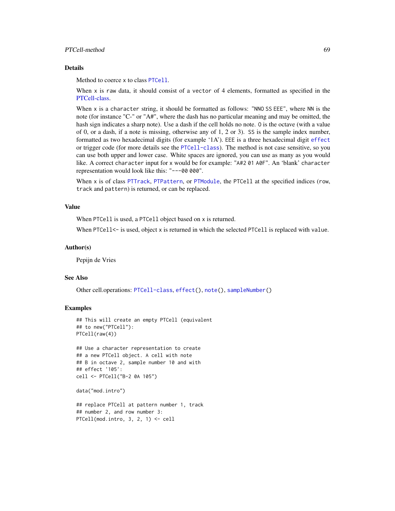# PTCell-method 69

### Details

Method to coerce x to class [PTCell](#page-65-1).

When  $x$  is raw data, it should consist of a vector of 4 elements, formatted as specified in the [PTCell-class.](#page-65-0)

When x is a character string, it should be formatted as follows: "NNO SS EEE", where NN is the note (for instance "C-" or "A#", where the dash has no particular meaning and may be omitted, the hash sign indicates a sharp note). Use a dash if the cell holds no note. O is the octave (with a value of 0, or a dash, if a note is missing, otherwise any of 1, 2 or 3). SS is the sample index number, formatted as two hexadecimal digits (for example '1A'). EEE is a three hexadecimal digit [effect](#page-10-0) or trigger code (for more details see the [PTCell-class](#page-65-0)). The method is not case sensitive, so you can use both upper and lower case. White spaces are ignored, you can use as many as you would like. A correct character input for x would be for example: "A#2 01 A0F". An 'blank' character representation would look like this: "---00 000".

When x is of class [PTTrack](#page-78-0), [PTPattern](#page-71-0), or [PTModule](#page-69-0), the PTCell at the specified indices (row, track and pattern) is returned, or can be replaced.

#### Value

When PTCell is used, a PTCell object based on x is returned.

When PTCe $11$  <- is used, object x is returned in which the selected PTCe $11$  is replaced with value.

#### Author(s)

Pepijn de Vries

#### See Also

Other cell.operations: [PTCell-class](#page-65-0), [effect\(](#page-10-0)), [note\(](#page-35-0)), [sampleNumber\(](#page-91-0))

### Examples

```
## This will create an empty PTCell (equivalent
## to new("PTCell"):
PTCell(raw(4))
```

```
## Use a character representation to create
## a new PTCell object. A cell with note
## B in octave 2, sample number 10 and with
## effect '105':
cell <- PTCell("B-2 0A 105")
```

```
data("mod.intro")
```

```
## replace PTCell at pattern number 1, track
## number 2, and row number 3:
PTCell(mod.intro, 3, 2, 1) <- cell
```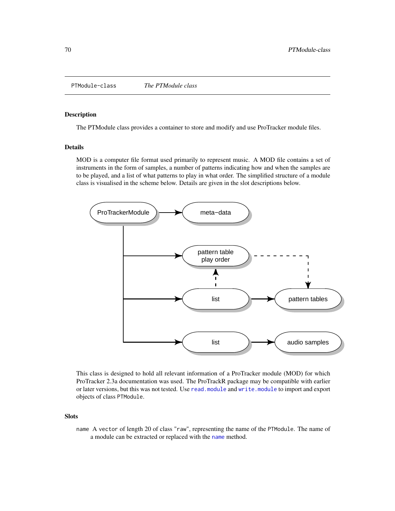<span id="page-69-1"></span>PTModule-class *The PTModule class*

### <span id="page-69-0"></span>Description

The PTModule class provides a container to store and modify and use ProTracker module files.

# Details

MOD is a computer file format used primarily to represent music. A MOD file contains a set of instruments in the form of samples, a number of patterns indicating how and when the samples are to be played, and a list of what patterns to play in what order. The simplified structure of a module class is visualised in the scheme below. Details are given in the slot descriptions below.



This class is designed to hold all relevant information of a ProTracker module (MOD) for which ProTracker 2.3a documentation was used. The ProTrackR package may be compatible with earlier or later versions, but this was not tested. Use [read.module](#page-86-0) and [write.module](#page-101-0) to import and export objects of class PTModule.

# Slots

name A vector of length 20 of class "raw", representing the name of the PTModule. The name of a module can be extracted or replaced with the [name](#page-33-0) method.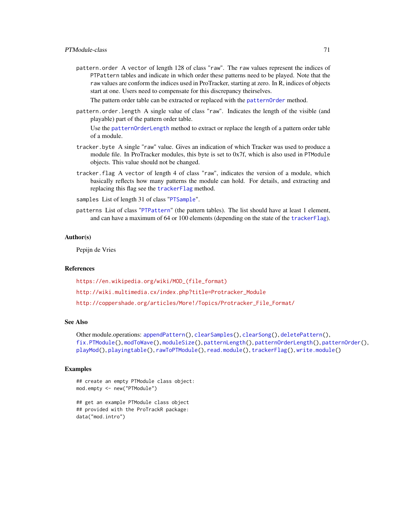pattern.order A vector of length 128 of class "raw". The raw values represent the indices of PTPattern tables and indicate in which order these patterns need to be played. Note that the raw values are conform the indices used in ProTracker, starting at zero. In R, indices of objects start at one. Users need to compensate for this discrepancy theirselves.

The pattern order table can be extracted or replaced with the [patternOrder](#page-46-0) method.

pattern.order.length A single value of class "raw". Indicates the length of the visible (and playable) part of the pattern order table.

Use the [patternOrderLength](#page-48-0) method to extract or replace the length of a pattern order table of a module.

- tracker.byte A single "raw" value. Gives an indication of which Tracker was used to produce a module file. In ProTracker modules, this byte is set to  $0x7f$ , which is also used in PTModule objects. This value should not be changed.
- tracker.flag A vector of length 4 of class "raw", indicates the version of a module, which basically reflects how many patterns the module can hold. For details, and extracting and replacing this flag see the [trackerFlag](#page-95-0) method.
- samples List of length 31 of class "[PTSample](#page-75-0)".
- patterns List of class "[PTPattern](#page-71-0)" (the pattern tables). The list should have at least 1 element, and can have a maximum of 64 or 100 elements (depending on the state of the [trackerFlag](#page-95-0)).

### Author(s)

Pepijn de Vries

### References

[https://en.wikipedia.org/wiki/MOD\\_\(file\\_format\)](https://en.wikipedia.org/wiki/MOD_(file_format)) [http://wiki.multimedia.cx/index.php?title=Protracker\\_Module](http://wiki.multimedia.cx/index.php?title=Protracker_Module) [http://coppershade.org/articles/More!/Topics/Protracker\\_File\\_Format/](http://coppershade.org/articles/More!/Topics/Protracker_File_Format/)

### See Also

```
Other module.operations: appendPattern(), clearSamples(), clearSong(), deletePattern(),
fix.PTModule(), modToWave(), moduleSize(), patternLength(), patternOrderLength(), patternOrder(),
playMod(), playingtable(), rawToPTModule(), read.module(), trackerFlag(), write.module()
```
### Examples

```
## create an empty PTModule class object:
mod.empty <- new("PTModule")
```

```
## get an example PTModule class object
## provided with the ProTrackR package:
data("mod.intro")
```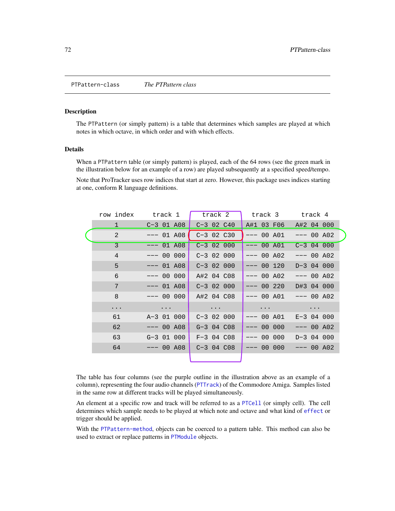<span id="page-71-1"></span>PTPattern-class *The PTPattern class*

#### <span id="page-71-0"></span>Description

The PTPattern (or simply pattern) is a table that determines which samples are played at which notes in which octave, in which order and with which effects.

# Details

When a PTPattern table (or simply pattern) is played, each of the 64 rows (see the green mark in the illustration below for an example of a row) are played subsequently at a specified speed/tempo.

Note that ProTracker uses row indices that start at zero. However, this package uses indices starting at one, conform R language definitions.

|                          | row index track 1 | track 2                     | track 3 track 4           |              |
|--------------------------|-------------------|-----------------------------|---------------------------|--------------|
| $\mathbf{1}$             | $C-3$ 01 A08      | $C-3$ 02 $C40$              | A#1 03 F06                | A#2 04 000   |
| $\overline{2}$           | $--- 01 A08$      | $C-3$ 02 $C30$              | $--- 00 A01$              | $--- 00 A02$ |
| $\overline{\mathcal{E}}$ | $--- 01 A08$      | $C-3$ 02 000                | $--- 00 A01$              | $C-3$ 04 000 |
| $\overline{4}$           | $--- 00 000$      | $C-3$ 02 000                | $--- 00 A02$              | $--- 00 A02$ |
| 5                        | $--- 01 A08$      | $C-3$ 02 000                | $--- 00 120$              | $D-3$ 04 000 |
| 6                        | $--- 00 000$      | A#2 04 C08                  | $--- 00 A02$              | $--- 00 A02$ |
| 7                        | $--- 01 A08$      | $C-3$ 02 000                | $--- 00220$               | D#3 04 000   |
| 8                        | $--- 00000$       | A#2 04 C08                  | $--- 00$ A01 $--- 00$ A02 |              |
| $\cdots$                 | $\ddotsc$         | $\sim$ $\sim$ $\sim$ $\sim$ | $\ldots$ .                | $\ddots$     |
| 61                       | $A-3$ 01 000      | $C-3$ 02 000                | $--- 00 A01$              | $E-3$ 04 000 |
| 62                       | $--- 00 A08$      | $G-3$ 04 $C08$              | $--- 00 000$              | $--- 00 A02$ |
| 63                       | $G-3$ 01 000      | $F-3$ 04 C08                | $--- 00 000$              | $D-3$ 04 000 |
| 64                       | $--- 00 A08$      | $C-3$ 04 $C08$              | $--- 00 000$              | $--- 00 A02$ |
|                          |                   |                             |                           |              |

The table has four columns (see the purple outline in the illustration above as an example of a column), representing the four audio channels ([PTTrack](#page-78-0)) of the Commodore Amiga. Samples listed in the same row at different tracks will be played simultaneously.

V

An element at a specific row and track will be referred to as a [PTCell](#page-65-1) (or simply cell). The cell determines which sample needs to be played at which note and octave and what kind of [effect](#page-10-0) or trigger should be applied.

With the [PTPattern-method](#page-72-0), objects can be coerced to a pattern table. This method can also be used to extract or replace patterns in [PTModule](#page-69-0) objects.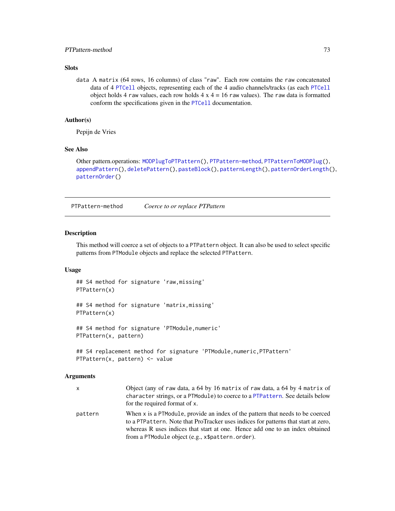# <span id="page-72-1"></span>PTPattern-method 73

# Slots

data A matrix (64 rows, 16 columns) of class "raw". Each row contains the raw concatenated data of 4 [PTCell](#page-65-0) objects, representing each of the 4 audio channels/tracks (as each [PTCell](#page-65-0) object holds 4 raw values, each row holds  $4 \times 4 = 16$  raw values). The raw data is formatted conform the specifications given in the [PTCell](#page-65-0) documentation.

# Author(s)

Pepijn de Vries

# See Also

```
Other pattern.operations: MODPlugToPTPattern(), PTPattern-method, PTPatternToMODPlug(),
appendPattern(), deletePattern(), pasteBlock(), patternLength(), patternOrderLength(),
patternOrder()
```
<span id="page-72-0"></span>PTPattern-method *Coerce to or replace PTPattern*

#### Description

This method will coerce a set of objects to a PTPattern object. It can also be used to select specific patterns from PTModule objects and replace the selected PTPattern.

#### Usage

## S4 method for signature 'raw,missing' PTPattern(x)

## S4 method for signature 'matrix,missing' PTPattern(x)

## S4 method for signature 'PTModule,numeric' PTPattern(x, pattern)

```
## S4 replacement method for signature 'PTModule, numeric, PTPattern'
PTPattern(x, pattern) <- value
```
#### **Arguments**

| x       | Object (any of raw data, a 64 by 16 matrix of raw data, a 64 by 4 matrix of<br>character strings, or a PTModule) to coerce to a PTPattern. See details below<br>for the required format of x.                                                                                                            |
|---------|----------------------------------------------------------------------------------------------------------------------------------------------------------------------------------------------------------------------------------------------------------------------------------------------------------|
| pattern | When x is a PTModule, provide an index of the pattern that needs to be coerced<br>to a PTPattern. Note that ProTracker uses indices for patterns that start at zero,<br>whereas R uses indices that start at one. Hence add one to an index obtained<br>from a PTModule object (e.g., x\$pattern.order). |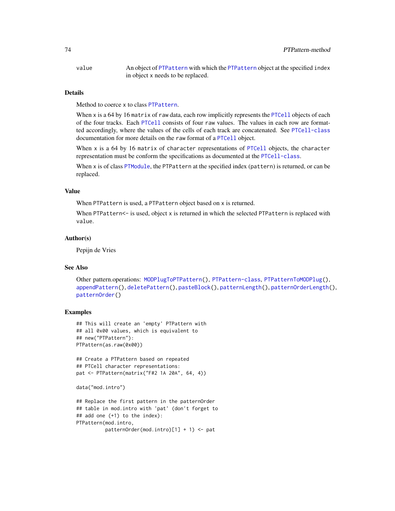<span id="page-73-0"></span>value An object of [PTPattern](#page-71-0) with which the [PTPattern](#page-71-0) object at the specified index in object x needs to be replaced.

# Details

Method to coerce x to class [PTPattern](#page-71-0).

When x is a 64 by 16 matrix of raw data, each row implicitly represents the PTCe11 objects of each of the four tracks. Each [PTCell](#page-65-0) consists of four raw values. The values in each row are formatted accordingly, where the values of the cells of each track are concatenated. See [PTCell-class](#page-65-1) documentation for more details on the raw format of a [PTCell](#page-65-0) object.

When x is a 64 by 16 matrix of character representations of [PTCell](#page-65-0) objects, the character representation must be conform the specifications as documented at the [PTCell-class](#page-65-1).

When x is of class [PTModule](#page-69-0), the PTPattern at the specified index (pattern) is returned, or can be replaced.

# Value

When PTPattern is used, a PTPattern object based on x is returned.

When PTPattern<- is used, object x is returned in which the selected PTPattern is replaced with value.

#### Author(s)

Pepijn de Vries

#### See Also

```
Other pattern.operations: MODPlugToPTPattern(), PTPattern-class, PTPatternToMODPlug(),
appendPattern(), deletePattern(), pasteBlock(), patternLength(), patternOrderLength(),
patternOrder()
```
# Examples

```
## This will create an 'empty' PTPattern with
## all 0x00 values, which is equivalent to
## new("PTPattern"):
PTPattern(as.raw(0x00))
```

```
## Create a PTPattern based on repeated
## PTCell character representations:
pat <- PTPattern(matrix("F#2 1A 20A", 64, 4))
```

```
data("mod.intro")
```

```
## Replace the first pattern in the patternOrder
## table in mod.intro with 'pat' (don't forget to
## add one (+1) to the index):
PTPattern(mod.intro,
         patternOrder(mod.intro)[1] + 1) <- pat
```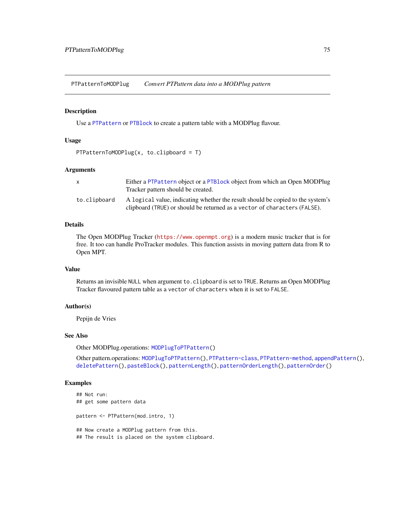<span id="page-74-1"></span><span id="page-74-0"></span>PTPatternToMODPlug *Convert PTPattern data into a MODPlug pattern*

#### Description

Use a [PTPattern](#page-71-0) or [PTBlock](#page-64-0) to create a pattern table with a MODPlug flavour.

### Usage

```
PTPatternToMODPlug(x, to.clipboard = T)
```
# Arguments

| X            | Either a PTPattern object or a PTB1ock object from which an Open MODPlug<br>Tracker pattern should be created.                                               |
|--------------|--------------------------------------------------------------------------------------------------------------------------------------------------------------|
| to.clipboard | A logical value, indicating whether the result should be copied to the system's<br>clipboard (TRUE) or should be returned as a vector of characters (FALSE). |

#### Details

The Open MODPlug Tracker (<https://www.openmpt.org>) is a modern music tracker that is for free. It too can handle ProTracker modules. This function assists in moving pattern data from R to Open MPT.

# Value

Returns an invisible NULL when argument to.clipboard is set to TRUE. Returns an Open MODPlug Tracker flavoured pattern table as a vector of characters when it is set to FALSE.

#### Author(s)

Pepijn de Vries

#### See Also

Other MODPlug.operations: [MODPlugToPTPattern\(](#page-27-0))

Other pattern.operations: [MODPlugToPTPattern\(](#page-27-0)), [PTPattern-class](#page-71-1), [PTPattern-method](#page-72-0), [appendPattern\(](#page-2-0)), [deletePattern\(](#page-9-0)), [pasteBlock\(](#page-44-0)), [patternLength\(](#page-45-0)), [patternOrderLength\(](#page-48-0)), [patternOrder\(](#page-46-0))

# Examples

```
## Not run:
## get some pattern data
pattern <- PTPattern(mod.intro, 1)
## Now create a MODPlug pattern from this.
## The result is placed on the system clipboard.
```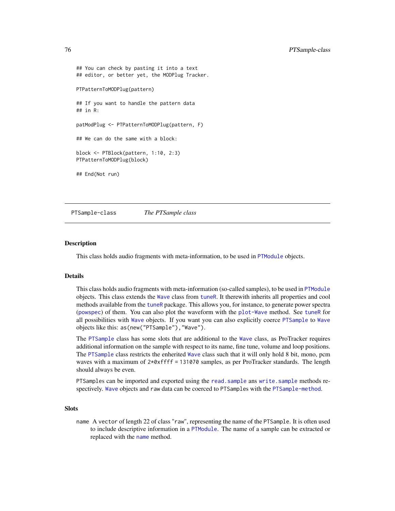```
## You can check by pasting it into a text
## editor, or better yet, the MODPlug Tracker.
PTPatternToMODPlug(pattern)
## If you want to handle the pattern data
## in R:
patModPlug <- PTPatternToMODPlug(pattern, F)
## We can do the same with a block:
block <- PTBlock(pattern, 1:10, 2:3)
PTPatternToMODPlug(block)
## End(Not run)
```
<span id="page-75-1"></span>PTSample-class *The PTSample class*

#### <span id="page-75-0"></span>**Description**

This class holds audio fragments with meta-information, to be used in [PTModule](#page-69-0) objects.

#### Details

This class holds audio fragments with meta-information (so-called samples), to be used in [PTModule](#page-69-0) objects. This class extends the [Wave](#page-0-0) class from [tuneR](#page-0-0). It therewith inherits all properties and cool methods available from the [tuneR](#page-0-0) package. This allows you, for instance, to generate power spectra ([powspec](#page-0-0)) of them. You can also plot the waveform with the [plot-Wave](#page-0-0) method. See [tuneR](#page-0-0) for all possibilities with [Wave](#page-0-0) objects. If you want you can also explicitly coerce [PTSample](#page-75-0) to [Wave](#page-0-0) objects like this: as(new("PTSample"),"Wave").

The [PTSample](#page-75-0) class has some slots that are additional to the [Wave](#page-0-0) class, as ProTracker requires additional information on the sample with respect to its name, fine tune, volume and loop positions. The [PTSample](#page-75-0) class restricts the enherited [Wave](#page-0-0) class such that it will only hold 8 bit, mono, pcm waves with a maximum of  $2*0x$ ffff = 131070 samples, as per ProTracker standards. The length should always be even.

PTSamples can be imported and exported using the [read.sample](#page-88-0) ans [write.sample](#page-102-0) methods respectively. [Wave](#page-0-0) objects and raw data can be coerced to PTSamples with the [PTSample-method](#page-77-0).

# **Slots**

name A vector of length 22 of class "raw", representing the name of the PTSample. It is often used to include descriptive information in a [PTModule](#page-69-0). The name of a sample can be extracted or replaced with the [name](#page-33-0) method.

<span id="page-75-2"></span>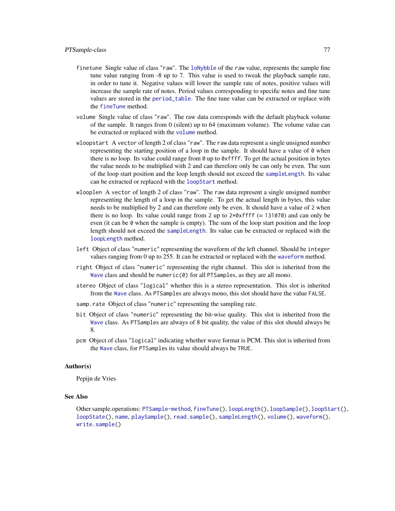- <span id="page-76-0"></span>finetune Single value of class "raw". The [loNybble](#page-40-0) of the raw value, represents the sample fine tune value ranging from -8 up to 7. This value is used to tweak the playback sample rate, in order to tune it. Negative values will lower the sample rate of notes, positive values will increase the sample rate of notes. Period values corresponding to specific notes and fine tune values are stored in the [period\\_table](#page-51-0). The fine tune value can be extracted or replace with the [fineTune](#page-11-0) method.
- volume Single value of class "raw". The raw data corresponds with the default playback volume of the sample. It ranges from 0 (silent) up to 64 (maximum volume). The volume value can be extracted or replaced with the [volume](#page-98-0) method.
- wloopstart A vector of length 2 of class "raw". The raw data represent a single unsigned number representing the starting position of a loop in the sample. It should have a value of 0 when there is no loop. Its value could range from  $\theta$  up to  $\theta$ xffff. To get the actual position in bytes the value needs to be multiplied with 2 and can therefore only be can only be even. The sum of the loop start position and the loop length should not exceed the [sampleLength](#page-90-0). Its value can be extracted or replaced with the [loopStart](#page-17-0) method.
- wlooplen A vector of length 2 of class "raw". The raw data represent a single unsigned number representing the length of a loop in the sample. To get the actual length in bytes, this value needs to be multiplied by 2 and can therefore only be even. It should have a value of 2 when there is no loop. Its value could range from 2 up to  $2*0x$  fff (= 131070) and can only be even (it can be  $\theta$  when the sample is empty). The sum of the loop start position and the loop length should not exceed the [sampleLength](#page-90-0). Its value can be extracted or replaced with the [loopLength](#page-14-0) method.
- left Object of class "numeric" representing the waveform of the left channel. Should be integer values ranging from 0 up to 255. It can be extracted or replaced with the [waveform](#page-99-0) method.
- right Object of class "numeric" representing the right channel. This slot is inherited from the [Wave](#page-0-0) class and should be numeric( $\theta$ ) for all PTSamples, as they are all mono.
- stereo Object of class "logical" whether this is a stereo representation. This slot is inherited from the [Wave](#page-0-0) class. As PTSamples are always mono, this slot should have the value FALSE.
- samp.rate Object of class "numeric" representing the sampling rate.
- bit Object of class "numeric" representing the bit-wise quality. This slot is inherited from the [Wave](#page-0-0) class. As PTSamples are always of 8 bit quality, the value of this slot should always be 8.
- pcm Object of class "logical" indicating whether wave format is PCM. This slot is inherited from the [Wave](#page-0-0) class, for PTSamples its value should always be TRUE.

#### Author(s)

Pepijn de Vries

# See Also

Other sample.operations: [PTSample-method](#page-77-0), [fineTune\(](#page-11-0)), [loopLength\(](#page-14-0)), [loopSample\(](#page-16-0)), [loopStart\(](#page-17-0)), [loopState\(](#page-18-0)), [name](#page-33-0), [playSample\(](#page-55-0)), [read.sample\(](#page-88-0)), [sampleLength\(](#page-90-0)), [volume\(](#page-98-0)), [waveform\(](#page-99-0)), [write.sample\(](#page-102-0))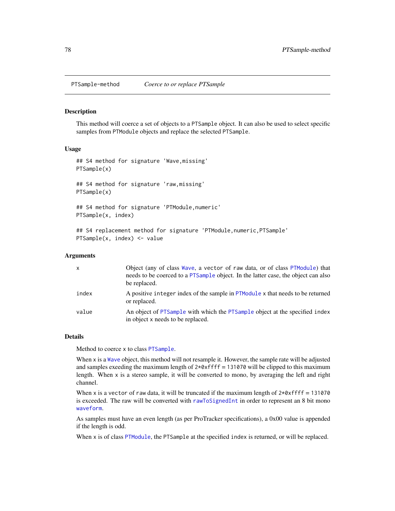<span id="page-77-1"></span><span id="page-77-0"></span>

#### Description

This method will coerce a set of objects to a PTSample object. It can also be used to select specific samples from PTModule objects and replace the selected PTSample.

# Usage

```
## S4 method for signature 'Wave,missing'
PTSample(x)
## S4 method for signature 'raw,missing'
PTSample(x)
## S4 method for signature 'PTModule,numeric'
PTSample(x, index)
## S4 replacement method for signature 'PTModule,numeric,PTSample'
PTSample(x, index) <- value
```
# Arguments

| $\mathsf{X}$ | Object (any of class Wave, a vector of raw data, or of class PTModule) that<br>needs to be coerced to a PTSample object. In the latter case, the object can also<br>be replaced. |
|--------------|----------------------------------------------------------------------------------------------------------------------------------------------------------------------------------|
| index        | A positive integer index of the sample in PTModule x that needs to be returned<br>or replaced.                                                                                   |
| value        | An object of PTSample with which the PTSample object at the specified index<br>in object x needs to be replaced.                                                                 |

#### Details

Method to coerce x to class [PTSample](#page-75-0).

When x is a [Wave](#page-0-0) object, this method will not resample it. However, the sample rate will be adjusted and samples exeeding the maximum length of  $2*0x$  ffff = 131070 will be clipped to this maximum length. When x is a stereo sample, it will be converted to mono, by averaging the left and right channel.

When x is a vector of raw data, it will be truncated if the maximum length of  $2*0x$  ffff = 131070 is exceeded. The raw will be converted with [rawToSignedInt](#page-84-0) in order to represent an 8 bit mono [waveform](#page-99-0).

As samples must have an even length (as per ProTracker specifications), a 0x00 value is appended if the length is odd.

When x is of class [PTModule](#page-69-0), the PTSample at the specified index is returned, or will be replaced.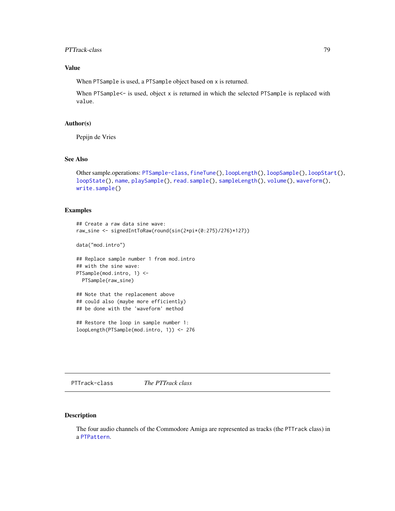# <span id="page-78-1"></span>PTTrack-class 79

# Value

When PTSample is used, a PTSample object based on x is returned.

When PTSample $\le$ - is used, object x is returned in which the selected PTSample is replaced with value.

# Author(s)

Pepijn de Vries

# See Also

```
Other sample.operations: PTSample-class, fineTune(), loopLength(), loopSample(), loopStart(),
loopState(), name, playSample(), read.sample(), sampleLength(), volume(), waveform(),
write.sample()
```
# Examples

```
## Create a raw data sine wave:
raw_sine <- signedIntToRaw(round(sin(2*pi*(0:275)/276)*127))
data("mod.intro")
## Replace sample number 1 from mod.intro
## with the sine wave:
PTSample(mod.intro, 1) <-
 PTSample(raw_sine)
## Note that the replacement above
## could also (maybe more efficiently)
## be done with the 'waveform' method
```
## Restore the loop in sample number 1: loopLength(PTSample(mod.intro, 1)) <- 276

PTTrack-class *The PTTrack class*

# <span id="page-78-0"></span>Description

The four audio channels of the Commodore Amiga are represented as tracks (the PTTrack class) in a [PTPattern](#page-71-0).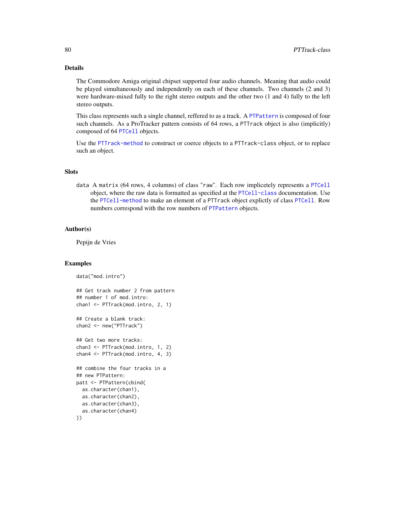# <span id="page-79-0"></span>Details

The Commodore Amiga original chipset supported four audio channels. Meaning that audio could be played simultaneously and independently on each of these channels. Two channels (2 and 3) were hardware-mixed fully to the right stereo outputs and the other two (1 and 4) fully to the left stereo outputs.

This class represents such a single channel, reffered to as a track. A [PTPattern](#page-71-0) is composed of four such channels. As a ProTracker pattern consists of 64 rows, a PTTrack object is also (implicitly) composed of 64 [PTCell](#page-65-0) objects.

Use the [PTTrack-method](#page-80-0) to construct or coerce objects to a PTTrack-class object, or to replace such an object.

#### **Slots**

data A matrix (64 rows, 4 columns) of class "raw". Each row implicetely represents a [PTCell](#page-65-0) object, where the raw data is formatted as specified at the [PTCell-class](#page-65-1) documentation. Use the [PTCell-method](#page-66-0) to make an element of a PTTrack object explictly of class [PTCell](#page-65-0). Row numbers correspond with the row numbers of [PTPattern](#page-71-0) objects.

#### Author(s)

Pepijn de Vries

#### Examples

```
data("mod.intro")
```

```
## Get track number 2 from pattern
## number 1 of mod.intro:
chan1 <- PTTrack(mod.intro, 2, 1)
## Create a blank track:
chan2 <- new("PTTrack")
## Get two more tracks:
chan3 <- PTTrack(mod.intro, 1, 2)
chan4 <- PTTrack(mod.intro, 4, 3)
## combine the four tracks in a
## new PTPattern:
patt <- PTPattern(cbind(
 as.character(chan1),
 as.character(chan2),
 as.character(chan3),
```

```
as.character(chan4)
```

```
))
```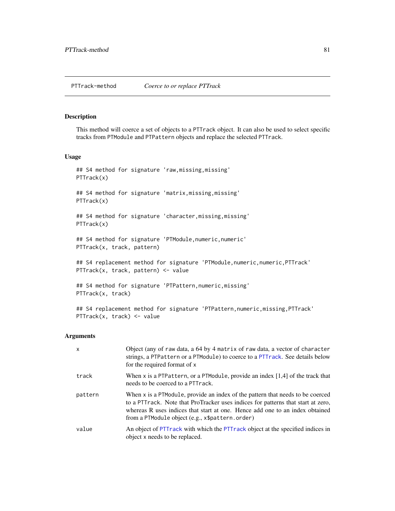# <span id="page-80-1"></span><span id="page-80-0"></span>Description

This method will coerce a set of objects to a PTTrack object. It can also be used to select specific tracks from PTModule and PTPattern objects and replace the selected PTTrack.

# Usage

```
## S4 method for signature 'raw,missing,missing'
PTTrack(x)
## S4 method for signature 'matrix,missing,missing'
PTTrack(x)
## S4 method for signature 'character,missing,missing'
PTTrack(x)
## S4 method for signature 'PTModule,numeric,numeric'
PTTrack(x, track, pattern)
## S4 replacement method for signature 'PTModule, numeric, numeric, PTTrack'
PTTrack(x, track, pattern) <- value
## S4 method for signature 'PTPattern,numeric,missing'
PTTrack(x, track)
```
## S4 replacement method for signature 'PTPattern, numeric, missing, PTTrack' PTTrack(x, track) <- value

# Arguments

| $\mathsf{x}$ | Object (any of raw data, a 64 by 4 matrix of raw data, a vector of character<br>strings, a PTPattern or a PTModule) to coerce to a PTTrack. See details below<br>for the required format of x                                                                                                           |
|--------------|---------------------------------------------------------------------------------------------------------------------------------------------------------------------------------------------------------------------------------------------------------------------------------------------------------|
| track        | When x is a PTP attern, or a PTM odule, provide an index $[1,4]$ of the track that<br>needs to be coerced to a PTT rack.                                                                                                                                                                                |
| pattern      | When x is a PTM odule, provide an index of the pattern that needs to be coerced<br>to a PTT rack. Note that ProTracker uses indices for patterns that start at zero,<br>whereas R uses indices that start at one. Hence add one to an index obtained<br>from a PTModule object (e.g., x\$pattern.order) |
| value        | An object of PTTrack with which the PTTrack object at the specified indices in<br>object x needs to be replaced.                                                                                                                                                                                        |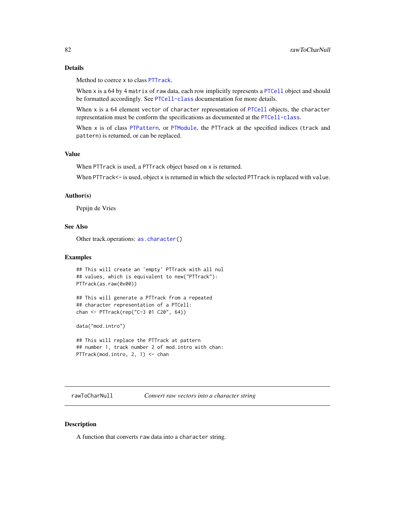# <span id="page-81-1"></span>Details

Method to coerce x to class [PTTrack](#page-78-0).

When x is a 64 by 4 matrix of raw data, each row implicitly represents a [PTCell](#page-65-0) object and should be formatted accordingly. See [PTCell-class](#page-65-1) documentation for more details.

When x is a 64 element vector of character representation of [PTCell](#page-65-0) objects, the character representation must be conform the specifications as documented at the [PTCell-class](#page-65-1).

When x is of class [PTPattern](#page-71-0), or [PTModule](#page-69-0), the PTTrack at the specified indices (track and pattern) is returned, or can be replaced.

# Value

When PTTrack is used, a PTTrack object based on x is returned.

When PTTrack<- is used, object x is returned in which the selected PTTrack is replaced with value.

#### Author(s)

Pepijn de Vries

# See Also

Other track.operations: [as.character\(](#page-3-0))

#### Examples

## This will create an 'empty' PTTrack with all nul ## values, which is equivalent to new("PTTrack"): PTTrack(as.raw(0x00))

## This will generate a PTTrack from a repeated ## character representation of a PTCell: chan <- PTTrack(rep("C-3 01 C20", 64))

data("mod.intro")

```
## This will replace the PTTrack at pattern
## number 1, track number 2 of mod.intro with chan:
PTTrack(mod.intro, 2, 1) <- chan
```
<span id="page-81-0"></span>rawToCharNull *Convert raw vectors into a character string*

#### Description

A function that converts raw data into a character string.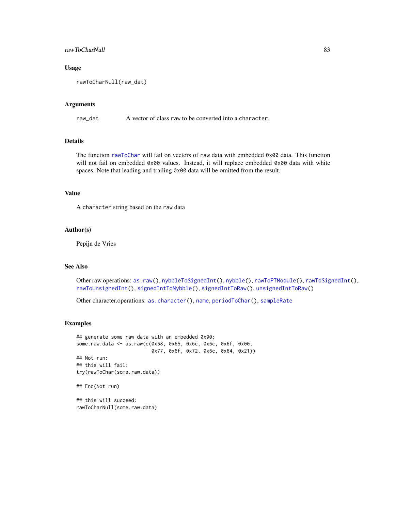# <span id="page-82-0"></span>rawToCharNull 83

# Usage

```
rawToCharNull(raw_dat)
```
#### Arguments

raw\_dat A vector of class raw to be converted into a character.

# Details

The function [rawToChar](#page-0-0) will fail on vectors of raw data with embedded 0x00 data. This function will not fail on embedded 0x00 values. Instead, it will replace embedded 0x00 data with white spaces. Note that leading and trailing 0x00 data will be omitted from the result.

# Value

A character string based on the raw data

#### Author(s)

Pepijn de Vries

#### See Also

Other raw.operations: [as.raw\(](#page-5-0)), [nybbleToSignedInt\(](#page-41-0)), [nybble\(](#page-40-1)), [rawToPTModule\(](#page-83-0)), [rawToSignedInt\(](#page-84-0)), [rawToUnsignedInt\(](#page-85-0)), [signedIntToNybble\(](#page-93-0)), [signedIntToRaw\(](#page-94-0)), [unsignedIntToRaw\(](#page-97-0))

Other character.operations: [as.character\(](#page-3-0)), [name](#page-33-0), [periodToChar\(](#page-50-0)), [sampleRate](#page-92-0)

# Examples

```
## generate some raw data with an embedded 0x00:
some.raw.data <- as.raw(c(0x68, 0x65, 0x6c, 0x6c, 0x6f, 0x00,
                          0x77, 0x6f, 0x72, 0x6c, 0x64, 0x21))
## Not run:
## this will fail:
try(rawToChar(some.raw.data))
## End(Not run)
## this will succeed:
rawToCharNull(some.raw.data)
```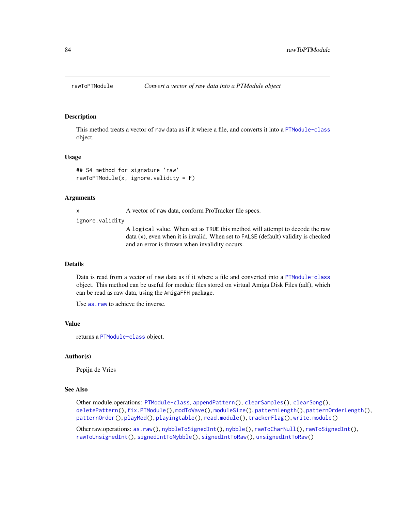<span id="page-83-1"></span><span id="page-83-0"></span>

# Description

This method treats a vector of raw data as if it where a file, and converts it into a [PTModule-class](#page-69-1) object.

#### Usage

```
## S4 method for signature 'raw'
rawToPTModule(x, ignore.validity = F)
```
# **Arguments**

x A vector of raw data, conform ProTracker file specs.

ignore.validity

A logical value. When set as TRUE this method will attempt to decode the raw data (x), even when it is invalid. When set to FALSE (default) validity is checked and an error is thrown when invalidity occurs.

#### Details

Data is read from a vector of raw data as if it where a file and converted into a [PTModule-class](#page-69-1) object. This method can be useful for module files stored on virtual Amiga Disk Files (adf), which can be read as raw data, using the AmigaFFH package.

Use [as.raw](#page-5-0) to achieve the inverse.

#### Value

returns a [PTModule-class](#page-69-1) object.

#### Author(s)

Pepijn de Vries

#### See Also

Other module.operations: [PTModule-class](#page-69-1), [appendPattern\(](#page-2-0)), [clearSamples\(](#page-7-0)), [clearSong\(](#page-8-0)), [deletePattern\(](#page-9-0)), [fix.PTModule\(](#page-12-0)), [modToWave\(](#page-30-0)), [moduleSize\(](#page-32-0)), [patternLength\(](#page-45-0)), [patternOrderLength\(](#page-48-0)), [patternOrder\(](#page-46-0)), [playMod\(](#page-54-0)), [playingtable\(](#page-52-0)), [read.module\(](#page-86-0)), [trackerFlag\(](#page-95-0)), [write.module\(](#page-101-0))

Other raw.operations: [as.raw\(](#page-5-0)), [nybbleToSignedInt\(](#page-41-0)), [nybble\(](#page-40-1)), [rawToCharNull\(](#page-81-0)), [rawToSignedInt\(](#page-84-0)), [rawToUnsignedInt\(](#page-85-0)), [signedIntToNybble\(](#page-93-0)), [signedIntToRaw\(](#page-94-0)), [unsignedIntToRaw\(](#page-97-0))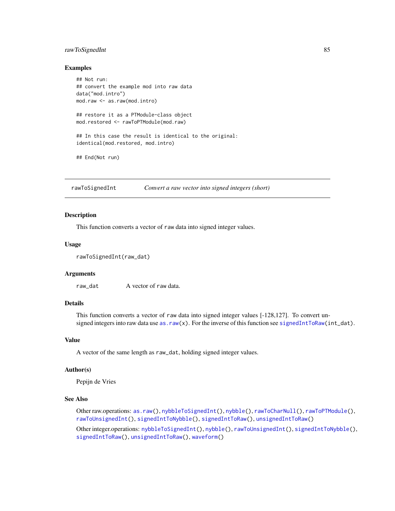# <span id="page-84-1"></span>rawToSignedInt 85

#### Examples

```
## Not run:
## convert the example mod into raw data
data("mod.intro")
mod.raw <- as.raw(mod.intro)
## restore it as a PTModule-class object
mod.restored <- rawToPTModule(mod.raw)
## In this case the result is identical to the original:
identical(mod.restored, mod.intro)
## End(Not run)
```
<span id="page-84-0"></span>rawToSignedInt *Convert a raw vector into signed integers (short)*

# Description

This function converts a vector of raw data into signed integer values.

# Usage

```
rawToSignedInt(raw_dat)
```
#### Arguments

raw\_dat A vector of raw data.

# Details

This function converts a vector of raw data into signed integer values [-128,127]. To convert unsigned integers into raw data use [as.raw\(](#page-5-0)x). For the inverse of this function see [signedIntToRaw\(](#page-94-0)int\_dat).

# Value

A vector of the same length as raw\_dat, holding signed integer values.

#### Author(s)

Pepijn de Vries

# See Also

Other raw.operations: [as.raw\(](#page-5-0)), [nybbleToSignedInt\(](#page-41-0)), [nybble\(](#page-40-1)), [rawToCharNull\(](#page-81-0)), [rawToPTModule\(](#page-83-0)), [rawToUnsignedInt\(](#page-85-0)), [signedIntToNybble\(](#page-93-0)), [signedIntToRaw\(](#page-94-0)), [unsignedIntToRaw\(](#page-97-0))

Other integer.operations: [nybbleToSignedInt\(](#page-41-0)), [nybble\(](#page-40-1)), [rawToUnsignedInt\(](#page-85-0)), [signedIntToNybble\(](#page-93-0)), [signedIntToRaw\(](#page-94-0)), [unsignedIntToRaw\(](#page-97-0)), [waveform\(](#page-99-0))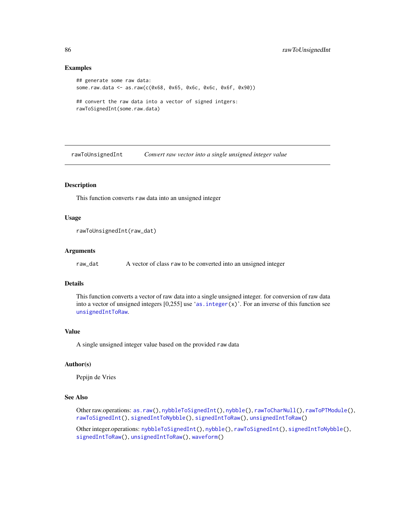# Examples

```
## generate some raw data:
some.raw.data <- as.raw(c(0x68, 0x65, 0x6c, 0x6c, 0x6f, 0x90))
## convert the raw data into a vector of signed intgers:
rawToSignedInt(some.raw.data)
```
<span id="page-85-0"></span>rawToUnsignedInt *Convert raw vector into a single unsigned integer value*

# Description

This function converts raw data into an unsigned integer

# Usage

```
rawToUnsignedInt(raw_dat)
```
# Arguments

raw\_dat A vector of class raw to be converted into an unsigned integer

# Details

This function converts a vector of raw data into a single unsigned integer. for conversion of raw data into a vector of unsigned integers [0,255] use '[as.integer\(](#page-0-0)x)'. For an inverse of this function see [unsignedIntToRaw](#page-97-0).

#### Value

A single unsigned integer value based on the provided raw data

#### Author(s)

Pepijn de Vries

# See Also

Other raw.operations: [as.raw\(](#page-5-0)), [nybbleToSignedInt\(](#page-41-0)), [nybble\(](#page-40-1)), [rawToCharNull\(](#page-81-0)), [rawToPTModule\(](#page-83-0)), [rawToSignedInt\(](#page-84-0)), [signedIntToNybble\(](#page-93-0)), [signedIntToRaw\(](#page-94-0)), [unsignedIntToRaw\(](#page-97-0))

Other integer.operations: [nybbleToSignedInt\(](#page-41-0)), [nybble\(](#page-40-1)), [rawToSignedInt\(](#page-84-0)), [signedIntToNybble\(](#page-93-0)), [signedIntToRaw\(](#page-94-0)), [unsignedIntToRaw\(](#page-97-0)), [waveform\(](#page-99-0))

<span id="page-85-1"></span>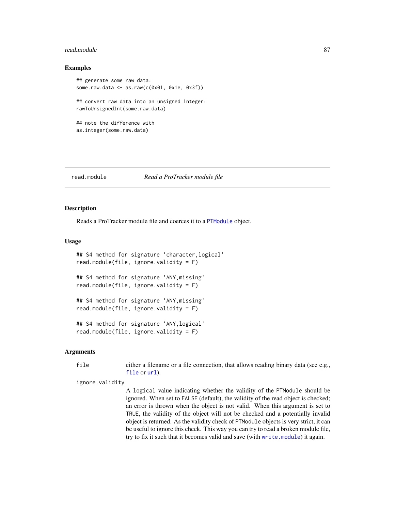#### <span id="page-86-1"></span>read.module 87

#### Examples

```
## generate some raw data:
some.raw.data <- as.raw(c(0x01, 0x1e, 0x3f))
## convert raw data into an unsigned integer:
rawToUnsignedInt(some.raw.data)
## note the difference with
as.integer(some.raw.data)
```
<span id="page-86-0"></span>read.module *Read a ProTracker module file*

#### Description

Reads a ProTracker module file and coerces it to a [PTModule](#page-69-0) object.

#### Usage

```
## S4 method for signature 'character,logical'
read.module(file, ignore.validity = F)
## S4 method for signature 'ANY,missing'
read.module(file, ignore.validity = F)
```

```
## S4 method for signature 'ANY,missing'
read.module(file, ignore.validity = F)
```

```
## S4 method for signature 'ANY,logical'
read.module(file, ignore.validity = F)
```
# Arguments

file either a filename or a file connection, that allows reading binary data (see e.g., [file](#page-0-0) or [url](#page-0-0)).

ignore.validity

A logical value indicating whether the validity of the PTModule should be ignored. When set to FALSE (default), the validity of the read object is checked; an error is thrown when the object is not valid. When this argument is set to TRUE, the validity of the object will not be checked and a potentially invalid object is returned. As the validity check of PTModule objects is very strict, it can be useful to ignore this check. This way you can try to read a broken module file, try to fix it such that it becomes valid and save (with [write.module](#page-101-0)) it again.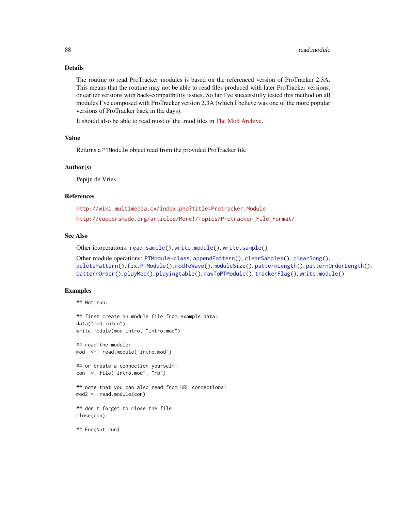# Details

The routine to read ProTracker modules is based on the referenced version of ProTracker 2.3A. This means that the routine may not be able to read files produced with later ProTracker versions, or earlier versions with back-compatibility issues. So far I've successfully tested this method on all modules I've composed with ProTracker version 2.3A (which I believe was one of the more popular versions of ProTracker back in the days).

It should also be able to read most of the .mod files in [The Mod Archive.](http://modarchive.org/)

# Value

Returns a PTModule object read from the provided ProTracker file

#### Author(s)

Pepijn de Vries

# References

[http://wiki.multimedia.cx/index.php?title=Protracker\\_Module](http://wiki.multimedia.cx/index.php?title=Protracker_Module) [http://coppershade.org/articles/More!/Topics/Protracker\\_File\\_Format/](http://coppershade.org/articles/More!/Topics/Protracker_File_Format/)

# See Also

Other io.operations: [read.sample\(](#page-88-0)), [write.module\(](#page-101-0)), [write.sample\(](#page-102-0))

```
Other module.operations: PTModule-class, appendPattern(), clearSamples(), clearSong(),
deletePattern(), fix.PTModule(), modToWave(), moduleSize(), patternLength(), patternOrderLength(),
patternOrder(), playMod(), playingtable(), rawToPTModule(), trackerFlag(), write.module()
```
# Examples

```
## Not run:
## first create an module file from example data:
data("mod.intro")
write.module(mod.intro, "intro.mod")
```
## read the module: mod <- read.module("intro.mod")

## or create a connection yourself: con <- file("intro.mod", "rb")

## note that you can also read from URL connections! mod2 <- read.module(con)

## don't forget to close the file: close(con)

## End(Not run)

<span id="page-87-0"></span>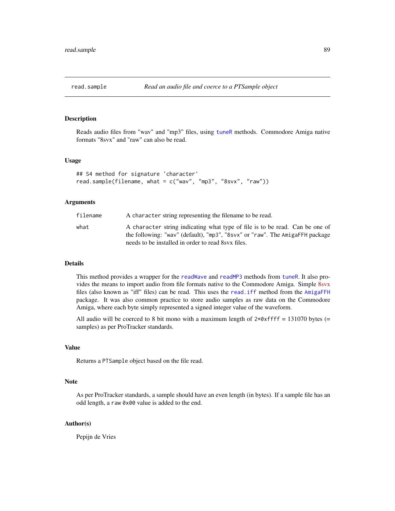<span id="page-88-1"></span><span id="page-88-0"></span>

#### Description

Reads audio files from "wav" and "mp3" files, using [tuneR](#page-0-0) methods. Commodore Amiga native formats "8svx" and "raw" can also be read.

#### Usage

```
## S4 method for signature 'character'
read.sample(filename, what = c("wav", "mp3", "8svx", "raw"))
```
#### Arguments

| filename | A character string representing the filename to be read.                                                                                                                                                          |
|----------|-------------------------------------------------------------------------------------------------------------------------------------------------------------------------------------------------------------------|
| what     | A character string indicating what type of file is to be read. Can be one of<br>the following: "way" (default), "mp3", "8svx" or "raw". The AmigaFFH package<br>needs to be installed in order to read 8sy files. |

# Details

This method provides a wrapper for the [readWave](#page-0-0) and [readMP3](#page-0-0) methods from [tuneR](#page-0-0). It also provides the means to import audio from file formats native to the Commodore Amiga. Simple [8svx](https://en.wikipedia.org/wiki/8SVX) files (also known as "iff" files) can be read. This uses the [read.iff](#page-0-0) method from the [AmigaFFH](#page-0-0) package. It was also common practice to store audio samples as raw data on the Commodore Amiga, where each byte simply represented a signed integer value of the waveform.

All audio will be coerced to 8 bit mono with a maximum length of  $2*0x$  ffff = 131070 bytes (= samples) as per ProTracker standards.

# Value

Returns a PTSample object based on the file read.

#### Note

As per ProTracker standards, a sample should have an even length (in bytes). If a sample file has an odd length, a raw 0x00 value is added to the end.

#### Author(s)

Pepijn de Vries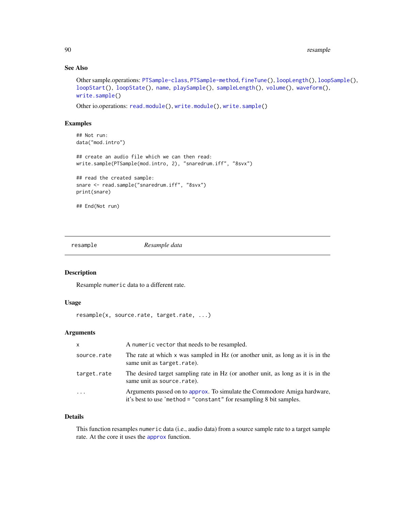# See Also

```
Other sample.operations: PTSample-class, PTSample-method, fineTune(), loopLength(), loopSample(),
loopStart(), loopState(), name, playSample(), sampleLength(), volume(), waveform(),
write.sample()
```
Other io.operations: [read.module\(](#page-86-0)), [write.module\(](#page-101-0)), [write.sample\(](#page-102-0))

# Examples

```
## Not run:
data("mod.intro")
## create an audio file which we can then read:
write.sample(PTSample(mod.intro, 2), "snaredrum.iff", "8svx")
## read the created sample:
snare <- read.sample("snaredrum.iff", "8svx")
print(snare)
## End(Not run)
```
resample *Resample data*

# Description

Resample numeric data to a different rate.

# Usage

```
resample(x, source.rate, target.rate, ...)
```
# Arguments

| $\mathsf{x}$ | A numeric vector that needs to be resampled.                                                                                                    |
|--------------|-------------------------------------------------------------------------------------------------------------------------------------------------|
| source.rate  | The rate at which x was sampled in Hz (or another unit, as long as it is in the<br>same unit as target.rate).                                   |
| target.rate  | The desired target sampling rate in Hz (or another unit, as long as it is in the<br>same unit as source.rate).                                  |
| $\cdot$      | Arguments passed on to approx. To simulate the Commodore Amiga hardware,<br>it's best to use 'method = "constant" for resampling 8 bit samples. |

# Details

This function resamples numeric data (i.e., audio data) from a source sample rate to a target sample rate. At the core it uses the [approx](#page-0-0) function.

<span id="page-89-0"></span>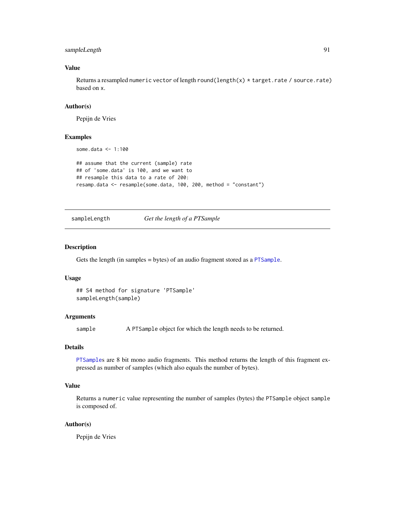# <span id="page-90-1"></span>sampleLength 91

# Value

Returns a resampled numeric vector of length round(length(x) \* target.rate / source.rate) based on x.

# Author(s)

Pepijn de Vries

#### Examples

```
some.data <- 1:100
## assume that the current (sample) rate
## of 'some.data' is 100, and we want to
## resample this data to a rate of 200:
resamp.data <- resample(some.data, 100, 200, method = "constant")
```
<span id="page-90-0"></span>sampleLength *Get the length of a PTSample*

#### Description

Gets the length (in samples = bytes) of an audio fragment stored as a [PTSample](#page-75-0).

# Usage

```
## S4 method for signature 'PTSample'
sampleLength(sample)
```
#### Arguments

sample A PTSample object for which the length needs to be returned.

# Details

[PTSample](#page-75-0)s are 8 bit mono audio fragments. This method returns the length of this fragment expressed as number of samples (which also equals the number of bytes).

# Value

Returns a numeric value representing the number of samples (bytes) the PTSample object sample is composed of.

#### Author(s)

Pepijn de Vries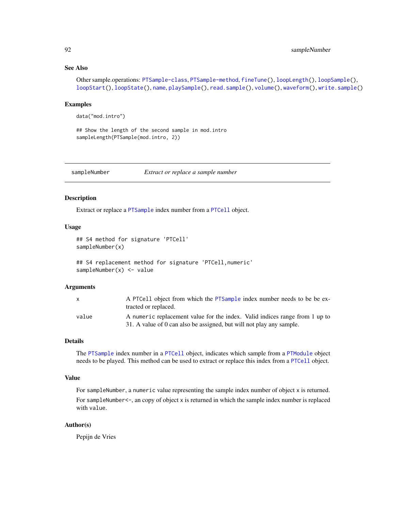# <span id="page-91-0"></span>See Also

```
Other sample.operations: PTSample-class, PTSample-method, fineTune(), loopLength(), loopSample(),
loopStart(), loopState(), name, playSample(), read.sample(), volume(), waveform(), write.sample()
```
#### Examples

data("mod.intro")

## Show the length of the second sample in mod.intro sampleLength(PTSample(mod.intro, 2))

sampleNumber *Extract or replace a sample number*

# Description

Extract or replace a [PTSample](#page-75-0) index number from a [PTCell](#page-65-0) object.

# Usage

```
## S4 method for signature 'PTCell'
sampleNumber(x)
```
## S4 replacement method for signature 'PTCell,numeric' sampleNumber(x) <- value

#### **Arguments**

|       | A PTCell object from which the PTSample index number needs to be be ex-     |
|-------|-----------------------------------------------------------------------------|
|       | tracted or replaced.                                                        |
| value | A numeric replacement value for the index. Valid indices range from 1 up to |
|       | 31. A value of 0 can also be assigned, but will not play any sample.        |

# Details

The [PTSample](#page-75-0) index number in a [PTCell](#page-65-0) object, indicates which sample from a [PTModule](#page-69-0) object needs to be played. This method can be used to extract or replace this index from a [PTCell](#page-65-0) object.

#### Value

For sampleNumber, a numeric value representing the sample index number of object x is returned. For sampleNumber<-, an copy of object x is returned in which the sample index number is replaced with value.

#### Author(s)

Pepijn de Vries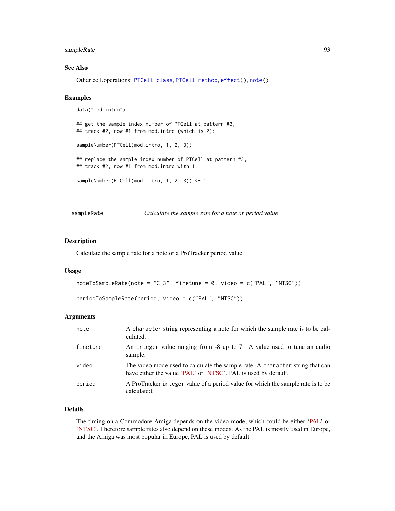# <span id="page-92-1"></span>sampleRate 93

# See Also

Other cell.operations: [PTCell-class](#page-65-1), [PTCell-method](#page-66-0), [effect\(](#page-10-0)), [note\(](#page-35-0))

#### Examples

```
data("mod.intro")
## get the sample index number of PTCell at pattern #3,
## track #2, row #1 from mod.intro (which is 2):
sampleNumber(PTCell(mod.intro, 1, 2, 3))
## replace the sample index number of PTCell at pattern #3,
## track #2, row #1 from mod.intro with 1:
sampleNumber(PTCell(mod.intro, 1, 2, 3)) <- 1
```
<span id="page-92-0"></span>sampleRate *Calculate the sample rate for a note or period value*

# Description

Calculate the sample rate for a note or a ProTracker period value.

#### Usage

```
noteToSampleRate(note = "C-3", finetune = 0, video = c("PAL", "NTSC"))
```
periodToSampleRate(period, video = c("PAL", "NTSC"))

#### **Arguments**

| note     | A character string representing a note for which the sample rate is to be cal-<br>culated.                                                      |
|----------|-------------------------------------------------------------------------------------------------------------------------------------------------|
| finetune | An integer value ranging from -8 up to 7. A value used to tune an audio<br>sample.                                                              |
| video    | The video mode used to calculate the sample rate. A character string that can<br>have either the value 'PAL' or 'NTSC'. PAL is used by default. |
| period   | A ProTracker integer value of a period value for which the sample rate is to be<br>calculated.                                                  |

# Details

The timing on a Commodore Amiga depends on the video mode, which could be either ['PAL'](https://en.wikipedia.org/wiki/PAL) or ['NTSC'](https://en.wikipedia.org/wiki/NTSC). Therefore sample rates also depend on these modes. As the PAL is mostly used in Europe, and the Amiga was most popular in Europe, PAL is used by default.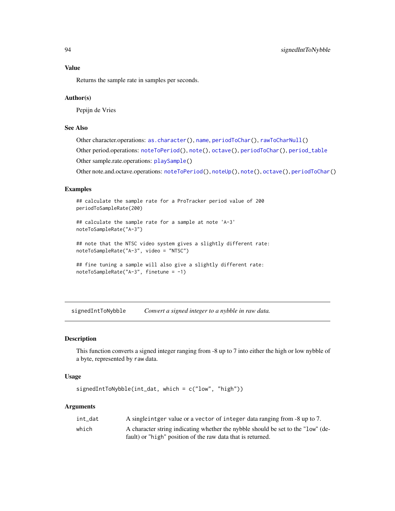# <span id="page-93-1"></span>Value

Returns the sample rate in samples per seconds.

#### Author(s)

Pepijn de Vries

# See Also

Other character.operations: [as.character\(](#page-3-0)), [name](#page-33-0), [periodToChar\(](#page-50-0)), [rawToCharNull\(](#page-81-0)) Other period.operations: [noteToPeriod\(](#page-36-0)), [note\(](#page-35-0)), [octave\(](#page-42-0)), [periodToChar\(](#page-50-0)), [period\\_table](#page-51-0) Other sample.rate.operations: [playSample\(](#page-55-0))

Other note.and.octave.operations: [noteToPeriod\(](#page-36-0)), [noteUp\(](#page-37-0)), [note\(](#page-35-0)), [octave\(](#page-42-0)), [periodToChar\(](#page-50-0))

# Examples

```
## calculate the sample rate for a ProTracker period value of 200
periodToSampleRate(200)
## calculate the sample rate for a sample at note 'A-3'
noteToSampleRate("A-3")
## note that the NTSC video system gives a slightly different rate:
noteToSampleRate("A-3", video = "NTSC")
## fine tuning a sample will also give a slightly different rate:
noteToSampleRate("A-3", finetune = -1)
```
<span id="page-93-0"></span>signedIntToNybble *Convert a signed integer to a nybble in raw data.*

#### Description

This function converts a signed integer ranging from -8 up to 7 into either the high or low nybble of a byte, represented by raw data.

#### Usage

```
signedIntToNybble(int_dat, which = c("low", "high"))
```
# Arguments

| int dat | A single integr value or a vector of integer data ranging from $-8$ up to 7.     |
|---------|----------------------------------------------------------------------------------|
| which   | A character string indicating whether the nybble should be set to the "low" (de- |
|         | fault) or "high" position of the raw data that is returned.                      |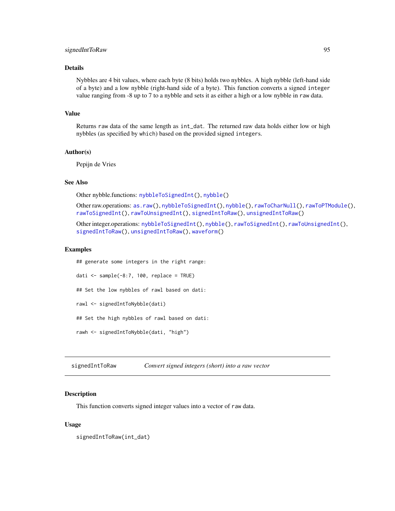# <span id="page-94-1"></span>signedIntToRaw 95

# Details

Nybbles are 4 bit values, where each byte (8 bits) holds two nybbles. A high nybble (left-hand side of a byte) and a low nybble (right-hand side of a byte). This function converts a signed integer value ranging from -8 up to 7 to a nybble and sets it as either a high or a low nybble in raw data.

# Value

Returns raw data of the same length as int\_dat. The returned raw data holds either low or high nybbles (as specified by which) based on the provided signed integers.

#### Author(s)

Pepijn de Vries

#### See Also

Other nybble.functions: [nybbleToSignedInt\(](#page-41-0)), [nybble\(](#page-40-1))

Other raw.operations: [as.raw\(](#page-5-0)), [nybbleToSignedInt\(](#page-41-0)), [nybble\(](#page-40-1)), [rawToCharNull\(](#page-81-0)), [rawToPTModule\(](#page-83-0)), [rawToSignedInt\(](#page-84-0)), [rawToUnsignedInt\(](#page-85-0)), [signedIntToRaw\(](#page-94-0)), [unsignedIntToRaw\(](#page-97-0))

Other integer.operations: [nybbleToSignedInt\(](#page-41-0)), [nybble\(](#page-40-1)), [rawToSignedInt\(](#page-84-0)), [rawToUnsignedInt\(](#page-85-0)), [signedIntToRaw\(](#page-94-0)), [unsignedIntToRaw\(](#page-97-0)), [waveform\(](#page-99-0))

#### Examples

## generate some integers in the right range:

dati  $\le$  sample(-8:7, 100, replace = TRUE)

## Set the low nybbles of rawl based on dati:

rawl <- signedIntToNybble(dati)

## Set the high nybbles of rawl based on dati:

rawh <- signedIntToNybble(dati, "high")

<span id="page-94-0"></span>signedIntToRaw *Convert signed integers (short) into a raw vector*

#### Description

This function converts signed integer values into a vector of raw data.

# Usage

signedIntToRaw(int\_dat)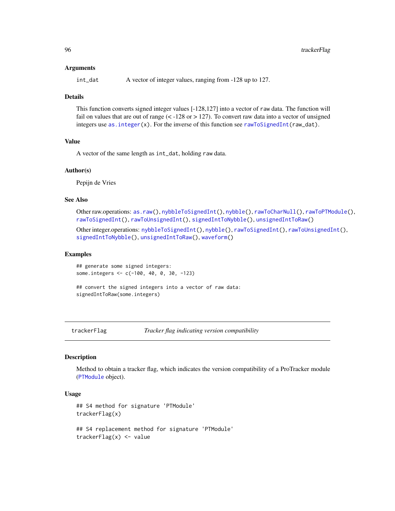#### <span id="page-95-1"></span>Arguments

int\_dat A vector of integer values, ranging from -128 up to 127.

#### Details

This function converts signed integer values [-128,127] into a vector of raw data. The function will fail on values that are out of range  $(< -128$  or  $> 127$ ). To convert raw data into a vector of unsigned integers use as.  $integer(x)$ . For the inverse of this function see [rawToSignedInt\(](#page-84-0)raw\_dat).

# Value

A vector of the same length as int\_dat, holding raw data.

# Author(s)

Pepijn de Vries

# See Also

Other raw.operations: [as.raw\(](#page-5-0)), [nybbleToSignedInt\(](#page-41-0)), [nybble\(](#page-40-1)), [rawToCharNull\(](#page-81-0)), [rawToPTModule\(](#page-83-0)), [rawToSignedInt\(](#page-84-0)), [rawToUnsignedInt\(](#page-85-0)), [signedIntToNybble\(](#page-93-0)), [unsignedIntToRaw\(](#page-97-0))

Other integer.operations: [nybbleToSignedInt\(](#page-41-0)), [nybble\(](#page-40-1)), [rawToSignedInt\(](#page-84-0)), [rawToUnsignedInt\(](#page-85-0)), [signedIntToNybble\(](#page-93-0)), [unsignedIntToRaw\(](#page-97-0)), [waveform\(](#page-99-0))

#### Examples

```
## generate some signed integers:
some.integers <- c(-100, 40, 0, 30, -123)
```
## convert the signed integers into a vector of raw data: signedIntToRaw(some.integers)

<span id="page-95-0"></span>trackerFlag *Tracker flag indicating version compatibility*

#### Description

Method to obtain a tracker flag, which indicates the version compatibility of a ProTracker module ([PTModule](#page-69-0) object).

#### Usage

```
## S4 method for signature 'PTModule'
trackerFlag(x)
## S4 replacement method for signature 'PTModule'
trackerFlag(x) <- value
```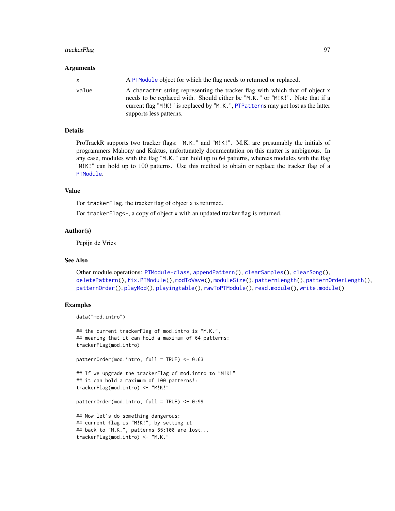# <span id="page-96-0"></span>trackerFlag 97

#### Arguments

| x.    | A PTM odule object for which the flag needs to returned or replaced.                                                                                                                                                                             |
|-------|--------------------------------------------------------------------------------------------------------------------------------------------------------------------------------------------------------------------------------------------------|
| value | A character string representing the tracker flag with which that of object x<br>needs to be replaced with. Should either be "M.K." or "M!K!". Note that if a<br>current flag "M!K!" is replaced by "M.K.", PTPatterns may get lost as the latter |
|       | supports less patterns.                                                                                                                                                                                                                          |

#### Details

ProTrackR supports two tracker flags: "M.K." and "M!K!". M.K. are presumably the initials of programmers Mahony and Kaktus, unfortunately documentation on this matter is ambiguous. In any case, modules with the flag "M.K." can hold up to 64 patterns, whereas modules with the flag "M!K!" can hold up to 100 patterns. Use this method to obtain or replace the tracker flag of a [PTModule](#page-69-0).

# Value

For trackerFlag, the tracker flag of object x is returned.

For trackerFlag<-, a copy of object x with an updated tracker flag is returned.

#### Author(s)

Pepijn de Vries

# See Also

```
Other module.operations: PTModule-class, appendPattern(), clearSamples(), clearSong(),
deletePattern(fix.PTModule(modToWave(moduleSize(patternLength(patternOrderLength(),
patternOrder(), playMod(), playingtable(), rawToPTModule(), read.module(), write.module()
```
# Examples

```
data("mod.intro")
```
## the current trackerFlag of mod.intro is "M.K.", ## meaning that it can hold a maximum of 64 patterns: trackerFlag(mod.intro)

patternOrder(mod.intro, full = TRUE) <- 0:63

```
## If we upgrade the trackerFlag of mod.intro to "M!K!"
## it can hold a maximum of 100 patterns!:
trackerFlag(mod.intro) <- "M!K!"
```
patternOrder(mod.intro, full = TRUE) <- 0:99

```
## Now let's do something dangerous:
## current flag is "M!K!", by setting it
## back to "M.K.", patterns 65:100 are lost...
trackerFlag(mod.intro) <- "M.K."
```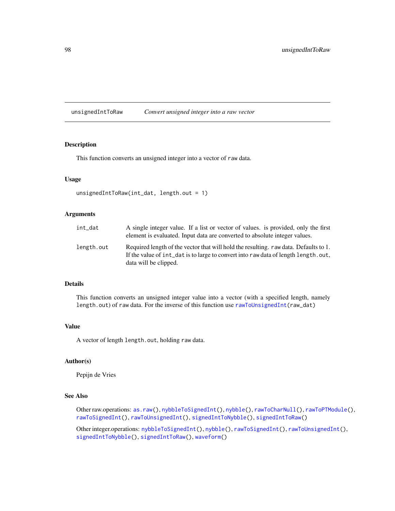<span id="page-97-1"></span><span id="page-97-0"></span>unsignedIntToRaw *Convert unsigned integer into a raw vector*

#### Description

This function converts an unsigned integer into a vector of raw data.

#### Usage

```
unsignedIntToRaw(int_dat, length.out = 1)
```
#### Arguments

| int_dat    | A single integer value. If a list or vector of values, is provided, only the first<br>element is evaluated. Input data are converted to absolute integer values.                                     |
|------------|------------------------------------------------------------------------------------------------------------------------------------------------------------------------------------------------------|
| length.out | Required length of the vector that will hold the resulting. raw data. Defaults to 1.<br>If the value of int_dat is to large to convert into raw data of length length, out,<br>data will be clipped. |

# Details

This function converts an unsigned integer value into a vector (with a specified length, namely length.out) of raw data. For the inverse of this function use [rawToUnsignedInt\(](#page-85-0)raw\_dat)

# Value

A vector of length length.out, holding raw data.

# Author(s)

Pepijn de Vries

# See Also

Other raw.operations: [as.raw\(](#page-5-0)), [nybbleToSignedInt\(](#page-41-0)), [nybble\(](#page-40-1)), [rawToCharNull\(](#page-81-0)), [rawToPTModule\(](#page-83-0)), [rawToSignedInt\(](#page-84-0)), [rawToUnsignedInt\(](#page-85-0)), [signedIntToNybble\(](#page-93-0)), [signedIntToRaw\(](#page-94-0))

Other integer.operations: [nybbleToSignedInt\(](#page-41-0)), [nybble\(](#page-40-1)), [rawToSignedInt\(](#page-84-0)), [rawToUnsignedInt\(](#page-85-0)), [signedIntToNybble\(](#page-93-0)), [signedIntToRaw\(](#page-94-0)), [waveform\(](#page-99-0))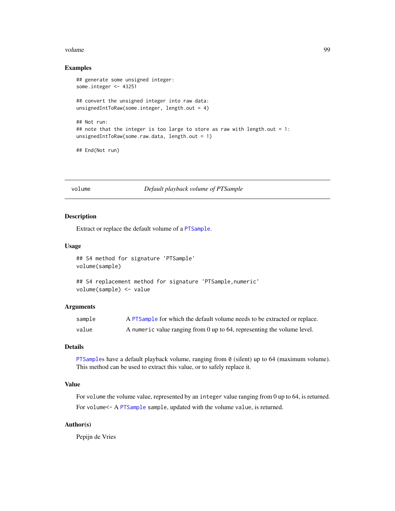#### <span id="page-98-1"></span>volume 99

#### Examples

```
## generate some unsigned integer:
some.integer <- 43251
## convert the unsigned integer into raw data:
unsignedIntToRaw(some.integer, length.out = 4)
## Not run:
## note that the integer is too large to store as raw with length.out = 1:
unsignedIntToRaw(some.raw.data, length.out = 1)
## End(Not run)
```
<span id="page-98-0"></span>

volume *Default playback volume of PTSample*

# Description

Extract or replace the default volume of a [PTSample](#page-75-0).

#### Usage

```
## S4 method for signature 'PTSample'
volume(sample)
```

```
## S4 replacement method for signature 'PTSample, numeric'
volume(sample) <- value
```
#### **Arguments**

| sample | A PTS ample for which the default volume needs to be extracted or replace. |
|--------|----------------------------------------------------------------------------|
| value  | A numeric value ranging from $0$ up to 64, representing the volume level.  |

# Details

[PTSample](#page-75-0)s have a default playback volume, ranging from 0 (silent) up to 64 (maximum volume). This method can be used to extract this value, or to safely replace it.

# Value

For volume the volume value, represented by an integer value ranging from 0 up to 64, is returned. For volume<- A [PTSample](#page-75-0) sample, updated with the volume value, is returned.

# Author(s)

Pepijn de Vries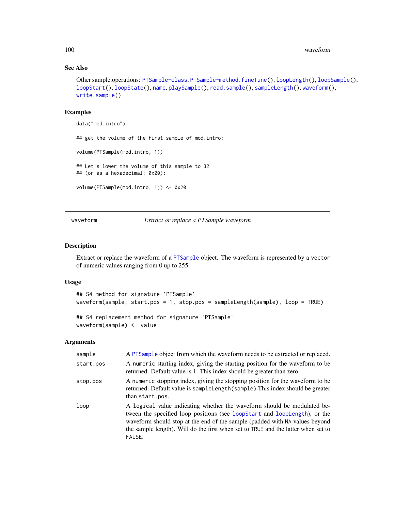# See Also

```
Other sample.operations: PTSample-class, PTSample-method, fineTune(), loopLength(), loopSample(),
loopStart(), loopState(), name, playSample(), read.sample(), sampleLength(), waveform(),
write.sample()
```
#### Examples

```
data("mod.intro")
## get the volume of the first sample of mod.intro:
volume(PTSample(mod.intro, 1))
## Let's lower the volume of this sample to 32
## (or as a hexadecimal: 0x20):
volume(PTSample(mod.intro, 1)) <- 0x20
```
<span id="page-99-0"></span>waveform *Extract or replace a PTSample waveform*

# Description

Extract or replace the waveform of a [PTSample](#page-75-0) object. The waveform is represented by a vector of numeric values ranging from 0 up to 255.

#### Usage

```
## S4 method for signature 'PTSample'
waveform(sample, start.pos = 1, stop.pos = sampleLength(sample), loop = TRUE)
```

```
## S4 replacement method for signature 'PTSample'
waveform(sample) <- value
```
#### Arguments

| sample    | A PTSample object from which the waveform needs to be extracted or replaced.                                                                                                                                                                                                                                                       |
|-----------|------------------------------------------------------------------------------------------------------------------------------------------------------------------------------------------------------------------------------------------------------------------------------------------------------------------------------------|
| start.pos | A numeric starting index, giving the starting position for the waveform to be<br>returned. Default value is 1. This index should be greater than zero.                                                                                                                                                                             |
| stop.pos  | A numeric stopping index, giving the stopping position for the waveform to be<br>returned. Default value is samplelength (sample) This index should be greater<br>than start.pos.                                                                                                                                                  |
| loop      | A logical value indicating whether the waveform should be modulated be-<br>tween the specified loop positions (see loopStart and loopLength), or the<br>waveform should stop at the end of the sample (padded with NA values beyond<br>the sample length). Will do the first when set to TRUE and the latter when set to<br>FALSE. |

<span id="page-99-1"></span>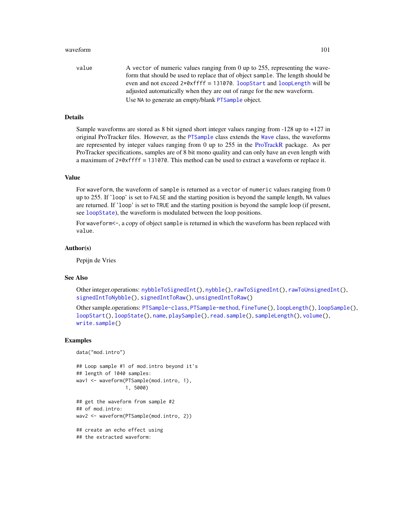#### <span id="page-100-0"></span>waveform 101

value A vector of numeric values ranging from 0 up to 255, representing the waveform that should be used to replace that of object sample. The length should be even and not exceed  $2*0x$  ffff = 131070. [loopStart](#page-17-0) and [loopLength](#page-14-0) will be adjusted automatically when they are out of range for the new waveform. Use NA to generate an empty/blank [PTSample](#page-75-0) object.

# Details

Sample waveforms are stored as 8 bit signed short integer values ranging from -128 up to +127 in original ProTracker files. However, as the [PTSample](#page-75-0) class extends the [Wave](#page-0-0) class, the waveforms are represented by integer values ranging from 0 up to 255 in the [ProTrackR](#page-61-0) package. As per ProTracker specifications, samples are of 8 bit mono quality and can only have an even length with a maximum of  $2*0x$  ffff = 131070. This method can be used to extract a waveform or replace it.

# Value

For waveform, the waveform of sample is returned as a vector of numeric values ranging from 0 up to 255. If 'loop' is set to FALSE and the starting position is beyond the sample length, NA values are returned. If 'loop' is set to TRUE and the starting position is beyond the sample loop (if present, see [loopState](#page-18-0)), the waveform is modulated between the loop positions.

For waveform <-, a copy of object sample is returned in which the waveform has been replaced with value.

#### Author(s)

Pepijn de Vries

#### See Also

Other integer.operations: [nybbleToSignedInt\(](#page-41-0)), [nybble\(](#page-40-1)), [rawToSignedInt\(](#page-84-0)), [rawToUnsignedInt\(](#page-85-0)), [signedIntToNybble\(](#page-93-0)), [signedIntToRaw\(](#page-94-0)), [unsignedIntToRaw\(](#page-97-0))

Other sample.operations: [PTSample-class](#page-75-1), [PTSample-method](#page-77-0), [fineTune\(](#page-11-0)), [loopLength\(](#page-14-0)), [loopSample\(](#page-16-0)), [loopStart\(](#page-17-0)), [loopState\(](#page-18-0)), [name](#page-33-0), [playSample\(](#page-55-0)), [read.sample\(](#page-88-0)), [sampleLength\(](#page-90-0)), [volume\(](#page-98-0)), [write.sample\(](#page-102-0))

# Examples

```
data("mod.intro")
```
## Loop sample #1 of mod.intro beyond it's ## length of 1040 samples: wav1 <- waveform(PTSample(mod.intro, 1), 1, 5000)

```
## get the waveform from sample #2
## of mod.intro:
wav2 <- waveform(PTSample(mod.intro, 2))
```

```
## create an echo effect using
## the extracted waveform:
```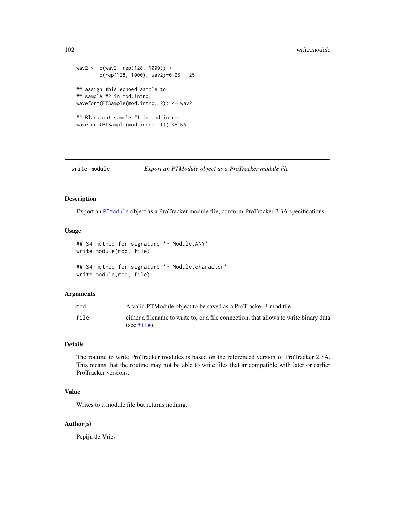```
wav2 <- c(wav2, rep(128, 1000)) +
       c(rep(128, 1000), wav2)*0.25 - 25
## assign this echoed sample to
## sample #2 in mod.intro:
waveform(PTSample(mod.intro, 2)) <- wav2
## Blank out sample #1 in mod.intro:
waveform(PTSample(mod.intro, 1)) <- NA
```
<span id="page-101-0"></span>

```
write.module Export an PTModule object as a ProTracker module file
```
# Description

Export an [PTModule](#page-69-0) object as a ProTracker module file, conform ProTracker 2.3A specifications.

# Usage

```
## S4 method for signature 'PTModule,ANY'
write.module(mod, file)
## S4 method for signature 'PTModule,character'
```
#### Arguments

write.module(mod, file)

| mod  | A valid PTM odule object to be saved as a ProTracker *.mod file                       |
|------|---------------------------------------------------------------------------------------|
| file | either a filename to write to, or a file connection, that allows to write binary data |
|      | (see $file$ ).                                                                        |

# Details

The routine to write ProTracker modules is based on the referenced version of ProTracker 2.3A. This means that the routine may not be able to write files that ar compatible with later or earlier ProTracker versions.

# Value

Writes to a module file but returns nothing.

#### Author(s)

Pepijn de Vries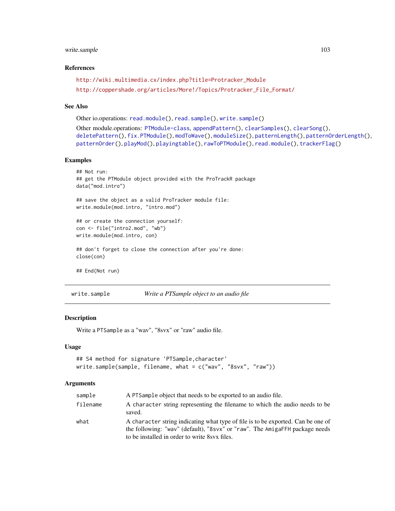# <span id="page-102-1"></span>write.sample 103

#### References

```
http://wiki.multimedia.cx/index.php?title=Protracker_Module
http://coppershade.org/articles/More!/Topics/Protracker_File_Format/
```
# See Also

```
Other io.operations: read.module(), read.sample(), write.sample()
Other module.operations: PTModule-class, appendPattern(), clearSamples(), clearSong(),
deletePattern(), fix.PTModule(), modToWave(), moduleSize(), patternLength(), patternOrderLength(),
patternOrder(), playMod(), playingtable(), rawToPTModule(), read.module(), trackerFlag()
```
#### Examples

```
## Not run:
## get the PTModule object provided with the ProTrackR package
data("mod.intro")
## save the object as a valid ProTracker module file:
write.module(mod.intro, "intro.mod")
## or create the connection yourself:
con <- file("intro2.mod", "wb")
write.module(mod.intro, con)
## don't forget to close the connection after you're done:
close(con)
## End(Not run)
```
<span id="page-102-0"></span>write.sample *Write a PTSample object to an audio file*

# Description

Write a PTSample as a "wav", "8svx" or "raw" audio file.

#### Usage

```
## S4 method for signature 'PTSample,character'
write.sample(sample, filename, what = c("wav", "8svx", "raw"))
```
#### Arguments

| sample   | A PTSample object that needs to be exported to an audio file.                                                                                                                                                   |
|----------|-----------------------------------------------------------------------------------------------------------------------------------------------------------------------------------------------------------------|
| filename | A character string representing the filename to which the audio needs to be<br>saved.                                                                                                                           |
| what     | A character string indicating what type of file is to be exported. Can be one of<br>the following: "way" (default), "8svx" or "raw". The AmigaFFH package needs<br>to be installed in order to write 8sy files. |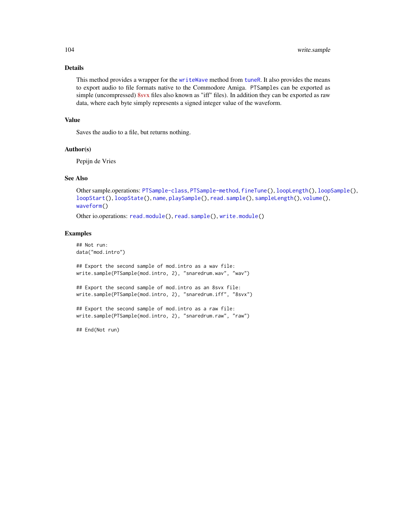# Details

This method provides a wrapper for the [writeWave](#page-0-0) method from [tuneR](#page-0-0). It also provides the means to export audio to file formats native to the Commodore Amiga. PTSamples can be exported as simple (uncompressed) [8svx](https://en.wikipedia.org/wiki/8SVX) files also known as "iff" files). In addition they can be exported as raw data, where each byte simply represents a signed integer value of the waveform.

#### Value

Saves the audio to a file, but returns nothing.

#### Author(s)

Pepijn de Vries

# See Also

```
Other sample.operations: PTSample-class, PTSample-method, fineTune(), loopLength(), loopSample(),
loopStart(), loopState(), name, playSample(), read.sample(), sampleLength(), volume(),
waveform()
```
Other io.operations: [read.module\(](#page-86-0)), [read.sample\(](#page-88-0)), [write.module\(](#page-101-0))

# Examples

## Not run: data("mod.intro")

## Export the second sample of mod.intro as a wav file: write.sample(PTSample(mod.intro, 2), "snaredrum.wav", "wav")

## Export the second sample of mod.intro as an 8svx file: write.sample(PTSample(mod.intro, 2), "snaredrum.iff", "8svx")

## Export the second sample of mod.intro as a raw file: write.sample(PTSample(mod.intro, 2), "snaredrum.raw", "raw")

## End(Not run)

<span id="page-103-0"></span>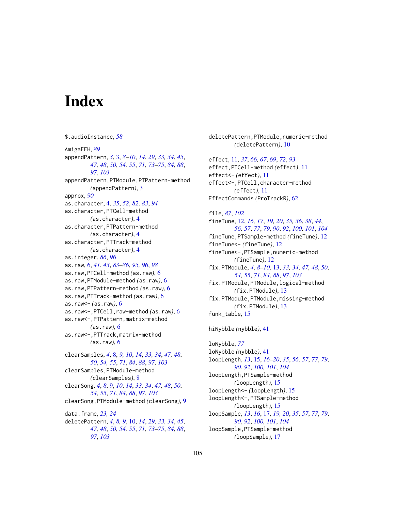# **Index**

\$.audioInstance, *[58](#page-57-0)* AmigaFFH, *[89](#page-88-1)* appendPattern, *[3](#page-2-1)*, [3,](#page-2-1) *[8–](#page-7-1)[10](#page-9-1)*, *[14](#page-13-0)*, *[29](#page-28-0)*, *[33,](#page-32-1) [34](#page-33-1)*, *[45](#page-44-1)*, *[47,](#page-46-1) [48](#page-47-0)*, *[50](#page-49-0)*, *[54,](#page-53-0) [55](#page-54-1)*, *[71](#page-70-0)*, *[73–](#page-72-1)[75](#page-74-1)*, *[84](#page-83-1)*, *[88](#page-87-0)*, *[97](#page-96-0)*, *[103](#page-102-1)* appendPattern,PTModule,PTPattern-method *(*appendPattern*)*, [3](#page-2-1) approx, *[90](#page-89-0)* as.character, [4,](#page-3-1) *[35](#page-34-0)*, *[52](#page-51-1)*, *[82,](#page-81-1) [83](#page-82-0)*, *[94](#page-93-1)* as.character,PTCell-method *(*as.character*)*, [4](#page-3-1) as.character,PTPattern-method *(*as.character*)*, [4](#page-3-1) as.character,PTTrack-method *(*as.character*)*, [4](#page-3-1) as.integer, *[86](#page-85-1)*, *[96](#page-95-1)* as.raw, [6,](#page-5-1) *[41](#page-40-2)*, *[43](#page-42-1)*, *[83](#page-82-0)[–86](#page-85-1)*, *[95,](#page-94-1) [96](#page-95-1)*, *[98](#page-97-1)* as.raw,PTCell-method *(*as.raw*)*, [6](#page-5-1) as.raw,PTModule-method *(*as.raw*)*, [6](#page-5-1) as.raw,PTPattern-method *(*as.raw*)*, [6](#page-5-1) as.raw,PTTrack-method *(*as.raw*)*, [6](#page-5-1) as.raw<- *(*as.raw*)*, [6](#page-5-1) as.raw<-,PTCell,raw-method *(*as.raw*)*, [6](#page-5-1) as.raw<-,PTPattern,matrix-method *(*as.raw*)*, [6](#page-5-1) as.raw<-,PTTrack,matrix-method *(*as.raw*)*, [6](#page-5-1) clearSamples, *[4](#page-3-1)*, [8,](#page-7-1) *[9,](#page-8-1) [10](#page-9-1)*, *[14](#page-13-0)*, *[33,](#page-32-1) [34](#page-33-1)*, *[47,](#page-46-1) [48](#page-47-0)*, *[50](#page-49-0)*, *[54,](#page-53-0) [55](#page-54-1)*, *[71](#page-70-0)*, *[84](#page-83-1)*, *[88](#page-87-0)*, *[97](#page-96-0)*, *[103](#page-102-1)* clearSamples,PTModule-method *(*clearSamples*)*, [8](#page-7-1) clearSong, *[4](#page-3-1)*, *[8](#page-7-1)*, [9,](#page-8-1) *[10](#page-9-1)*, *[14](#page-13-0)*, *[33,](#page-32-1) [34](#page-33-1)*, *[47,](#page-46-1) [48](#page-47-0)*, *[50](#page-49-0)*, *[54,](#page-53-0) [55](#page-54-1)*, *[71](#page-70-0)*, *[84](#page-83-1)*, *[88](#page-87-0)*, *[97](#page-96-0)*, *[103](#page-102-1)* clearSong,PTModule-method *(*clearSong*)*, [9](#page-8-1) data.frame, *[23,](#page-22-0) [24](#page-23-0)* deletePattern, *[4](#page-3-1)*, *[8,](#page-7-1) [9](#page-8-1)*, [10,](#page-9-1) *[14](#page-13-0)*, *[29](#page-28-0)*, *[33,](#page-32-1) [34](#page-33-1)*, *[45](#page-44-1)*,

*[47,](#page-46-1) [48](#page-47-0)*, *[50](#page-49-0)*, *[54,](#page-53-0) [55](#page-54-1)*, *[71](#page-70-0)*, *[73–](#page-72-1)[75](#page-74-1)*, *[84](#page-83-1)*, *[88](#page-87-0)*, *[97](#page-96-0)*, *[103](#page-102-1)*

deletePattern,PTModule,numeric-method *(*deletePattern*)*, [10](#page-9-1) effect, [11,](#page-10-1) *[37](#page-36-1)*, *[66,](#page-65-2) [67](#page-66-1)*, *[69](#page-68-0)*, *[72](#page-71-2)*, *[93](#page-92-1)* effect,PTCell-method *(*effect*)*, [11](#page-10-1) effect<- *(*effect*)*, [11](#page-10-1) effect<-,PTCell,character-method *(*effect*)*, [11](#page-10-1) EffectCommands *(*ProTrackR*)*, [62](#page-61-1) file, *[87](#page-86-1)*, *[102](#page-101-1)* fineTune, [12,](#page-11-1) *[16,](#page-15-0) [17](#page-16-1)*, *[19,](#page-18-1) [20](#page-19-0)*, *[35,](#page-34-0) [36](#page-35-1)*, *[38](#page-37-1)*, *[44](#page-43-0)*, *[56,](#page-55-1) [57](#page-56-0)*, *[77](#page-76-0)*, *[79](#page-78-1)*, *[90](#page-89-0)*, *[92](#page-91-0)*, *[100,](#page-99-1) [101](#page-100-0)*, *[104](#page-103-0)* fineTune,PTSample-method *(*fineTune*)*, [12](#page-11-1) fineTune<- *(*fineTune*)*, [12](#page-11-1) fineTune<-,PTSample,numeric-method *(*fineTune*)*, [12](#page-11-1) fix.PTModule, *[4](#page-3-1)*, *[8](#page-7-1)[–10](#page-9-1)*, [13,](#page-12-1) *[33,](#page-32-1) [34](#page-33-1)*, *[47,](#page-46-1) [48](#page-47-0)*, *[50](#page-49-0)*, *[54,](#page-53-0) [55](#page-54-1)*, *[71](#page-70-0)*, *[84](#page-83-1)*, *[88](#page-87-0)*, *[97](#page-96-0)*, *[103](#page-102-1)* fix.PTModule,PTModule,logical-method *(*fix.PTModule*)*, [13](#page-12-1)

fix.PTModule,PTModule,missing-method *(*fix.PTModule*)*, [13](#page-12-1) funk\_table, [15](#page-14-1)

# hiNybble *(*nybble*)*, [41](#page-40-2)

loNybble, *[77](#page-76-0)* loNybble *(*nybble*)*, [41](#page-40-2) loopLength, *[13](#page-12-1)*, [15,](#page-14-1) *[16](#page-15-0)[–20](#page-19-0)*, *[35](#page-34-0)*, *[56,](#page-55-1) [57](#page-56-0)*, *[77](#page-76-0)*, *[79](#page-78-1)*, *[90](#page-89-0)*, *[92](#page-91-0)*, *[100,](#page-99-1) [101](#page-100-0)*, *[104](#page-103-0)* loopLength,PTSample-method *(*loopLength*)*, [15](#page-14-1) loopLength<- *(*loopLength*)*, [15](#page-14-1) loopLength<-,PTSample-method *(*loopLength*)*, [15](#page-14-1) loopSample, *[13](#page-12-1)*, *[16](#page-15-0)*, [17,](#page-16-1) *[19,](#page-18-1) [20](#page-19-0)*, *[35](#page-34-0)*, *[57](#page-56-0)*, *[77](#page-76-0)*, *[79](#page-78-1)*, *[90](#page-89-0)*, *[92](#page-91-0)*, *[100,](#page-99-1) [101](#page-100-0)*, *[104](#page-103-0)* loopSample,PTSample-method *(*loopSample*)*, [17](#page-16-1)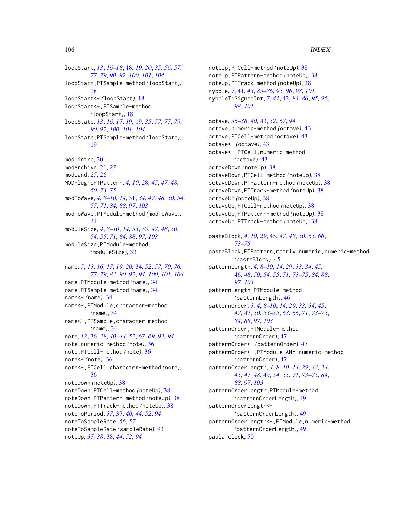# 106 INDEX

loopStart, *[13](#page-12-1)*, *[16](#page-15-0)[–18](#page-17-1)*, [18,](#page-17-1) *[19,](#page-18-1) [20](#page-19-0)*, *[35](#page-34-0)*, *[56,](#page-55-1) [57](#page-56-0)*, *[77](#page-76-0)*, *[79](#page-78-1)*, *[90](#page-89-0)*, *[92](#page-91-0)*, *[100,](#page-99-1) [101](#page-100-0)*, *[104](#page-103-0)* loopStart,PTSample-method *(*loopStart*)*, [18](#page-17-1) loopStart<- *(*loopStart*)*, [18](#page-17-1) loopStart<-,PTSample-method *(*loopStart*)*, [18](#page-17-1) loopState, *[13](#page-12-1)*, *[16,](#page-15-0) [17](#page-16-1)*, *[19](#page-18-1)*, [19,](#page-18-1) *[35](#page-34-0)*, *[57](#page-56-0)*, *[77](#page-76-0)*, *[79](#page-78-1)*, *[90](#page-89-0)*, *[92](#page-91-0)*, *[100,](#page-99-1) [101](#page-100-0)*, *[104](#page-103-0)* loopState,PTSample-method *(*loopState*)*, [19](#page-18-1)

mod.intro, [20](#page-19-0) modArchive, [21,](#page-20-0) *[27](#page-26-0)* modLand, *[25](#page-24-0)*, [26](#page-25-0) MODPlugToPTPattern, *[4](#page-3-1)*, *[10](#page-9-1)*, [28,](#page-27-1) *[45](#page-44-1)*, *[47,](#page-46-1) [48](#page-47-0)*, *[50](#page-49-0)*, *[73](#page-72-1)[–75](#page-74-1)* modToWave, *[4](#page-3-1)*, *[8](#page-7-1)[–10](#page-9-1)*, *[14](#page-13-0)*, [31,](#page-30-1) *[34](#page-33-1)*, *[47,](#page-46-1) [48](#page-47-0)*, *[50](#page-49-0)*, *[54,](#page-53-0) [55](#page-54-1)*, *[71](#page-70-0)*, *[84](#page-83-1)*, *[88](#page-87-0)*, *[97](#page-96-0)*, *[103](#page-102-1)* modToWave,PTModule-method *(*modToWave*)*, [31](#page-30-1) moduleSize, *[4](#page-3-1)*, *[8](#page-7-1)[–10](#page-9-1)*, *[14](#page-13-0)*, *[33](#page-32-1)*, [33,](#page-32-1) *[47,](#page-46-1) [48](#page-47-0)*, *[50](#page-49-0)*, *[54,](#page-53-0) [55](#page-54-1)*, *[71](#page-70-0)*, *[84](#page-83-1)*, *[88](#page-87-0)*, *[97](#page-96-0)*, *[103](#page-102-1)* moduleSize,PTModule-method *(*moduleSize*)*, [33](#page-32-1)

name, *[5](#page-4-0)*, *[13](#page-12-1)*, *[16,](#page-15-0) [17](#page-16-1)*, *[19,](#page-18-1) [20](#page-19-0)*, [34,](#page-33-1) *[52](#page-51-1)*, *[57](#page-56-0)*, *[70](#page-69-2)*, *[76,](#page-75-2) [77](#page-76-0)*, *[79](#page-78-1)*, *[83](#page-82-0)*, *[90](#page-89-0)*, *[92](#page-91-0)*, *[94](#page-93-1)*, *[100,](#page-99-1) [101](#page-100-0)*, *[104](#page-103-0)* name,PTModule-method *(*name*)*, [34](#page-33-1) name,PTSample-method *(*name*)*, [34](#page-33-1) name<- *(*name*)*, [34](#page-33-1) name<-,PTModule,character-method *(*name*)*, [34](#page-33-1) name<-,PTSample,character-method *(*name*)*, [34](#page-33-1) note, *[12](#page-11-1)*, [36,](#page-35-1) *[38](#page-37-1)*, *[40](#page-39-0)*, *[44](#page-43-0)*, *[52](#page-51-1)*, *[67](#page-66-1)*, *[69](#page-68-0)*, *[93,](#page-92-1) [94](#page-93-1)* note,numeric-method *(*note*)*, [36](#page-35-1) note,PTCell-method *(*note*)*, [36](#page-35-1) note<- *(*note*)*, [36](#page-35-1) note<-,PTCell,character-method *(*note*)*, [36](#page-35-1) noteDown *(*noteUp*)*, [38](#page-37-1) noteDown,PTCell-method *(*noteUp*)*, [38](#page-37-1) noteDown,PTPattern-method *(*noteUp*)*, [38](#page-37-1) noteDown,PTTrack-method *(*noteUp*)*, [38](#page-37-1) noteToPeriod, *[37](#page-36-1)*, [37,](#page-36-1) *[40](#page-39-0)*, *[44](#page-43-0)*, *[52](#page-51-1)*, *[94](#page-93-1)* noteToSampleRate, *[56,](#page-55-1) [57](#page-56-0)* noteToSampleRate *(*sampleRate*)*, [93](#page-92-1) noteUp, *[37,](#page-36-1) [38](#page-37-1)*, [38,](#page-37-1) *[44](#page-43-0)*, *[52](#page-51-1)*, *[94](#page-93-1)*

noteUp,PTCell-method *(*noteUp*)*, [38](#page-37-1) noteUp,PTPattern-method *(*noteUp*)*, [38](#page-37-1) noteUp,PTTrack-method *(*noteUp*)*, [38](#page-37-1) nybble, *[7](#page-6-0)*, [41,](#page-40-2) *[43](#page-42-1)*, *[83](#page-82-0)[–86](#page-85-1)*, *[95,](#page-94-1) [96](#page-95-1)*, *[98](#page-97-1)*, *[101](#page-100-0)* nybbleToSignedInt, *[7](#page-6-0)*, *[41](#page-40-2)*, [42,](#page-41-1) *[83](#page-82-0)[–86](#page-85-1)*, *[95,](#page-94-1) [96](#page-95-1)*, *[98](#page-97-1)*, *[101](#page-100-0)* octave, *[36](#page-35-1)[–38](#page-37-1)*, *[40](#page-39-0)*, [43,](#page-42-1) *[52](#page-51-1)*, *[67](#page-66-1)*, *[94](#page-93-1)* octave,numeric-method *(*octave*)*, [43](#page-42-1) octave,PTCell-method *(*octave*)*, [43](#page-42-1) octave<- *(*octave*)*, [43](#page-42-1) octave<-,PTCell,numeric-method *(*octave*)*, [43](#page-42-1) octaveDown *(*noteUp*)*, [38](#page-37-1) octaveDown,PTCell-method *(*noteUp*)*, [38](#page-37-1) octaveDown,PTPattern-method *(*noteUp*)*, [38](#page-37-1) octaveDown,PTTrack-method *(*noteUp*)*, [38](#page-37-1) octaveUp *(*noteUp*)*, [38](#page-37-1) octaveUp,PTCell-method *(*noteUp*)*, [38](#page-37-1) octaveUp,PTPattern-method *(*noteUp*)*, [38](#page-37-1) octaveUp,PTTrack-method *(*noteUp*)*, [38](#page-37-1) pasteBlock, *[4](#page-3-1)*, *[10](#page-9-1)*, *[29](#page-28-0)*, [45,](#page-44-1) *[47,](#page-46-1) [48](#page-47-0)*, *[50](#page-49-0)*, *[65,](#page-64-1) [66](#page-65-2)*, *[73](#page-72-1)[–75](#page-74-1)* pasteBlock,PTPattern,matrix,numeric,numeric-method *(*pasteBlock*)*, [45](#page-44-1) patternLength, *[4](#page-3-1)*, *[8](#page-7-1)[–10](#page-9-1)*, *[14](#page-13-0)*, *[29](#page-28-0)*, *[33,](#page-32-1) [34](#page-33-1)*, *[45](#page-44-1)*, [46,](#page-45-1) *[48](#page-47-0)*, *[50](#page-49-0)*, *[54,](#page-53-0) [55](#page-54-1)*, *[71](#page-70-0)*, *[73](#page-72-1)[–75](#page-74-1)*, *[84](#page-83-1)*, *[88](#page-87-0)*, *[97](#page-96-0)*, *[103](#page-102-1)* patternLength,PTModule-method *(*patternLength*)*, [46](#page-45-1) patternOrder, *[3,](#page-2-1) [4](#page-3-1)*, *[8](#page-7-1)[–10](#page-9-1)*, *[14](#page-13-0)*, *[29](#page-28-0)*, *[33,](#page-32-1) [34](#page-33-1)*, *[45](#page-44-1)*, *[47](#page-46-1)*, [47,](#page-46-1) *[50](#page-49-0)*, *[53](#page-52-1)[–55](#page-54-1)*, *[63](#page-62-0)*, *[66](#page-65-2)*, *[71](#page-70-0)*, *[73](#page-72-1)[–75](#page-74-1)*, *[84](#page-83-1)*, *[88](#page-87-0)*, *[97](#page-96-0)*, *[103](#page-102-1)* patternOrder,PTModule-method *(*patternOrder*)*, [47](#page-46-1) patternOrder<- *(*patternOrder*)*, [47](#page-46-1) patternOrder<-,PTModule,ANY,numeric-method *(*patternOrder*)*, [47](#page-46-1) patternOrderLength, *[4](#page-3-1)*, *[8](#page-7-1)[–10](#page-9-1)*, *[14](#page-13-0)*, *[29](#page-28-0)*, *[33,](#page-32-1) [34](#page-33-1)*, *[45](#page-44-1)*, *[47,](#page-46-1) [48](#page-47-0)*, [49,](#page-48-1) *[54,](#page-53-0) [55](#page-54-1)*, *[71](#page-70-0)*, *[73](#page-72-1)[–75](#page-74-1)*, *[84](#page-83-1)*, *[88](#page-87-0)*, *[97](#page-96-0)*, *[103](#page-102-1)* patternOrderLength,PTModule-method *(*patternOrderLength*)*, [49](#page-48-1) patternOrderLength<- *(*patternOrderLength*)*, [49](#page-48-1) patternOrderLength<-,PTModule,numeric-method *(*patternOrderLength*)*, [49](#page-48-1) paula\_clock, [50](#page-49-0)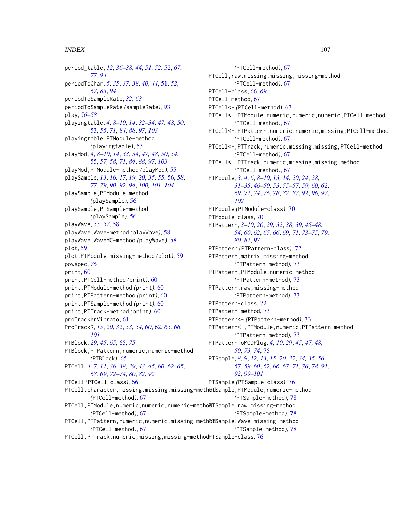#### INDEX  $107$

period\_table, *[12](#page-11-1)*, *[36](#page-35-1)[–38](#page-37-1)*, *[44](#page-43-0)*, *[51,](#page-50-1) [52](#page-51-1)*, [52,](#page-51-1) *[67](#page-66-1)*, *[77](#page-76-0)*, *[94](#page-93-1)* periodToChar, *[5](#page-4-0)*, *[35](#page-34-0)*, *[37,](#page-36-1) [38](#page-37-1)*, *[40](#page-39-0)*, *[44](#page-43-0)*, [51,](#page-50-1) *[52](#page-51-1)*, *[67](#page-66-1)*, *[83](#page-82-0)*, *[94](#page-93-1)* periodToSampleRate, *[32](#page-31-0)*, *[63](#page-62-0)* periodToSampleRate *(*sampleRate*)*, [93](#page-92-1) play, *[56](#page-55-1)[–58](#page-57-0)* playingtable, *[4](#page-3-1)*, *[8](#page-7-1)[–10](#page-9-1)*, *[14](#page-13-0)*, *[32–](#page-31-0)[34](#page-33-1)*, *[47,](#page-46-1) [48](#page-47-0)*, *[50](#page-49-0)*, [53,](#page-52-1) *[55](#page-54-1)*, *[71](#page-70-0)*, *[84](#page-83-1)*, *[88](#page-87-0)*, *[97](#page-96-0)*, *[103](#page-102-1)* playingtable,PTModule-method *(*playingtable*)*, [53](#page-52-1) playMod, *[4](#page-3-1)*, *[8](#page-7-1)[–10](#page-9-1)*, *[14](#page-13-0)*, *[33,](#page-32-1) [34](#page-33-1)*, *[47,](#page-46-1) [48](#page-47-0)*, *[50](#page-49-0)*, *[54](#page-53-0)*, [55,](#page-54-1) *[57,](#page-56-0) [58](#page-57-0)*, *[71](#page-70-0)*, *[84](#page-83-1)*, *[88](#page-87-0)*, *[97](#page-96-0)*, *[103](#page-102-1)* playMod,PTModule-method *(*playMod*)*, [55](#page-54-1) playSample, *[13](#page-12-1)*, *[16,](#page-15-0) [17](#page-16-1)*, *[19,](#page-18-1) [20](#page-19-0)*, *[35](#page-34-0)*, *[55](#page-54-1)*, [56,](#page-55-1) *[58](#page-57-0)*, *[77](#page-76-0)*, *[79](#page-78-1)*, *[90](#page-89-0)*, *[92](#page-91-0)*, *[94](#page-93-1)*, *[100,](#page-99-1) [101](#page-100-0)*, *[104](#page-103-0)* playSample,PTModule-method *(*playSample*)*, [56](#page-55-1) playSample,PTSample-method *(*playSample*)*, [56](#page-55-1) playWave, *[55](#page-54-1)*, *[57](#page-56-0)*, [58](#page-57-0) playWave,Wave-method *(*playWave*)*, [58](#page-57-0) playWave,WaveMC-method *(*playWave*)*, [58](#page-57-0) plot, [59](#page-58-0) plot,PTModule,missing-method *(*plot*)*, [59](#page-58-0) powspec, *[76](#page-75-2)* print, [60](#page-59-0) print,PTCell-method *(*print*)*, [60](#page-59-0) print,PTModule-method *(*print*)*, [60](#page-59-0) print,PTPattern-method *(*print*)*, [60](#page-59-0) print,PTSample-method *(*print*)*, [60](#page-59-0) print,PTTrack-method *(*print*)*, [60](#page-59-0) proTrackerVibrato, [61](#page-60-0) ProTrackR, *[15](#page-14-1)*, *[20](#page-19-0)*, *[32](#page-31-0)*, *[53,](#page-52-1) [54](#page-53-0)*, *[60](#page-59-0)*, [62,](#page-61-1) *[65,](#page-64-1) [66](#page-65-2)*, *[101](#page-100-0)* PTBlock, *[29](#page-28-0)*, *[45](#page-44-1)*, *[65](#page-64-1)*, [65,](#page-64-1) *[75](#page-74-1)* PTBlock,PTPattern,numeric,numeric-method *(*PTBlock*)*, [65](#page-64-1) PTCell, *[4](#page-3-1)[–7](#page-6-0)*, *[11](#page-10-1)*, *[36](#page-35-1)*, *[38,](#page-37-1) [39](#page-38-0)*, *[43–](#page-42-1)[45](#page-44-1)*, *[60](#page-59-0)*, *[62](#page-61-1)*, *[65](#page-64-1)*, *[68,](#page-67-0) [69](#page-68-0)*, *[72](#page-71-2)[–74](#page-73-0)*, *[80](#page-79-0)*, *[82](#page-81-1)*, *[92](#page-91-0)* PTCell *(*PTCell-class*)*, [66](#page-65-2) PTCell,character,missing,missing,missing-meth@dSample,PTModule,numeric-method *(*PTCell-method*)*, [67](#page-66-1) PTCell,PTModule,numeric,numeric,numeric-metholdTSample,raw,missing-method *(*PTCell-method*)*, [67](#page-66-1) PTCell,PTPattern,numeric,numeric,missing-methDdSample,Wave,missing-method

*(*PTCell-method*)*, [67](#page-66-1) PTCell,raw,missing,missing,missing-method *(*PTCell-method*)*, [67](#page-66-1) PTCell-class, [66,](#page-65-2) *[69](#page-68-0)* PTCell-method, [67](#page-66-1) PTCell<- *(*PTCell-method*)*, [67](#page-66-1) PTCell<-,PTModule,numeric,numeric,numeric,PTCell-method *(*PTCell-method*)*, [67](#page-66-1) PTCell<-,PTPattern,numeric,numeric,missing,PTCell-method *(*PTCell-method*)*, [67](#page-66-1) PTCell<-,PTTrack,numeric,missing,missing,PTCell-method *(*PTCell-method*)*, [67](#page-66-1) PTCell<-,PTTrack,numeric,missing,missing-method *(*PTCell-method*)*, [67](#page-66-1) PTModule, *[3,](#page-2-1) [4](#page-3-1)*, *[6](#page-5-1)*, *[8](#page-7-1)[–10](#page-9-1)*, *[13,](#page-12-1) [14](#page-13-0)*, *[20](#page-19-0)*, *[24](#page-23-0)*, *[28](#page-27-1)*, *[31](#page-30-1)[–35](#page-34-0)*, *[46](#page-45-1)[–50](#page-49-0)*, *[53](#page-52-1)*, *[55](#page-54-1)[–57](#page-56-0)*, *[59,](#page-58-0) [60](#page-59-0)*, *[62](#page-61-1)*, *[69](#page-68-0)*, *[72](#page-71-2)*, *[74](#page-73-0)*, *[76](#page-75-2)*, *[78](#page-77-1)*, *[82](#page-81-1)*, *[87](#page-86-1)*, *[92](#page-91-0)*, *[96,](#page-95-1) [97](#page-96-0)*, *[102](#page-101-1)* PTModule *(*PTModule-class*)*, [70](#page-69-2) PTModule-class, [70](#page-69-2) PTPattern, *[3](#page-2-1)[–10](#page-9-1)*, *[20](#page-19-0)*, *[29](#page-28-0)*, *[32](#page-31-0)*, *[38,](#page-37-1) [39](#page-38-0)*, *[45](#page-44-1)[–48](#page-47-0)*, *[54](#page-53-0)*, *[60](#page-59-0)*, *[62](#page-61-1)*, *[65,](#page-64-1) [66](#page-65-2)*, *[69](#page-68-0)*, *[71](#page-70-0)*, *[73](#page-72-1)[–75](#page-74-1)*, *[79,](#page-78-1) [80](#page-79-0)*, *[82](#page-81-1)*, *[97](#page-96-0)* PTPattern *(*PTPattern-class*)*, [72](#page-71-2) PTPattern,matrix,missing-method *(*PTPattern-method*)*, [73](#page-72-1) PTPattern,PTModule,numeric-method *(*PTPattern-method*)*, [73](#page-72-1) PTPattern,raw,missing-method *(*PTPattern-method*)*, [73](#page-72-1) PTPattern-class, [72](#page-71-2) PTPattern-method, [73](#page-72-1) PTPattern<- *(*PTPattern-method*)*, [73](#page-72-1) PTPattern<-,PTModule,numeric,PTPattern-method *(*PTPattern-method*)*, [73](#page-72-1) PTPatternToMODPlug, *[4](#page-3-1)*, *[10](#page-9-1)*, *[29](#page-28-0)*, *[45](#page-44-1)*, *[47,](#page-46-1) [48](#page-47-0)*, *[50](#page-49-0)*, *[73,](#page-72-1) [74](#page-73-0)*, [75](#page-74-1) PTSample, *[8,](#page-7-1) [9](#page-8-1)*, *[12,](#page-11-1) [13](#page-12-1)*, *[15](#page-14-1)[–20](#page-19-0)*, *[32](#page-31-0)*, *[34,](#page-33-1) [35](#page-34-0)*, *[56,](#page-55-1) [57](#page-56-0)*, *[59,](#page-58-0) [60](#page-59-0)*, *[62](#page-61-1)*, *[66,](#page-65-2) [67](#page-66-1)*, *[71](#page-70-0)*, *[76](#page-75-2)*, *[78](#page-77-1)*, *[91,](#page-90-1) [92](#page-91-0)*, *[99](#page-98-1)[–101](#page-100-0)* PTSample *(*PTSample-class*)*, [76](#page-75-2) *(*PTSample-method*)*, [78](#page-77-1) *(*PTSample-method*)*, [78](#page-77-1)

*(*PTCell-method*)*, [67](#page-66-1) *(*PTSample-method*)*, [78](#page-77-1)

<code>PTCell,PTTrack,numeric,missing,missing–method</code>PTSample-class, $76\,$  $76\,$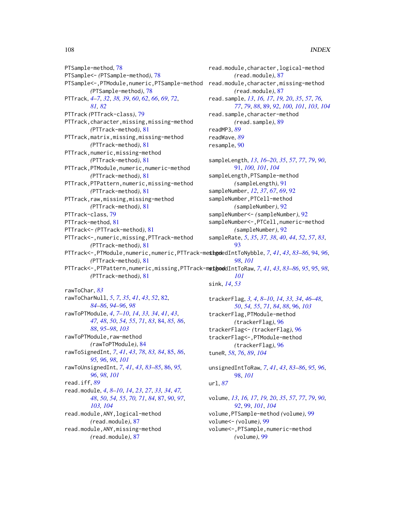PTSample-method, [78](#page-77-1) PTSample<- *(*PTSample-method*)*, [78](#page-77-1) PTSample<-,PTModule,numeric,PTSample-method read.module,character,missing-method *(*PTSample-method*)*, [78](#page-77-1) PTTrack, *[4](#page-3-1)[–7](#page-6-0)*, *[32](#page-31-0)*, *[38,](#page-37-1) [39](#page-38-0)*, *[60](#page-59-0)*, *[62](#page-61-1)*, *[66](#page-65-2)*, *[69](#page-68-0)*, *[72](#page-71-2)*, *[81,](#page-80-1) [82](#page-81-1)* PTTrack *(*PTTrack-class*)*, [79](#page-78-1) PTTrack,character,missing,missing-method *(*PTTrack-method*)*, [81](#page-80-1) PTTrack,matrix,missing,missing-method *(*PTTrack-method*)*, [81](#page-80-1) PTTrack,numeric,missing-method *(*PTTrack-method*)*, [81](#page-80-1) PTTrack,PTModule,numeric,numeric-method *(*PTTrack-method*)*, [81](#page-80-1) PTTrack,PTPattern,numeric,missing-method *(*PTTrack-method*)*, [81](#page-80-1) PTTrack,raw,missing,missing-method *(*PTTrack-method*)*, [81](#page-80-1) PTTrack-class, [79](#page-78-1) PTTrack-method, [81](#page-80-1) PTTrack<- *(*PTTrack-method*)*, [81](#page-80-1) PTTrack<-,numeric,missing,PTTrack-method *(*PTTrack-method*)*, [81](#page-80-1) PTTrack<-,PTModule,numeric,numeric,PTTrack-method signedIntToNybble, *[7](#page-6-0)*, *[41](#page-40-2)*, *[43](#page-42-1)*, *[83](#page-82-0)[–86](#page-85-1)*, [94,](#page-93-1) *[96](#page-95-1)*, *(*PTTrack-method*)*, [81](#page-80-1) PTTrack<-,PTPattern,numeric,missing,PTTrack-method signedIntToRaw, *[7](#page-6-0)*, *[41](#page-40-2)*, *[43](#page-42-1)*, *[83](#page-82-0)[–86](#page-85-1)*, *[95](#page-94-1)*, [95,](#page-94-1) *[98](#page-97-1)*, *(*PTTrack-method*)*, [81](#page-80-1) rawToChar, *[83](#page-82-0)* rawToCharNull, *[5](#page-4-0)*, *[7](#page-6-0)*, *[35](#page-34-0)*, *[41](#page-40-2)*, *[43](#page-42-1)*, *[52](#page-51-1)*, [82,](#page-81-1) *[84](#page-83-1)[–86](#page-85-1)*, *[94](#page-93-1)[–96](#page-95-1)*, *[98](#page-97-1)* rawToPTModule, *[4](#page-3-1)*, *[7](#page-6-0)[–10](#page-9-1)*, *[14](#page-13-0)*, *[33,](#page-32-1) [34](#page-33-1)*, *[41](#page-40-2)*, *[43](#page-42-1)*, *[47,](#page-46-1) [48](#page-47-0)*, *[50](#page-49-0)*, *[54,](#page-53-0) [55](#page-54-1)*, *[71](#page-70-0)*, *[83](#page-82-0)*, [84,](#page-83-1) *[85,](#page-84-1) [86](#page-85-1)*, *[88](#page-87-0)*, *[95](#page-94-1)[–98](#page-97-1)*, *[103](#page-102-1)* rawToPTModule,raw-method *(*rawToPTModule*)*, [84](#page-83-1) rawToSignedInt, *[7](#page-6-0)*, *[41](#page-40-2)*, *[43](#page-42-1)*, *[78](#page-77-1)*, *[83,](#page-82-0) [84](#page-83-1)*, [85,](#page-84-1) *[86](#page-85-1)*, *[95,](#page-94-1) [96](#page-95-1)*, *[98](#page-97-1)*, *[101](#page-100-0)* rawToUnsignedInt, *[7](#page-6-0)*, *[41](#page-40-2)*, *[43](#page-42-1)*, *[83–](#page-82-0)[85](#page-84-1)*, [86,](#page-85-1) *[95,](#page-94-1) [96](#page-95-1)*, *[98](#page-97-1)*, *[101](#page-100-0)* read.iff, *[89](#page-88-1)* read.module, *[4](#page-3-1)*, *[8](#page-7-1)[–10](#page-9-1)*, *[14](#page-13-0)*, *[23](#page-22-0)*, *[27](#page-26-0)*, *[33,](#page-32-1) [34](#page-33-1)*, *[47,](#page-46-1) [48](#page-47-0)*, *[50](#page-49-0)*, *[54,](#page-53-0) [55](#page-54-1)*, *[70,](#page-69-2) [71](#page-70-0)*, *[84](#page-83-1)*, [87,](#page-86-1) *[90](#page-89-0)*, *[97](#page-96-0)*, *[103,](#page-102-1) [104](#page-103-0)* read.module,ANY,logical-method *(*read.module*)*, [87](#page-86-1)

read.module,ANY,missing-method *(*read.module*)*, [87](#page-86-1)

read.module,character,logical-method *(*read.module*)*, [87](#page-86-1) *(*read.module*)*, [87](#page-86-1) read.sample, *[13](#page-12-1)*, *[16,](#page-15-0) [17](#page-16-1)*, *[19,](#page-18-1) [20](#page-19-0)*, *[35](#page-34-0)*, *[57](#page-56-0)*, *[76,](#page-75-2) [77](#page-76-0)*, *[79](#page-78-1)*, *[88](#page-87-0)*, [89,](#page-88-1) *[92](#page-91-0)*, *[100,](#page-99-1) [101](#page-100-0)*, *[103,](#page-102-1) [104](#page-103-0)* read.sample,character-method *(*read.sample*)*, [89](#page-88-1) readMP3, *[89](#page-88-1)* readWave, *[89](#page-88-1)* resample, [90](#page-89-0) sampleLength, *[13](#page-12-1)*, *[16](#page-15-0)[–20](#page-19-0)*, *[35](#page-34-0)*, *[57](#page-56-0)*, *[77](#page-76-0)*, *[79](#page-78-1)*, *[90](#page-89-0)*, [91,](#page-90-1) *[100,](#page-99-1) [101](#page-100-0)*, *[104](#page-103-0)* sampleLength, PTSample-method *(*sampleLength*)*, [91](#page-90-1) sampleNumber, *[12](#page-11-1)*, *[37](#page-36-1)*, *[67](#page-66-1)*, *[69](#page-68-0)*, [92](#page-91-0) sampleNumber,PTCell-method *(*sampleNumber*)*, [92](#page-91-0) sampleNumber<- *(*sampleNumber*)*, [92](#page-91-0) sampleNumber<-,PTCell,numeric-method *(*sampleNumber*)*, [92](#page-91-0) sampleRate, *[5](#page-4-0)*, *[35](#page-34-0)*, *[37,](#page-36-1) [38](#page-37-1)*, *[40](#page-39-0)*, *[44](#page-43-0)*, *[52](#page-51-1)*, *[57](#page-56-0)*, *[83](#page-82-0)*, [93](#page-92-1) *[98](#page-97-1)*, *[101](#page-100-0) [101](#page-100-0)* sink, *[14](#page-13-0)*, *[53](#page-52-1)* trackerFlag, *[3,](#page-2-1) [4](#page-3-1)*, *[8](#page-7-1)[–10](#page-9-1)*, *[14](#page-13-0)*, *[33,](#page-32-1) [34](#page-33-1)*, *[46](#page-45-1)[–48](#page-47-0)*,

*[50](#page-49-0)*, *[54,](#page-53-0) [55](#page-54-1)*, *[71](#page-70-0)*, *[84](#page-83-1)*, *[88](#page-87-0)*, [96,](#page-95-1) *[103](#page-102-1)* trackerFlag,PTModule-method *(*trackerFlag*)*, [96](#page-95-1) trackerFlag<- *(*trackerFlag*)*, [96](#page-95-1) trackerFlag<-,PTModule-method *(*trackerFlag*)*, [96](#page-95-1) tuneR, *[58](#page-57-0)*, *[76](#page-75-2)*, *[89](#page-88-1)*, *[104](#page-103-0)*

unsignedIntToRaw, *[7](#page-6-0)*, *[41](#page-40-2)*, *[43](#page-42-1)*, *[83](#page-82-0)[–86](#page-85-1)*, *[95,](#page-94-1) [96](#page-95-1)*, [98,](#page-97-1) *[101](#page-100-0)* url, *[87](#page-86-1)*

volume, *[13](#page-12-1)*, *[16,](#page-15-0) [17](#page-16-1)*, *[19,](#page-18-1) [20](#page-19-0)*, *[35](#page-34-0)*, *[57](#page-56-0)*, *[77](#page-76-0)*, *[79](#page-78-1)*, *[90](#page-89-0)*, *[92](#page-91-0)*, [99,](#page-98-1) *[101](#page-100-0)*, *[104](#page-103-0)* volume,PTSample-method *(*volume*)*, [99](#page-98-1) volume<- *(*volume*)*, [99](#page-98-1) volume<-,PTSample,numeric-method *(*volume*)*, [99](#page-98-1)